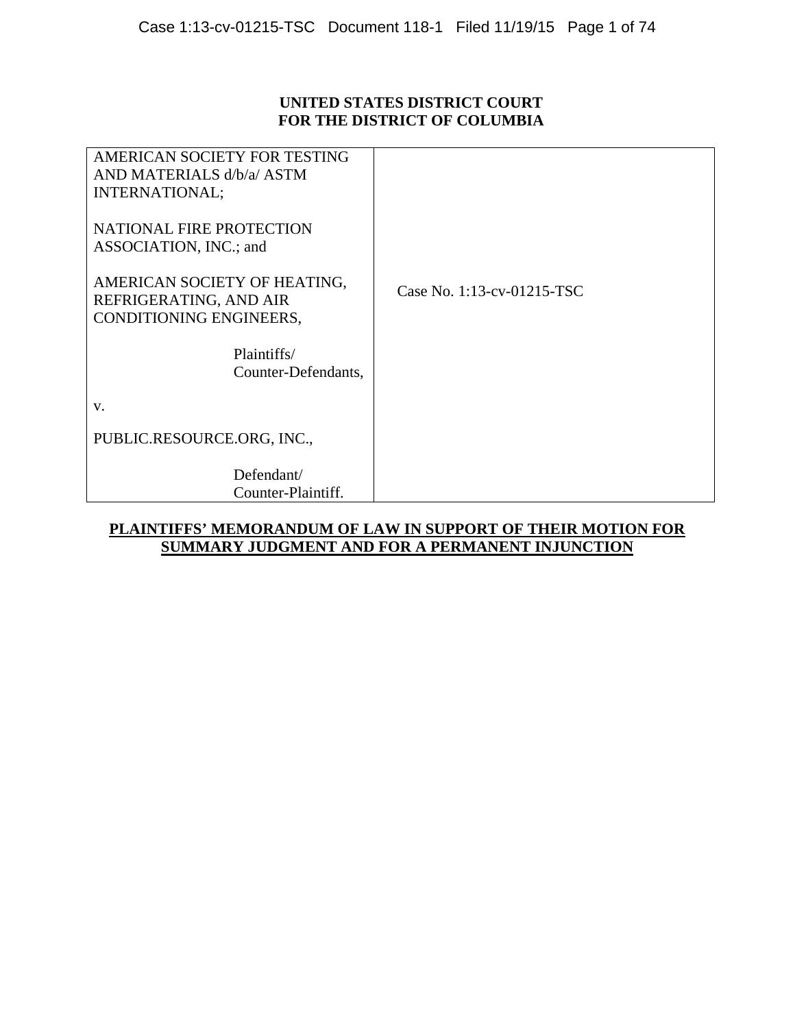## **UNITED STATES DISTRICT COURT FOR THE DISTRICT OF COLUMBIA**

| Defendant/<br>Counter-Plaintiff.                                                  |                            |
|-----------------------------------------------------------------------------------|----------------------------|
| PUBLIC.RESOURCE.ORG, INC.,                                                        |                            |
| V.                                                                                |                            |
| Plaintiffs/<br>Counter-Defendants,                                                |                            |
| AMERICAN SOCIETY OF HEATING,<br>REFRIGERATING, AND AIR<br>CONDITIONING ENGINEERS, | Case No. 1:13-cv-01215-TSC |
| NATIONAL FIRE PROTECTION<br>ASSOCIATION, INC.; and                                |                            |
| AMERICAN SOCIETY FOR TESTING<br>AND MATERIALS d/b/a/ ASTM<br>INTERNATIONAL;       |                            |

## **PLAINTIFFS' MEMORANDUM OF LAW IN SUPPORT OF THEIR MOTION FOR SUMMARY JUDGMENT AND FOR A PERMANENT INJUNCTION**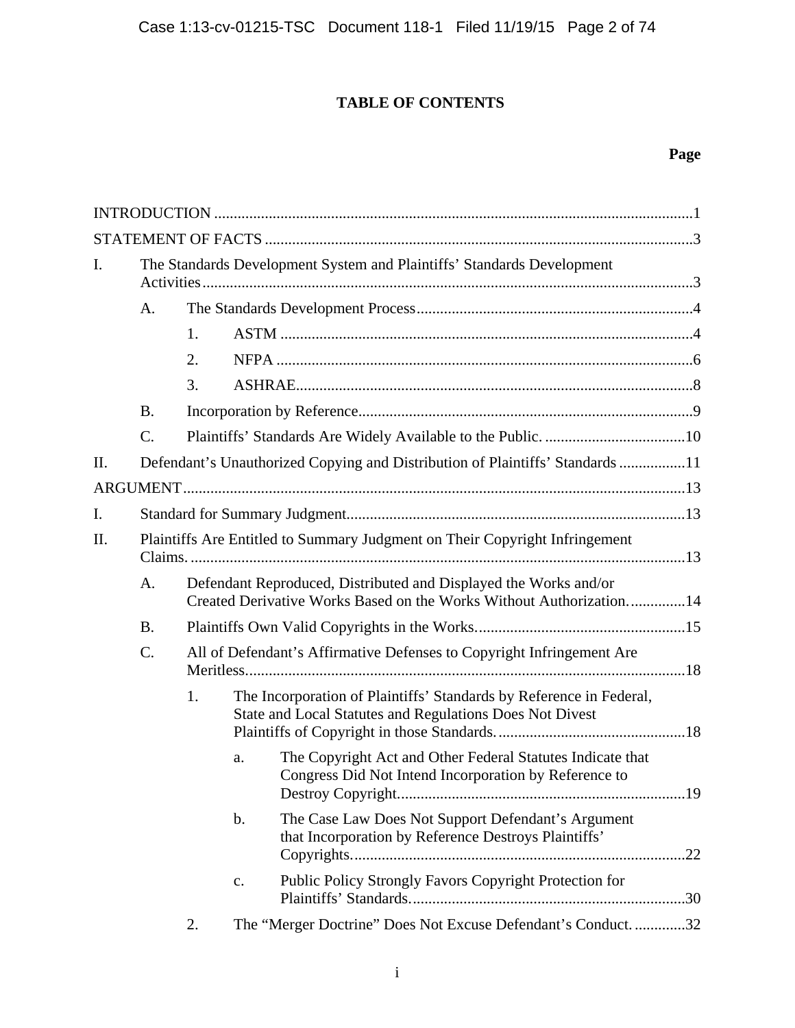# **TABLE OF CONTENTS**

# **Page**

| I.  | The Standards Development System and Plaintiffs' Standards Development         |    |    |                                                                                                                                         |  |  |
|-----|--------------------------------------------------------------------------------|----|----|-----------------------------------------------------------------------------------------------------------------------------------------|--|--|
|     | A.                                                                             |    |    |                                                                                                                                         |  |  |
|     |                                                                                | 1. |    |                                                                                                                                         |  |  |
|     |                                                                                | 2. |    |                                                                                                                                         |  |  |
|     |                                                                                | 3. |    |                                                                                                                                         |  |  |
|     | <b>B.</b>                                                                      |    |    |                                                                                                                                         |  |  |
|     | $\mathcal{C}$ .                                                                |    |    |                                                                                                                                         |  |  |
| II. | Defendant's Unauthorized Copying and Distribution of Plaintiffs' Standards 11  |    |    |                                                                                                                                         |  |  |
|     |                                                                                |    |    |                                                                                                                                         |  |  |
| I.  |                                                                                |    |    |                                                                                                                                         |  |  |
| II. | Plaintiffs Are Entitled to Summary Judgment on Their Copyright Infringement    |    |    |                                                                                                                                         |  |  |
|     | A.                                                                             |    |    | Defendant Reproduced, Distributed and Displayed the Works and/or<br>Created Derivative Works Based on the Works Without Authorization14 |  |  |
|     | <b>B.</b>                                                                      |    |    |                                                                                                                                         |  |  |
|     | $C$ .<br>All of Defendant's Affirmative Defenses to Copyright Infringement Are |    |    |                                                                                                                                         |  |  |
|     |                                                                                | 1. |    | The Incorporation of Plaintiffs' Standards by Reference in Federal,<br>State and Local Statutes and Regulations Does Not Divest         |  |  |
|     |                                                                                |    | a. | The Copyright Act and Other Federal Statutes Indicate that<br>Congress Did Not Intend Incorporation by Reference to                     |  |  |
|     |                                                                                |    | b. | The Case Law Does Not Support Defendant's Argument<br>that Incorporation by Reference Destroys Plaintiffs'                              |  |  |
|     |                                                                                |    | c. | Public Policy Strongly Favors Copyright Protection for                                                                                  |  |  |
|     |                                                                                | 2. |    | The "Merger Doctrine" Does Not Excuse Defendant's Conduct. 32                                                                           |  |  |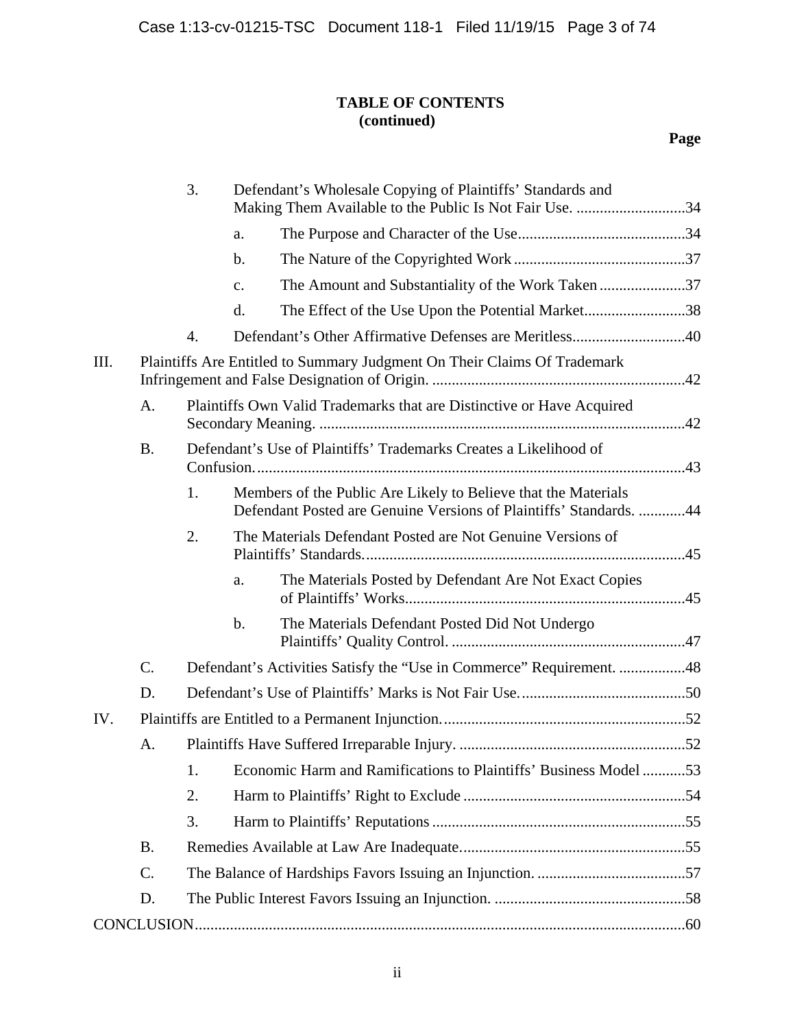# **TABLE OF CONTENTS (continued)**

|     |                                                                          | 3. |                | Defendant's Wholesale Copying of Plaintiffs' Standards and<br>Making Them Available to the Public Is Not Fair Use. 34                |  |
|-----|--------------------------------------------------------------------------|----|----------------|--------------------------------------------------------------------------------------------------------------------------------------|--|
|     |                                                                          |    | a.             |                                                                                                                                      |  |
|     |                                                                          |    | $\mathbf b$ .  |                                                                                                                                      |  |
|     |                                                                          |    | $\mathbf{C}$ . | The Amount and Substantiality of the Work Taken 37                                                                                   |  |
|     |                                                                          |    | d.             | The Effect of the Use Upon the Potential Market38                                                                                    |  |
|     |                                                                          | 4. |                | Defendant's Other Affirmative Defenses are Meritless40                                                                               |  |
| Ш.  | Plaintiffs Are Entitled to Summary Judgment On Their Claims Of Trademark |    |                |                                                                                                                                      |  |
|     | A.                                                                       |    |                | Plaintiffs Own Valid Trademarks that are Distinctive or Have Acquired                                                                |  |
|     | <b>B.</b>                                                                |    |                | Defendant's Use of Plaintiffs' Trademarks Creates a Likelihood of                                                                    |  |
|     |                                                                          | 1. |                | Members of the Public Are Likely to Believe that the Materials<br>Defendant Posted are Genuine Versions of Plaintiffs' Standards. 44 |  |
|     |                                                                          | 2. |                | The Materials Defendant Posted are Not Genuine Versions of                                                                           |  |
|     |                                                                          |    | a.             | The Materials Posted by Defendant Are Not Exact Copies                                                                               |  |
|     |                                                                          |    | $\mathbf b$ .  | The Materials Defendant Posted Did Not Undergo                                                                                       |  |
|     | C.                                                                       |    |                | Defendant's Activities Satisfy the "Use in Commerce" Requirement. 48                                                                 |  |
|     | D.                                                                       |    |                |                                                                                                                                      |  |
| IV. |                                                                          |    |                |                                                                                                                                      |  |
|     | A.                                                                       |    |                |                                                                                                                                      |  |
|     |                                                                          | 1. |                | Economic Harm and Ramifications to Plaintiffs' Business Model 53                                                                     |  |
|     |                                                                          | 2. |                |                                                                                                                                      |  |
|     |                                                                          | 3. |                |                                                                                                                                      |  |
|     | <b>B.</b>                                                                |    |                |                                                                                                                                      |  |
|     | C.                                                                       |    |                |                                                                                                                                      |  |
|     | D.                                                                       |    |                |                                                                                                                                      |  |
|     |                                                                          |    |                |                                                                                                                                      |  |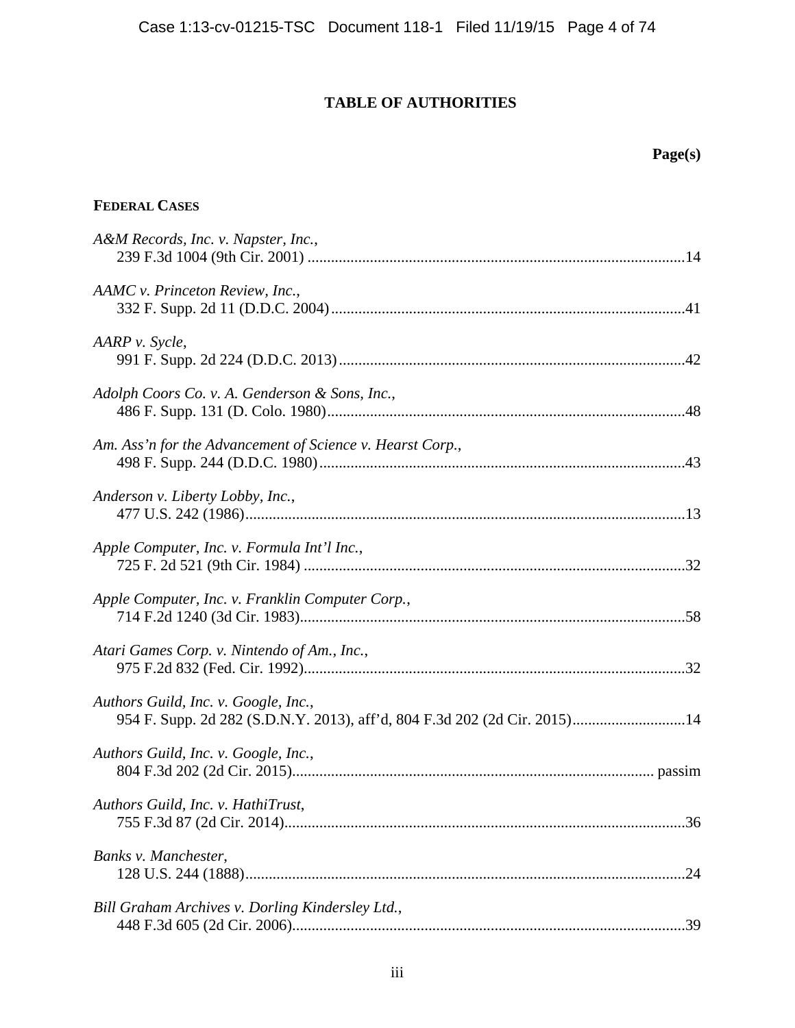# **TABLE OF AUTHORITIES**

# **Page(s)**

# **FEDERAL CASES**

| A&M Records, Inc. v. Napster, Inc.,                                                                               |
|-------------------------------------------------------------------------------------------------------------------|
| AAMC v. Princeton Review, Inc.,                                                                                   |
| AARP v. Sycle,                                                                                                    |
| Adolph Coors Co. v. A. Genderson & Sons, Inc.,                                                                    |
| Am. Ass'n for the Advancement of Science v. Hearst Corp.,                                                         |
| Anderson v. Liberty Lobby, Inc.,                                                                                  |
| Apple Computer, Inc. v. Formula Int'l Inc.,                                                                       |
| Apple Computer, Inc. v. Franklin Computer Corp.,                                                                  |
| Atari Games Corp. v. Nintendo of Am., Inc.,                                                                       |
| Authors Guild, Inc. v. Google, Inc.,<br>954 F. Supp. 2d 282 (S.D.N.Y. 2013), aff'd, 804 F.3d 202 (2d Cir. 2015)14 |
| Authors Guild, Inc. v. Google, Inc.,                                                                              |
| Authors Guild, Inc. v. HathiTrust,                                                                                |
| Banks v. Manchester,                                                                                              |
| Bill Graham Archives v. Dorling Kindersley Ltd.,                                                                  |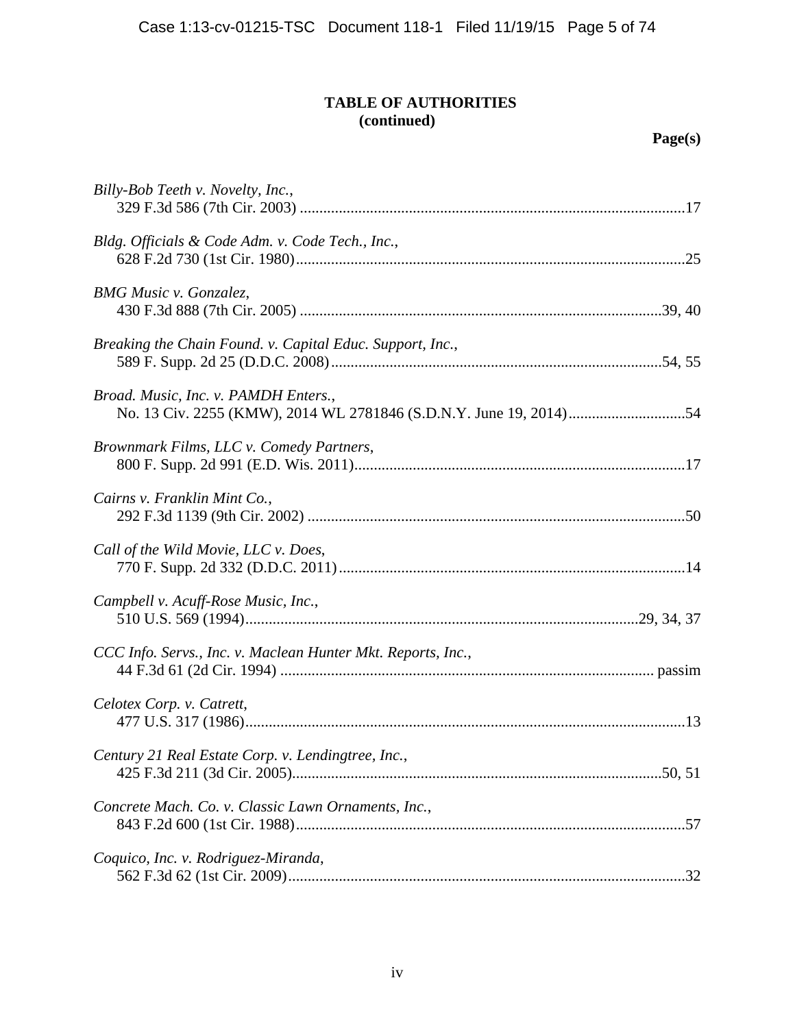| Billy-Bob Teeth v. Novelty, Inc.,                            |
|--------------------------------------------------------------|
| Bldg. Officials & Code Adm. v. Code Tech., Inc.,             |
| <b>BMG</b> Music v. Gonzalez,                                |
| Breaking the Chain Found. v. Capital Educ. Support, Inc.,    |
| Broad. Music, Inc. v. PAMDH Enters.,                         |
| Brownmark Films, LLC v. Comedy Partners,                     |
| Cairns v. Franklin Mint Co.,                                 |
| Call of the Wild Movie, LLC v. Does,                         |
| Campbell v. Acuff-Rose Music, Inc.,                          |
| CCC Info. Servs., Inc. v. Maclean Hunter Mkt. Reports, Inc., |
| Celotex Corp. v. Catrett,                                    |
| Century 21 Real Estate Corp. v. Lendingtree, Inc.,           |
| Concrete Mach. Co. v. Classic Lawn Ornaments, Inc.,          |
| Coquico, Inc. v. Rodriguez-Miranda,                          |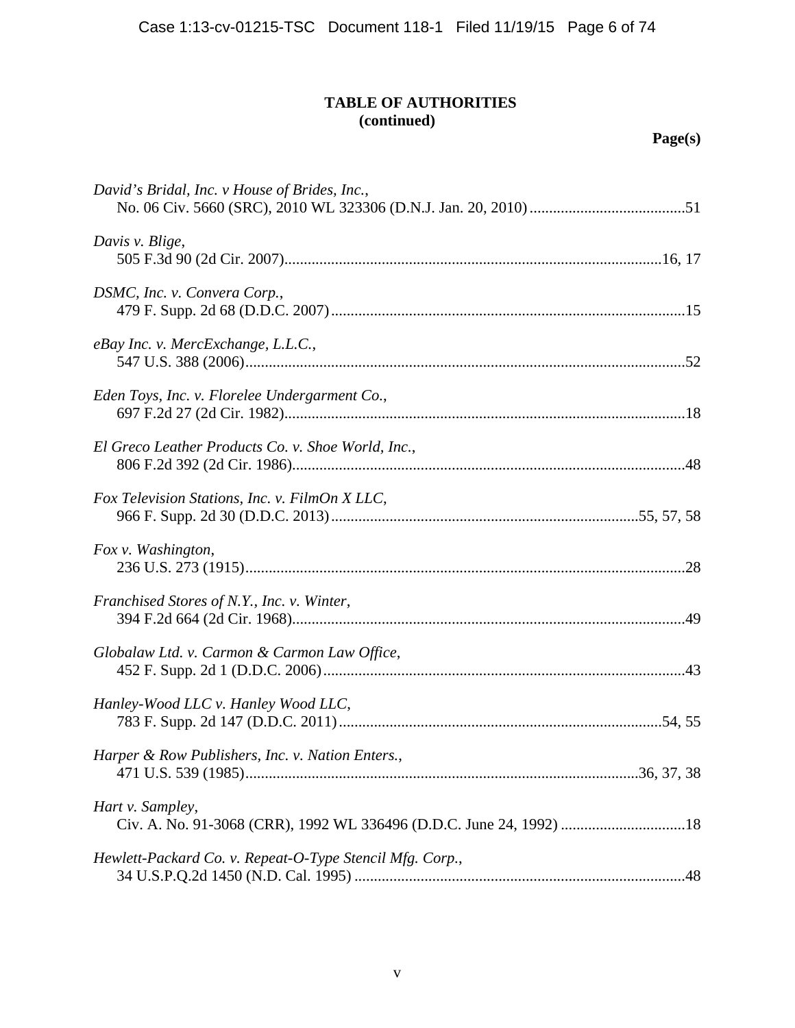| David's Bridal, Inc. v House of Brides, Inc.,            |
|----------------------------------------------------------|
| Davis v. Blige,                                          |
| DSMC, Inc. v. Convera Corp.,                             |
| eBay Inc. v. MercExchange, L.L.C.,                       |
| Eden Toys, Inc. v. Florelee Undergarment Co.,            |
| El Greco Leather Products Co. v. Shoe World, Inc.,       |
| Fox Television Stations, Inc. v. FilmOn X LLC,           |
| Fox v. Washington,                                       |
| Franchised Stores of N.Y., Inc. v. Winter,               |
| Globalaw Ltd. v. Carmon & Carmon Law Office,             |
| Hanley-Wood LLC v. Hanley Wood LLC,                      |
| Harper & Row Publishers, Inc. v. Nation Enters.,         |
| Hart v. Sampley,                                         |
| Hewlett-Packard Co. v. Repeat-O-Type Stencil Mfg. Corp., |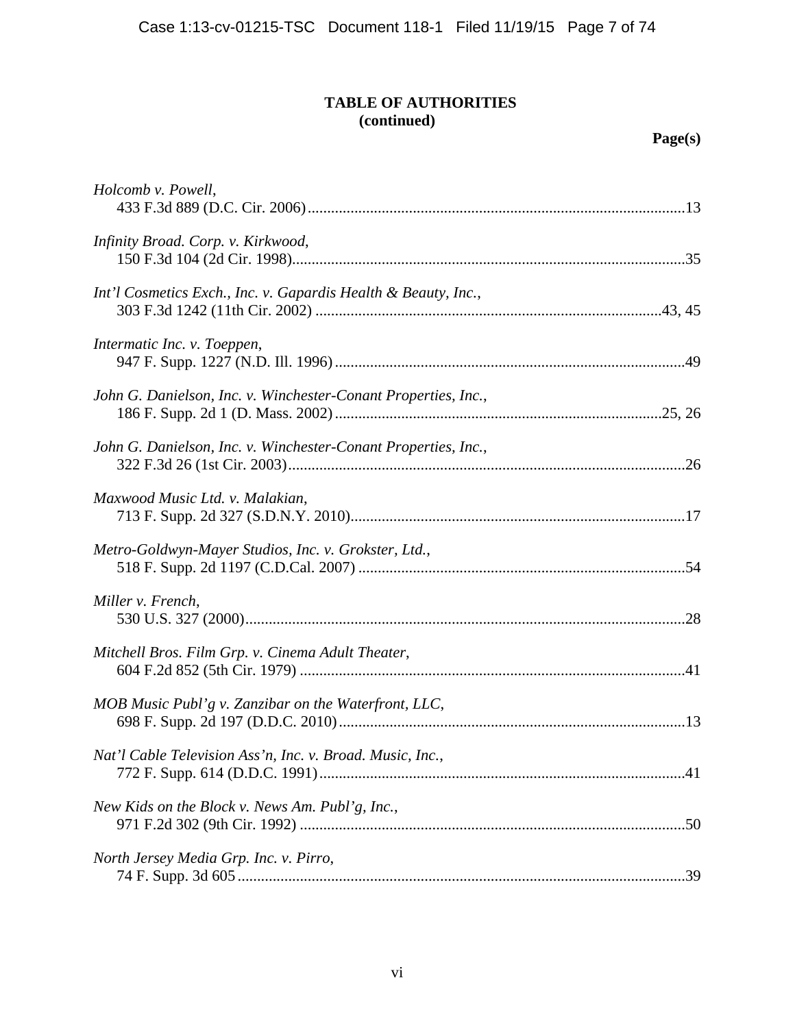| Holcomb v. Powell,                                             |
|----------------------------------------------------------------|
| Infinity Broad. Corp. v. Kirkwood,                             |
| Int'l Cosmetics Exch., Inc. v. Gapardis Health & Beauty, Inc., |
| Intermatic Inc. v. Toeppen,                                    |
| John G. Danielson, Inc. v. Winchester-Conant Properties, Inc., |
| John G. Danielson, Inc. v. Winchester-Conant Properties, Inc., |
| Maxwood Music Ltd. v. Malakian,                                |
| Metro-Goldwyn-Mayer Studios, Inc. v. Grokster, Ltd.,           |
| Miller v. French,                                              |
| Mitchell Bros. Film Grp. v. Cinema Adult Theater,              |
| MOB Music Publ'g v. Zanzibar on the Waterfront, LLC,           |
| Nat'l Cable Television Ass'n, Inc. v. Broad. Music, Inc.,      |
| New Kids on the Block v. News Am. Publ'g, Inc.,                |
| North Jersey Media Grp. Inc. v. Pirro,                         |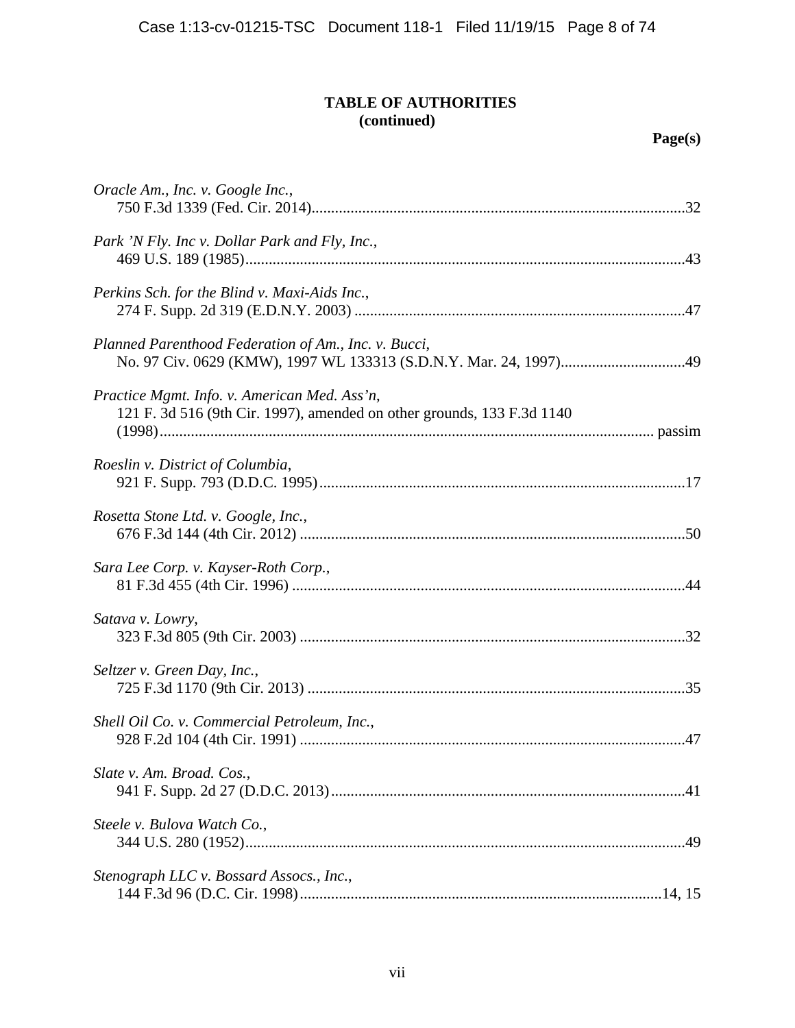| Oracle Am., Inc. v. Google Inc.,                                                                                       |  |
|------------------------------------------------------------------------------------------------------------------------|--|
| Park 'N Fly. Inc v. Dollar Park and Fly, Inc.,                                                                         |  |
| Perkins Sch. for the Blind v. Maxi-Aids Inc.,                                                                          |  |
| Planned Parenthood Federation of Am., Inc. v. Bucci,                                                                   |  |
| Practice Mgmt. Info. v. American Med. Ass'n,<br>121 F. 3d 516 (9th Cir. 1997), amended on other grounds, 133 F.3d 1140 |  |
| Roeslin v. District of Columbia,                                                                                       |  |
| Rosetta Stone Ltd. v. Google, Inc.,                                                                                    |  |
| Sara Lee Corp. v. Kayser-Roth Corp.,                                                                                   |  |
| Satava v. Lowry,                                                                                                       |  |
| Seltzer v. Green Day, Inc.,                                                                                            |  |
| Shell Oil Co. v. Commercial Petroleum, Inc.,                                                                           |  |
| Slate v. Am. Broad. Cos.,                                                                                              |  |
| Steele v. Bulova Watch Co.,                                                                                            |  |
| Stenograph LLC v. Bossard Assocs., Inc.,                                                                               |  |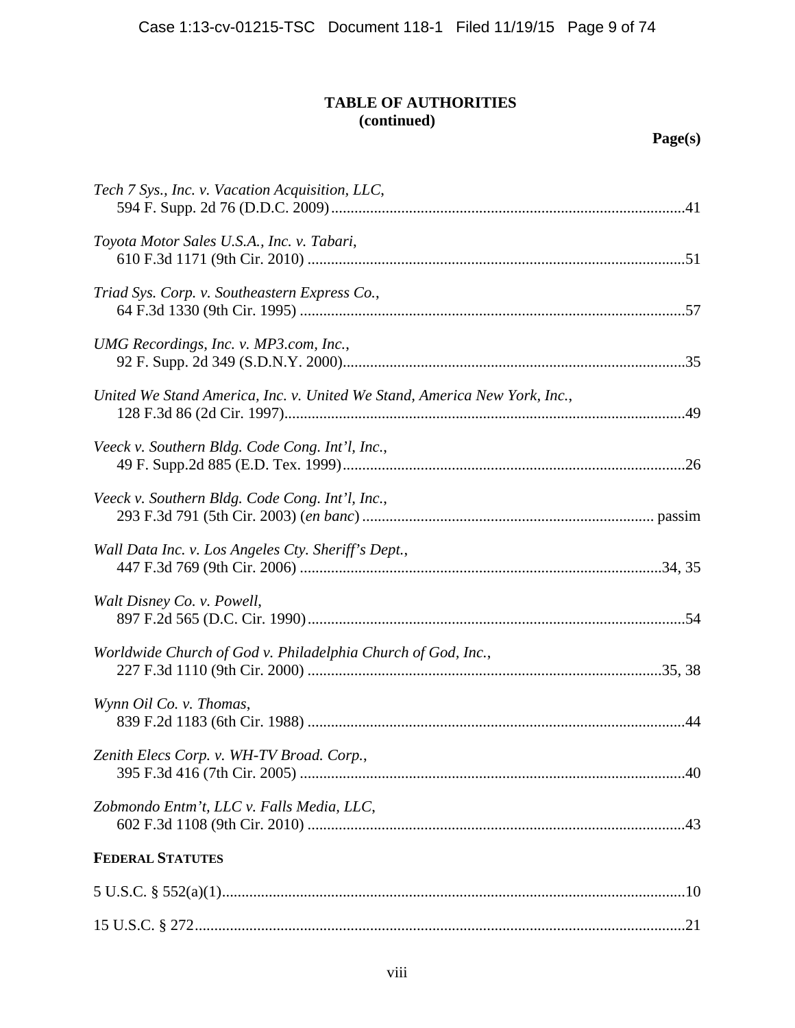| Tech 7 Sys., Inc. v. Vacation Acquisition, LLC,                           |
|---------------------------------------------------------------------------|
| Toyota Motor Sales U.S.A., Inc. v. Tabari,                                |
| Triad Sys. Corp. v. Southeastern Express Co.,                             |
| UMG Recordings, Inc. v. MP3.com, Inc.,                                    |
| United We Stand America, Inc. v. United We Stand, America New York, Inc., |
| Veeck v. Southern Bldg. Code Cong. Int'l, Inc.,                           |
| Veeck v. Southern Bldg. Code Cong. Int'l, Inc.,                           |
| Wall Data Inc. v. Los Angeles Cty. Sheriff's Dept.,                       |
| Walt Disney Co. v. Powell,                                                |
| Worldwide Church of God v. Philadelphia Church of God, Inc.,              |
| Wynn Oil Co. v. Thomas,                                                   |
| Zenith Elecs Corp. v. WH-TV Broad. Corp.,                                 |
| Zobmondo Entm't, LLC v. Falls Media, LLC,                                 |
| <b>FEDERAL STATUTES</b>                                                   |
|                                                                           |
|                                                                           |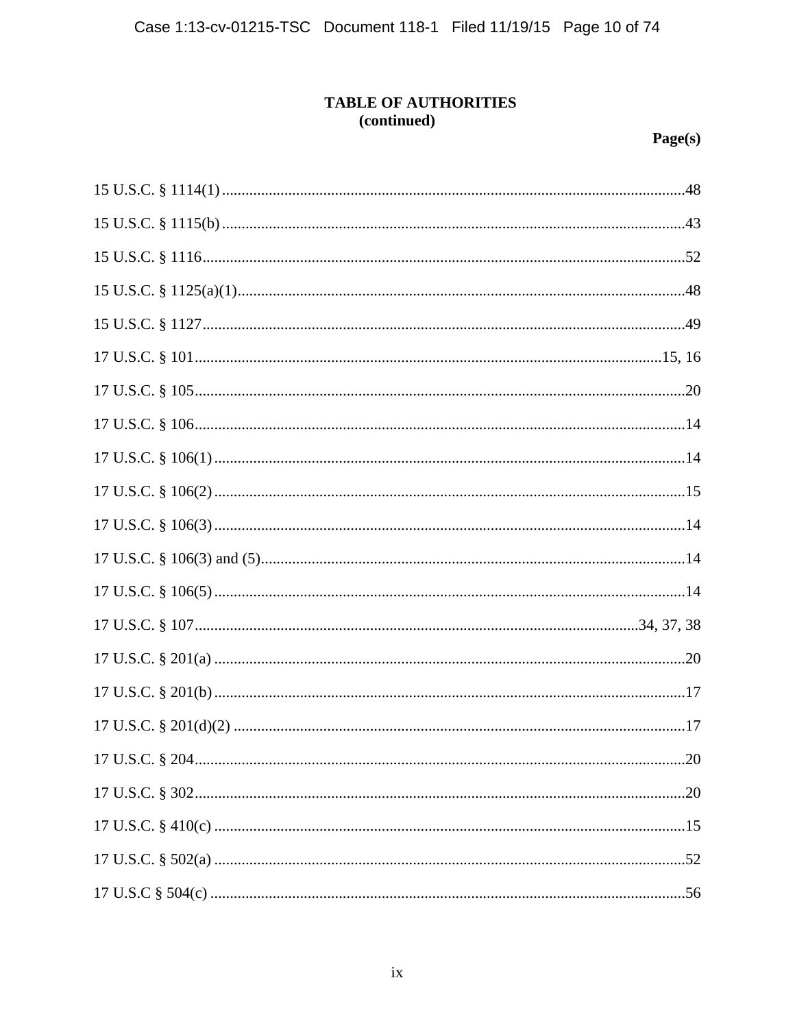| 20 |
|----|
|    |
|    |
|    |
|    |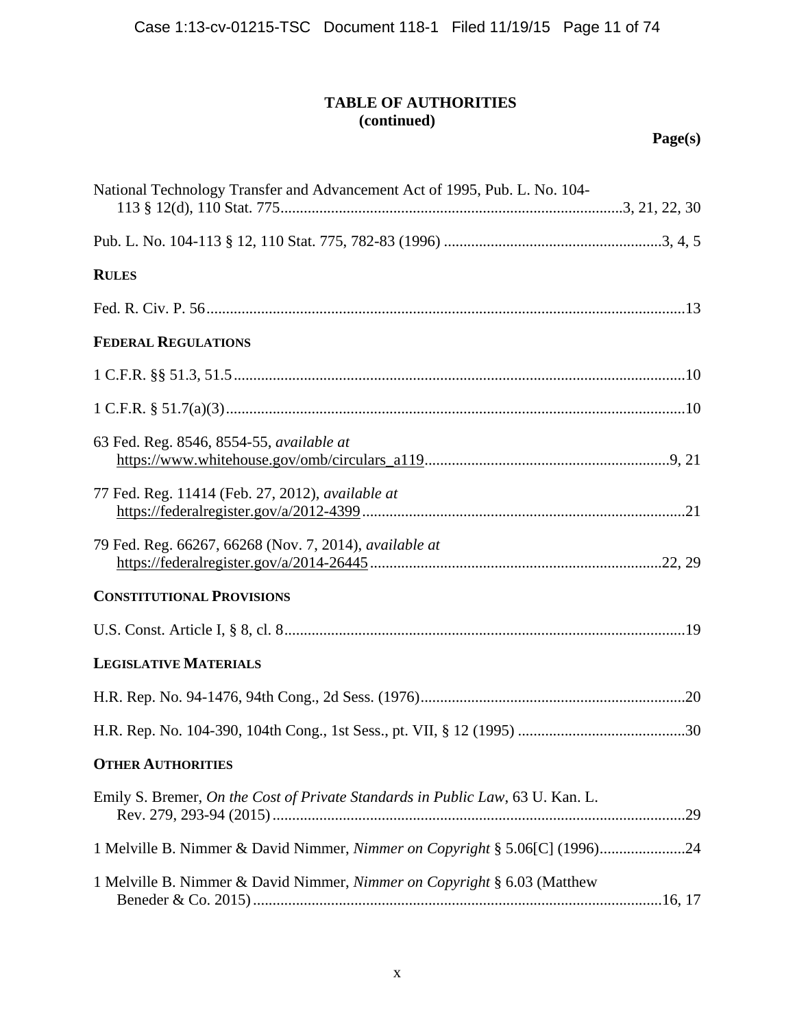| National Technology Transfer and Advancement Act of 1995, Pub. L. No. 104-     |  |
|--------------------------------------------------------------------------------|--|
|                                                                                |  |
| <b>RULES</b>                                                                   |  |
|                                                                                |  |
| <b>FEDERAL REGULATIONS</b>                                                     |  |
|                                                                                |  |
|                                                                                |  |
| 63 Fed. Reg. 8546, 8554-55, available at                                       |  |
| 77 Fed. Reg. 11414 (Feb. 27, 2012), available at                               |  |
| 79 Fed. Reg. 66267, 66268 (Nov. 7, 2014), available at                         |  |
| <b>CONSTITUTIONAL PROVISIONS</b>                                               |  |
|                                                                                |  |
| <b>LEGISLATIVE MATERIALS</b>                                                   |  |
|                                                                                |  |
|                                                                                |  |
| <b>OTHER AUTHORITIES</b>                                                       |  |
| Emily S. Bremer, On the Cost of Private Standards in Public Law, 63 U. Kan. L. |  |
| 1 Melville B. Nimmer & David Nimmer, Nimmer on Copyright § 5.06[C] (1996)24    |  |
| 1 Melville B. Nimmer & David Nimmer, Nimmer on Copyright § 6.03 (Matthew       |  |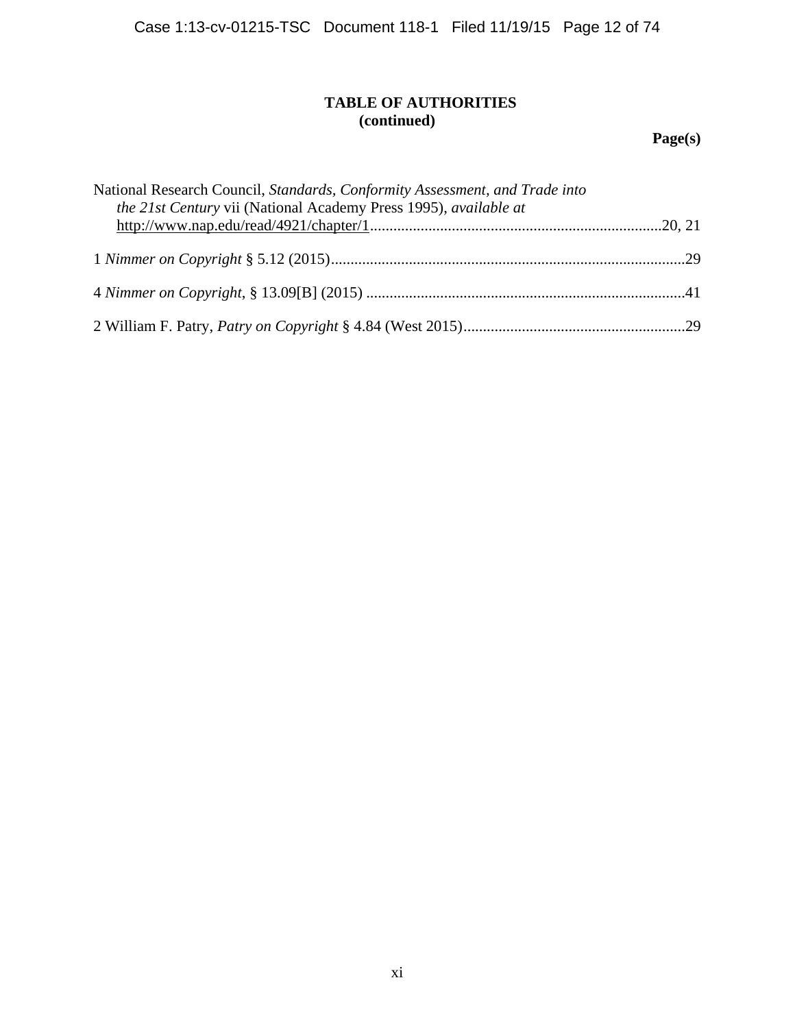**Page(s)** 

| National Research Council, Standards, Conformity Assessment, and Trade into<br>the 21st Century vii (National Academy Press 1995), available at |  |
|-------------------------------------------------------------------------------------------------------------------------------------------------|--|
|                                                                                                                                                 |  |
|                                                                                                                                                 |  |
|                                                                                                                                                 |  |
|                                                                                                                                                 |  |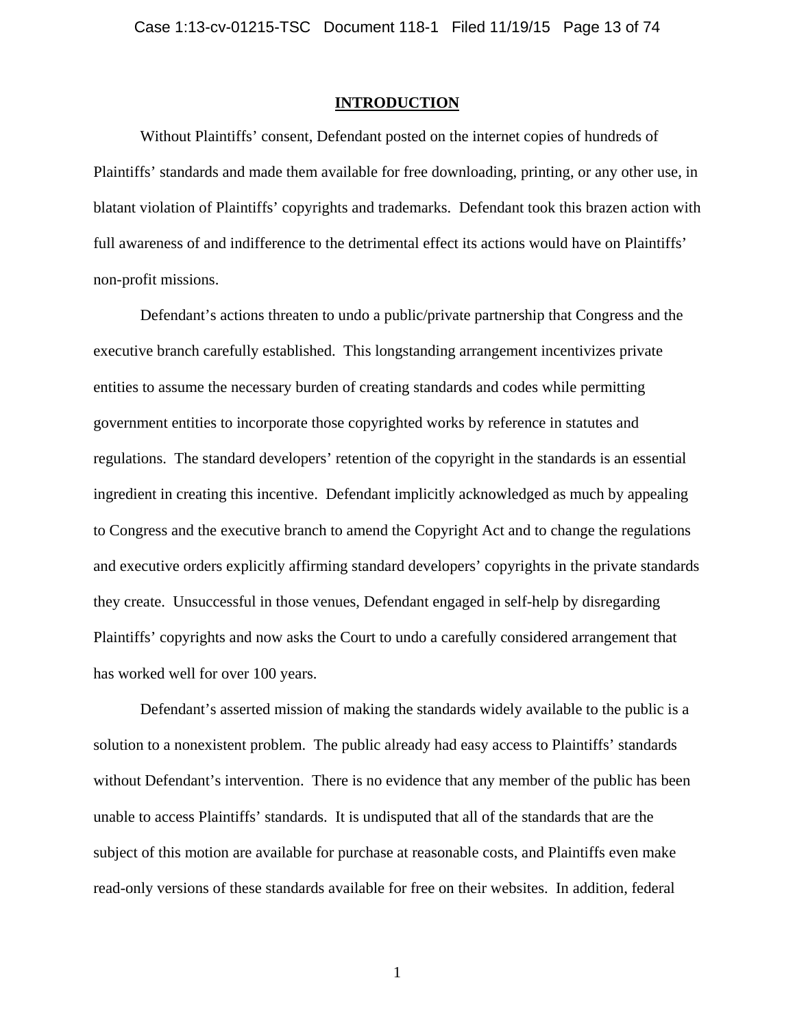#### **INTRODUCTION**

 Without Plaintiffs' consent, Defendant posted on the internet copies of hundreds of Plaintiffs' standards and made them available for free downloading, printing, or any other use, in blatant violation of Plaintiffs' copyrights and trademarks. Defendant took this brazen action with full awareness of and indifference to the detrimental effect its actions would have on Plaintiffs' non-profit missions.

 Defendant's actions threaten to undo a public/private partnership that Congress and the executive branch carefully established. This longstanding arrangement incentivizes private entities to assume the necessary burden of creating standards and codes while permitting government entities to incorporate those copyrighted works by reference in statutes and regulations. The standard developers' retention of the copyright in the standards is an essential ingredient in creating this incentive. Defendant implicitly acknowledged as much by appealing to Congress and the executive branch to amend the Copyright Act and to change the regulations and executive orders explicitly affirming standard developers' copyrights in the private standards they create. Unsuccessful in those venues, Defendant engaged in self-help by disregarding Plaintiffs' copyrights and now asks the Court to undo a carefully considered arrangement that has worked well for over 100 years.

 Defendant's asserted mission of making the standards widely available to the public is a solution to a nonexistent problem. The public already had easy access to Plaintiffs' standards without Defendant's intervention. There is no evidence that any member of the public has been unable to access Plaintiffs' standards. It is undisputed that all of the standards that are the subject of this motion are available for purchase at reasonable costs, and Plaintiffs even make read-only versions of these standards available for free on their websites. In addition, federal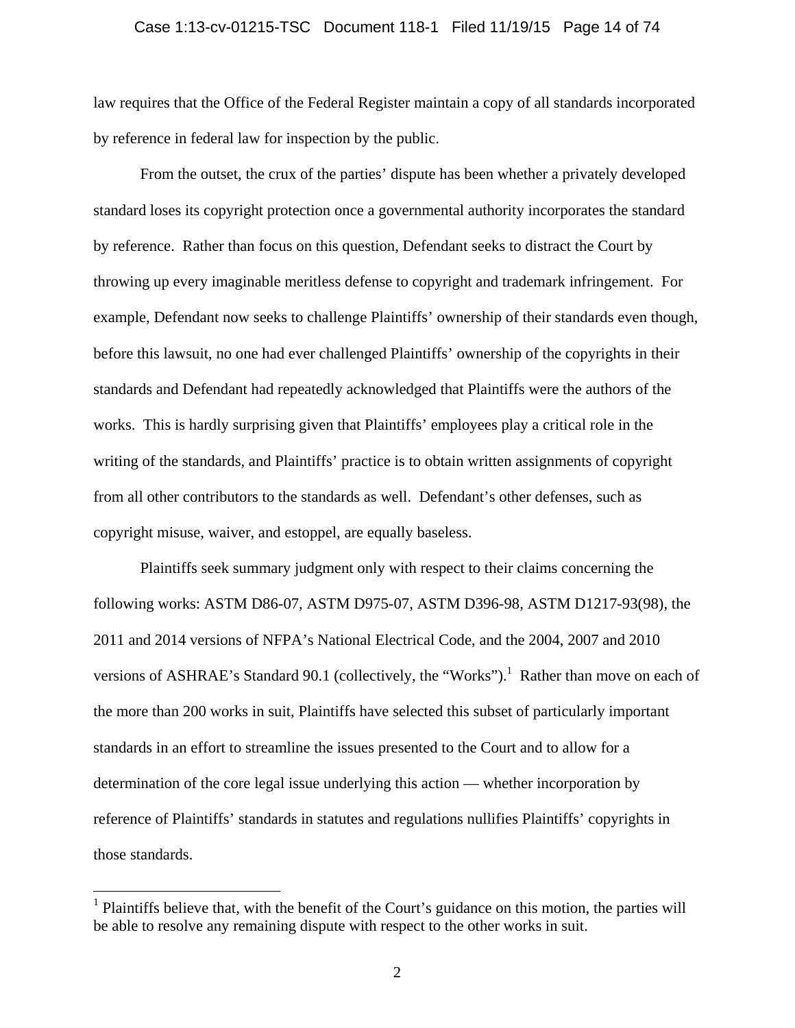#### Case 1:13-cv-01215-TSC Document 118-1 Filed 11/19/15 Page 14 of 74

law requires that the Office of the Federal Register maintain a copy of all standards incorporated by reference in federal law for inspection by the public.

 From the outset, the crux of the parties' dispute has been whether a privately developed standard loses its copyright protection once a governmental authority incorporates the standard by reference. Rather than focus on this question, Defendant seeks to distract the Court by throwing up every imaginable meritless defense to copyright and trademark infringement. For example, Defendant now seeks to challenge Plaintiffs' ownership of their standards even though, before this lawsuit, no one had ever challenged Plaintiffs' ownership of the copyrights in their standards and Defendant had repeatedly acknowledged that Plaintiffs were the authors of the works. This is hardly surprising given that Plaintiffs' employees play a critical role in the writing of the standards, and Plaintiffs' practice is to obtain written assignments of copyright from all other contributors to the standards as well. Defendant's other defenses, such as copyright misuse, waiver, and estoppel, are equally baseless.

 Plaintiffs seek summary judgment only with respect to their claims concerning the following works: ASTM D86-07, ASTM D975-07, ASTM D396-98, ASTM D1217-93(98), the 2011 and 2014 versions of NFPA's National Electrical Code, and the 2004, 2007 and 2010 versions of ASHRAE's Standard 90.1 (collectively, the "Works").<sup>1</sup> Rather than move on each of the more than 200 works in suit, Plaintiffs have selected this subset of particularly important standards in an effort to streamline the issues presented to the Court and to allow for a determination of the core legal issue underlying this action — whether incorporation by reference of Plaintiffs' standards in statutes and regulations nullifies Plaintiffs' copyrights in those standards.

 $\overline{a}$ 

<sup>&</sup>lt;sup>1</sup> Plaintiffs believe that, with the benefit of the Court's guidance on this motion, the parties will be able to resolve any remaining dispute with respect to the other works in suit.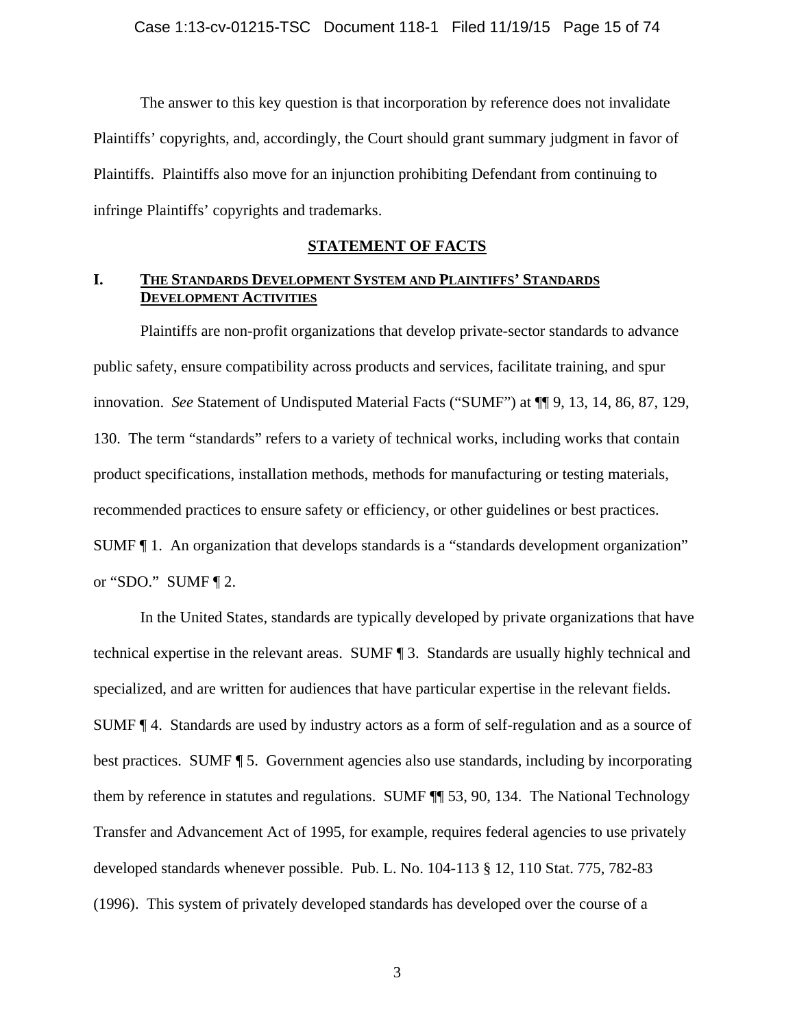The answer to this key question is that incorporation by reference does not invalidate Plaintiffs' copyrights, and, accordingly, the Court should grant summary judgment in favor of Plaintiffs. Plaintiffs also move for an injunction prohibiting Defendant from continuing to infringe Plaintiffs' copyrights and trademarks.

### **STATEMENT OF FACTS**

## **I. THE STANDARDS DEVELOPMENT SYSTEM AND PLAINTIFFS' STANDARDS DEVELOPMENT ACTIVITIES**

Plaintiffs are non-profit organizations that develop private-sector standards to advance public safety, ensure compatibility across products and services, facilitate training, and spur innovation. *See* Statement of Undisputed Material Facts ("SUMF") at ¶¶ 9, 13, 14, 86, 87, 129, 130. The term "standards" refers to a variety of technical works, including works that contain product specifications, installation methods, methods for manufacturing or testing materials, recommended practices to ensure safety or efficiency, or other guidelines or best practices. SUMF ¶ 1. An organization that develops standards is a "standards development organization" or "SDO." SUMF ¶ 2.

In the United States, standards are typically developed by private organizations that have technical expertise in the relevant areas. SUMF ¶ 3. Standards are usually highly technical and specialized, and are written for audiences that have particular expertise in the relevant fields. SUMF ¶ 4. Standards are used by industry actors as a form of self-regulation and as a source of best practices. SUMF ¶ 5. Government agencies also use standards, including by incorporating them by reference in statutes and regulations. SUMF ¶¶ 53, 90, 134. The National Technology Transfer and Advancement Act of 1995, for example, requires federal agencies to use privately developed standards whenever possible. Pub. L. No. 104-113 § 12, 110 Stat. 775, 782-83 (1996). This system of privately developed standards has developed over the course of a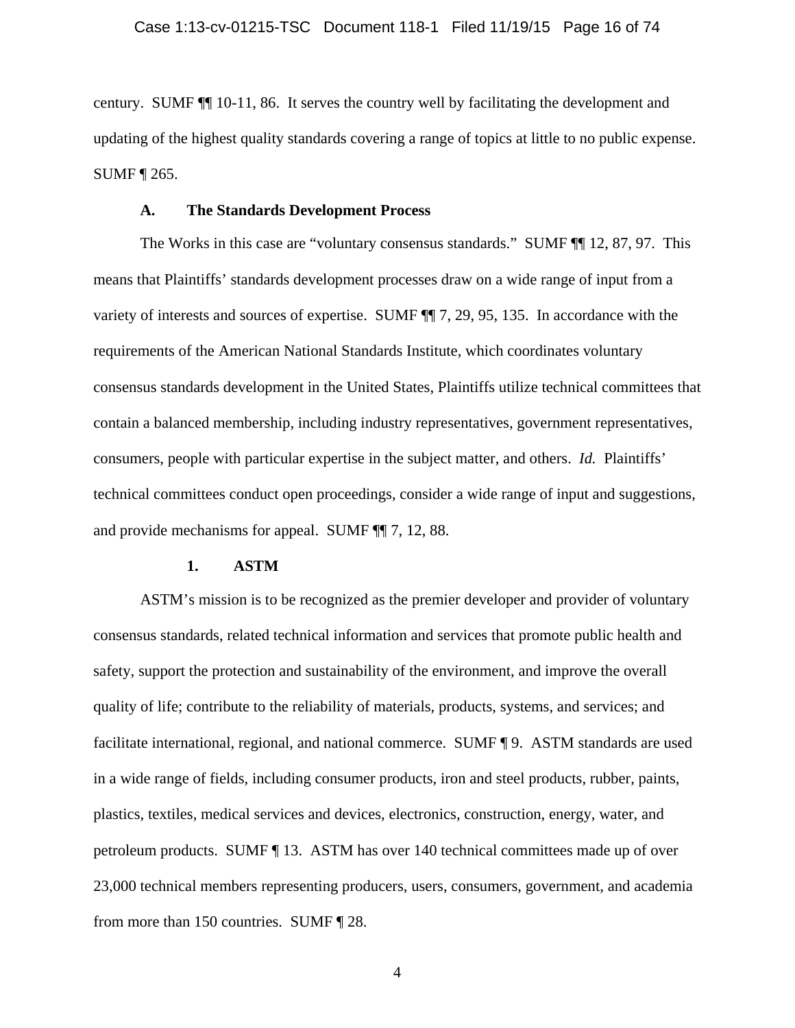century. SUMF ¶¶ 10-11, 86. It serves the country well by facilitating the development and updating of the highest quality standards covering a range of topics at little to no public expense. SUMF ¶ 265.

#### **A. The Standards Development Process**

The Works in this case are "voluntary consensus standards." SUMF ¶¶ 12, 87, 97. This means that Plaintiffs' standards development processes draw on a wide range of input from a variety of interests and sources of expertise. SUMF ¶¶ 7, 29, 95, 135. In accordance with the requirements of the American National Standards Institute, which coordinates voluntary consensus standards development in the United States, Plaintiffs utilize technical committees that contain a balanced membership, including industry representatives, government representatives, consumers, people with particular expertise in the subject matter, and others. *Id.* Plaintiffs' technical committees conduct open proceedings, consider a wide range of input and suggestions, and provide mechanisms for appeal. SUMF ¶¶ 7, 12, 88.

### **1. ASTM**

ASTM's mission is to be recognized as the premier developer and provider of voluntary consensus standards, related technical information and services that promote public health and safety, support the protection and sustainability of the environment, and improve the overall quality of life; contribute to the reliability of materials, products, systems, and services; and facilitate international, regional, and national commerce. SUMF ¶ 9. ASTM standards are used in a wide range of fields, including consumer products, iron and steel products, rubber, paints, plastics, textiles, medical services and devices, electronics, construction, energy, water, and petroleum products. SUMF ¶ 13. ASTM has over 140 technical committees made up of over 23,000 technical members representing producers, users, consumers, government, and academia from more than 150 countries. SUMF ¶ 28.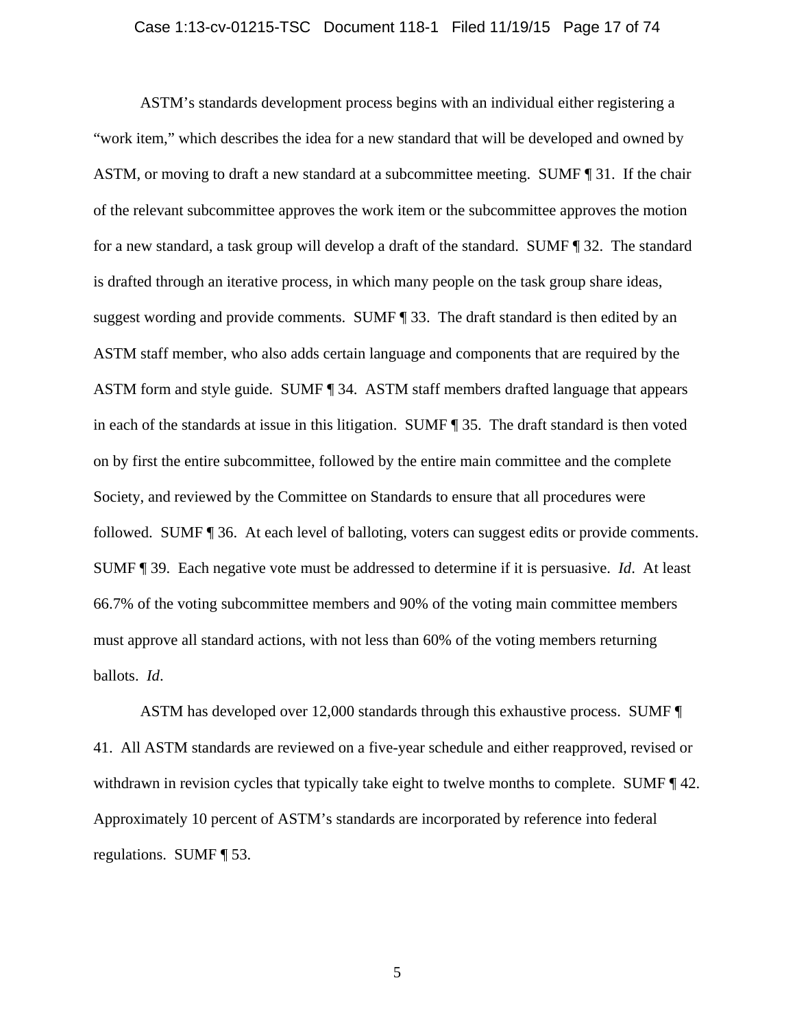#### Case 1:13-cv-01215-TSC Document 118-1 Filed 11/19/15 Page 17 of 74

ASTM's standards development process begins with an individual either registering a "work item," which describes the idea for a new standard that will be developed and owned by ASTM, or moving to draft a new standard at a subcommittee meeting. SUMF ¶ 31. If the chair of the relevant subcommittee approves the work item or the subcommittee approves the motion for a new standard, a task group will develop a draft of the standard. SUMF ¶ 32. The standard is drafted through an iterative process, in which many people on the task group share ideas, suggest wording and provide comments. SUMF ¶ 33. The draft standard is then edited by an ASTM staff member, who also adds certain language and components that are required by the ASTM form and style guide. SUMF ¶ 34. ASTM staff members drafted language that appears in each of the standards at issue in this litigation. SUMF ¶ 35. The draft standard is then voted on by first the entire subcommittee, followed by the entire main committee and the complete Society, and reviewed by the Committee on Standards to ensure that all procedures were followed. SUMF ¶ 36. At each level of balloting, voters can suggest edits or provide comments. SUMF ¶ 39. Each negative vote must be addressed to determine if it is persuasive. *Id*. At least 66.7% of the voting subcommittee members and 90% of the voting main committee members must approve all standard actions, with not less than 60% of the voting members returning ballots. *Id*.

ASTM has developed over 12,000 standards through this exhaustive process. SUMF ¶ 41. All ASTM standards are reviewed on a five-year schedule and either reapproved, revised or withdrawn in revision cycles that typically take eight to twelve months to complete. SUMF  $\P$  42. Approximately 10 percent of ASTM's standards are incorporated by reference into federal regulations. SUMF ¶ 53.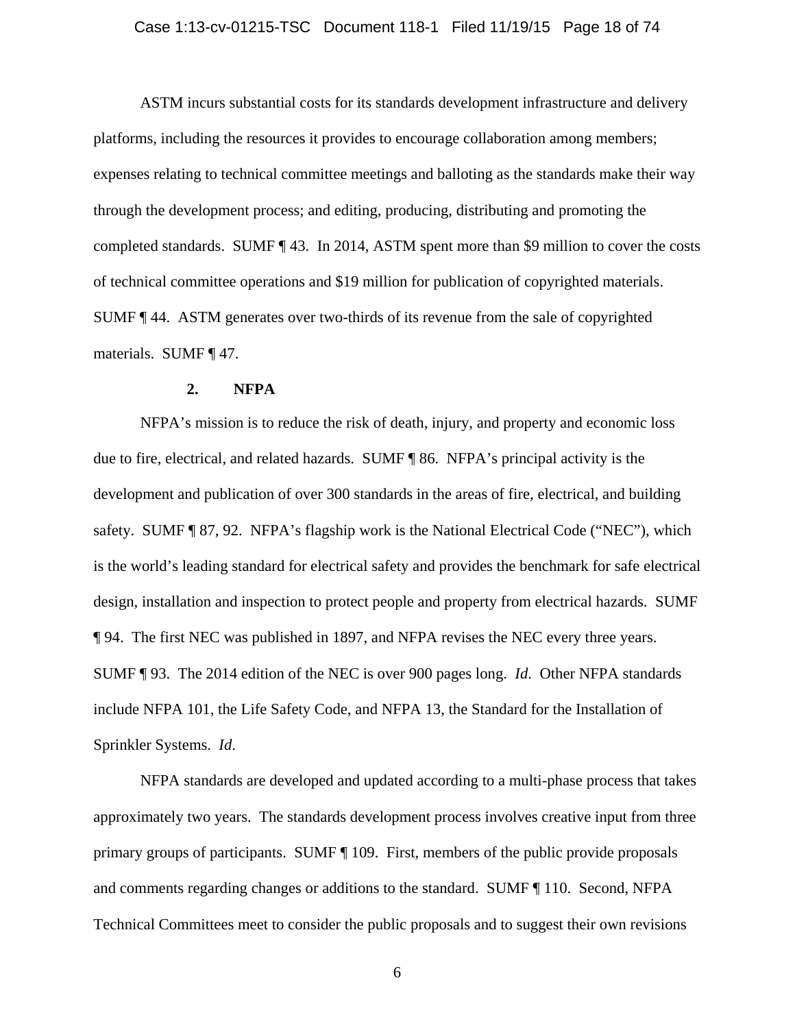#### Case 1:13-cv-01215-TSC Document 118-1 Filed 11/19/15 Page 18 of 74

ASTM incurs substantial costs for its standards development infrastructure and delivery platforms, including the resources it provides to encourage collaboration among members; expenses relating to technical committee meetings and balloting as the standards make their way through the development process; and editing, producing, distributing and promoting the completed standards. SUMF ¶ 43. In 2014, ASTM spent more than \$9 million to cover the costs of technical committee operations and \$19 million for publication of copyrighted materials. SUMF ¶ 44. ASTM generates over two-thirds of its revenue from the sale of copyrighted materials. SUMF ¶ 47.

#### **2. NFPA**

NFPA's mission is to reduce the risk of death, injury, and property and economic loss due to fire, electrical, and related hazards. SUMF ¶ 86. NFPA's principal activity is the development and publication of over 300 standards in the areas of fire, electrical, and building safety. SUMF ¶ 87, 92. NFPA's flagship work is the National Electrical Code ("NEC"), which is the world's leading standard for electrical safety and provides the benchmark for safe electrical design, installation and inspection to protect people and property from electrical hazards. SUMF ¶ 94. The first NEC was published in 1897, and NFPA revises the NEC every three years. SUMF ¶ 93. The 2014 edition of the NEC is over 900 pages long. *Id*. Other NFPA standards include NFPA 101, the Life Safety Code, and NFPA 13, the Standard for the Installation of Sprinkler Systems. *Id*.

NFPA standards are developed and updated according to a multi-phase process that takes approximately two years. The standards development process involves creative input from three primary groups of participants. SUMF ¶ 109. First, members of the public provide proposals and comments regarding changes or additions to the standard. SUMF ¶ 110. Second, NFPA Technical Committees meet to consider the public proposals and to suggest their own revisions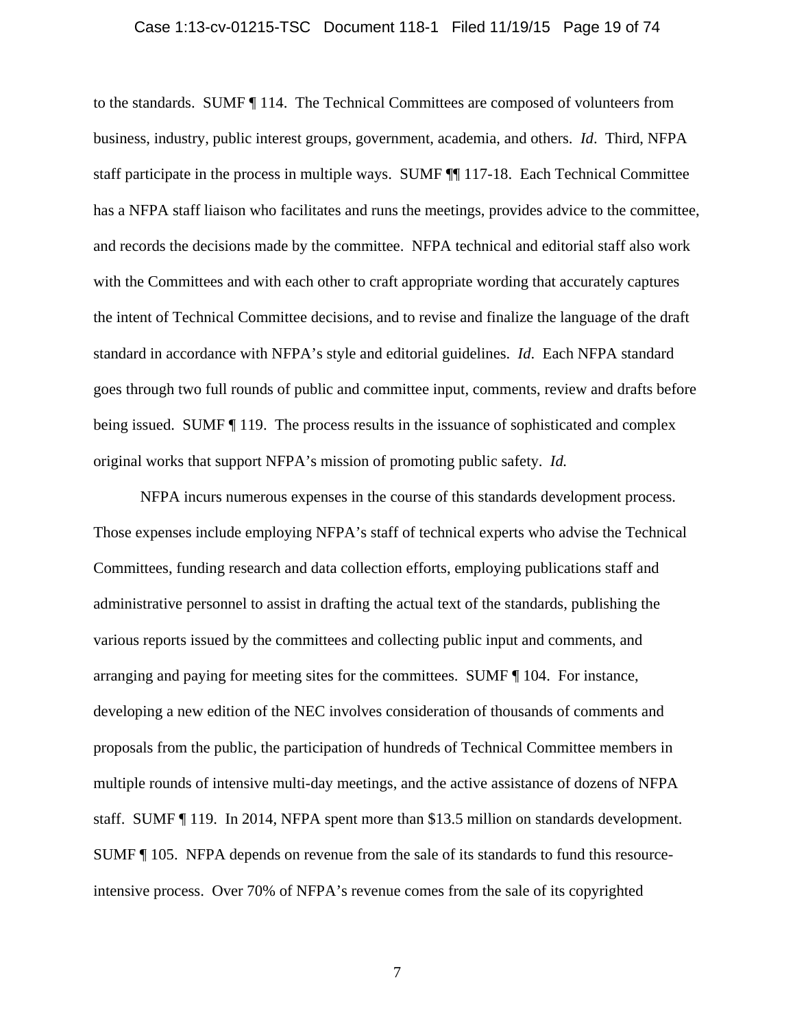#### Case 1:13-cv-01215-TSC Document 118-1 Filed 11/19/15 Page 19 of 74

to the standards. SUMF ¶ 114. The Technical Committees are composed of volunteers from business, industry, public interest groups, government, academia, and others. *Id*. Third, NFPA staff participate in the process in multiple ways. SUMF ¶¶ 117-18. Each Technical Committee has a NFPA staff liaison who facilitates and runs the meetings, provides advice to the committee, and records the decisions made by the committee. NFPA technical and editorial staff also work with the Committees and with each other to craft appropriate wording that accurately captures the intent of Technical Committee decisions, and to revise and finalize the language of the draft standard in accordance with NFPA's style and editorial guidelines. *Id*. Each NFPA standard goes through two full rounds of public and committee input, comments, review and drafts before being issued. SUMF  $\parallel$  119. The process results in the issuance of sophisticated and complex original works that support NFPA's mission of promoting public safety. *Id.*

NFPA incurs numerous expenses in the course of this standards development process. Those expenses include employing NFPA's staff of technical experts who advise the Technical Committees, funding research and data collection efforts, employing publications staff and administrative personnel to assist in drafting the actual text of the standards, publishing the various reports issued by the committees and collecting public input and comments, and arranging and paying for meeting sites for the committees. SUMF ¶ 104. For instance, developing a new edition of the NEC involves consideration of thousands of comments and proposals from the public, the participation of hundreds of Technical Committee members in multiple rounds of intensive multi-day meetings, and the active assistance of dozens of NFPA staff. SUMF ¶ 119. In 2014, NFPA spent more than \$13.5 million on standards development. SUMF ¶ 105. NFPA depends on revenue from the sale of its standards to fund this resourceintensive process. Over 70% of NFPA's revenue comes from the sale of its copyrighted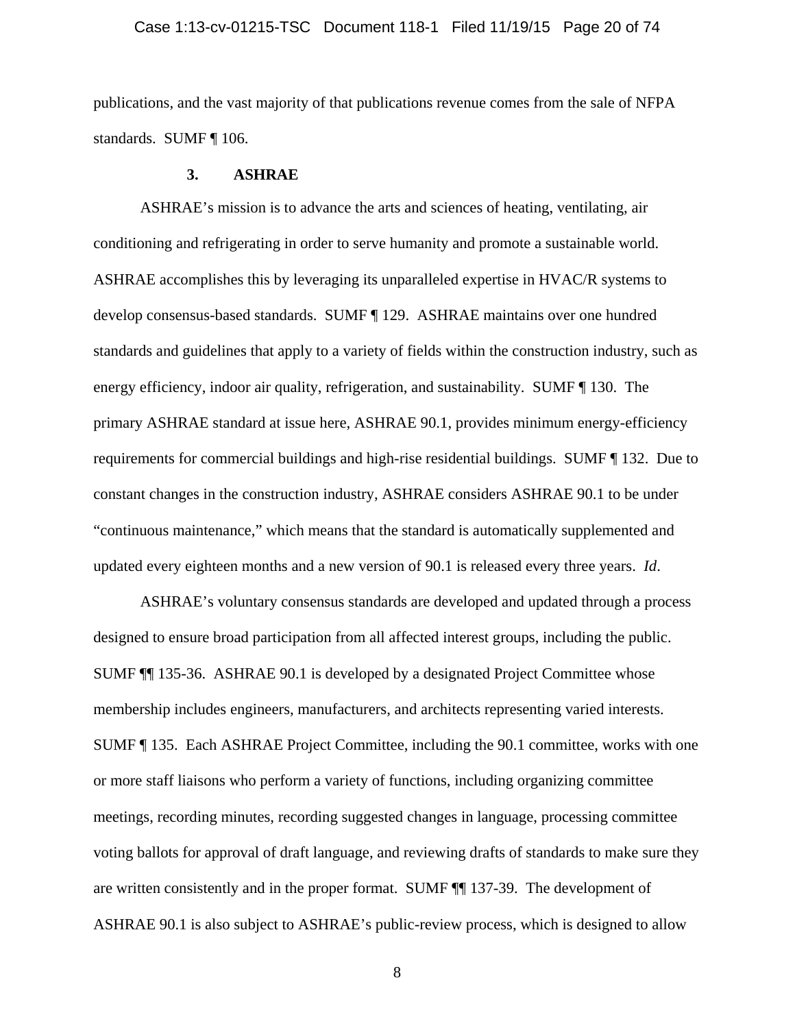#### Case 1:13-cv-01215-TSC Document 118-1 Filed 11/19/15 Page 20 of 74

publications, and the vast majority of that publications revenue comes from the sale of NFPA standards. SUMF ¶ 106.

### **3. ASHRAE**

ASHRAE's mission is to advance the arts and sciences of heating, ventilating, air conditioning and refrigerating in order to serve humanity and promote a sustainable world. ASHRAE accomplishes this by leveraging its unparalleled expertise in HVAC/R systems to develop consensus-based standards. SUMF ¶ 129. ASHRAE maintains over one hundred standards and guidelines that apply to a variety of fields within the construction industry, such as energy efficiency, indoor air quality, refrigeration, and sustainability. SUMF ¶ 130. The primary ASHRAE standard at issue here, ASHRAE 90.1, provides minimum energy-efficiency requirements for commercial buildings and high-rise residential buildings. SUMF ¶ 132. Due to constant changes in the construction industry, ASHRAE considers ASHRAE 90.1 to be under "continuous maintenance," which means that the standard is automatically supplemented and updated every eighteen months and a new version of 90.1 is released every three years. *Id*.

ASHRAE's voluntary consensus standards are developed and updated through a process designed to ensure broad participation from all affected interest groups, including the public. SUMF ¶¶ 135-36. ASHRAE 90.1 is developed by a designated Project Committee whose membership includes engineers, manufacturers, and architects representing varied interests. SUMF ¶ 135. Each ASHRAE Project Committee, including the 90.1 committee, works with one or more staff liaisons who perform a variety of functions, including organizing committee meetings, recording minutes, recording suggested changes in language, processing committee voting ballots for approval of draft language, and reviewing drafts of standards to make sure they are written consistently and in the proper format. SUMF ¶¶ 137-39. The development of ASHRAE 90.1 is also subject to ASHRAE's public-review process, which is designed to allow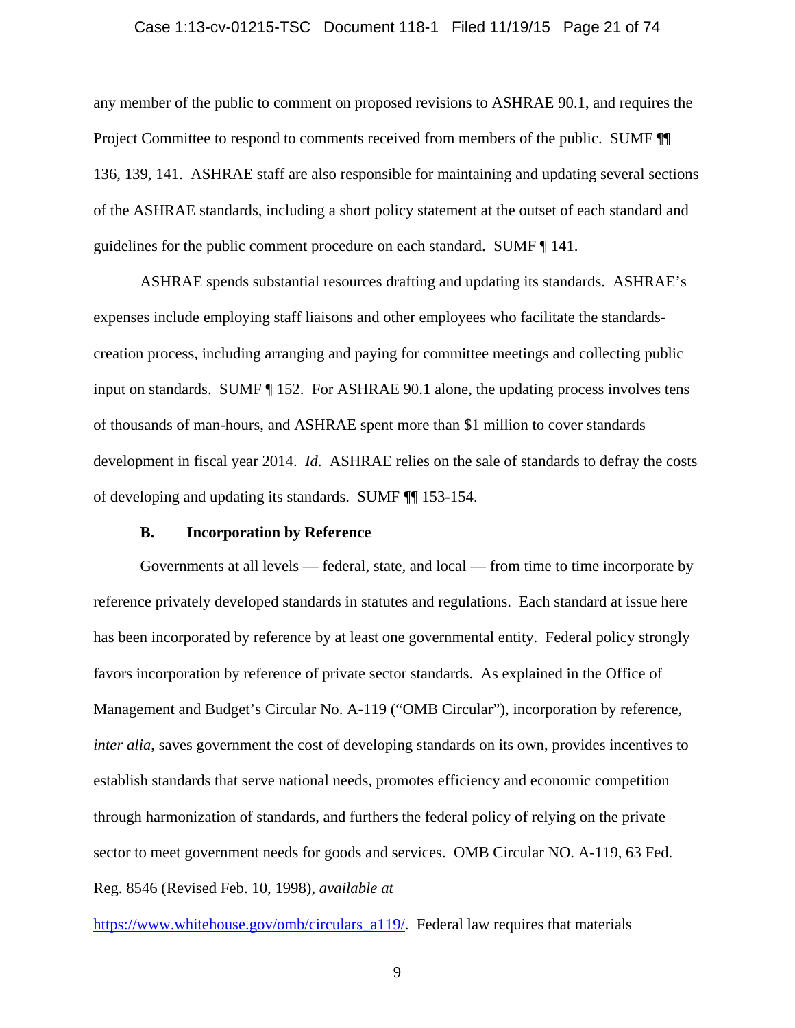#### Case 1:13-cv-01215-TSC Document 118-1 Filed 11/19/15 Page 21 of 74

any member of the public to comment on proposed revisions to ASHRAE 90.1, and requires the Project Committee to respond to comments received from members of the public. SUMF ¶¶ 136, 139, 141. ASHRAE staff are also responsible for maintaining and updating several sections of the ASHRAE standards, including a short policy statement at the outset of each standard and guidelines for the public comment procedure on each standard. SUMF ¶ 141.

ASHRAE spends substantial resources drafting and updating its standards. ASHRAE's expenses include employing staff liaisons and other employees who facilitate the standardscreation process, including arranging and paying for committee meetings and collecting public input on standards. SUMF ¶ 152. For ASHRAE 90.1 alone, the updating process involves tens of thousands of man-hours, and ASHRAE spent more than \$1 million to cover standards development in fiscal year 2014. *Id*. ASHRAE relies on the sale of standards to defray the costs of developing and updating its standards. SUMF ¶¶ 153-154.

#### **B. Incorporation by Reference**

Governments at all levels — federal, state, and local — from time to time incorporate by reference privately developed standards in statutes and regulations. Each standard at issue here has been incorporated by reference by at least one governmental entity. Federal policy strongly favors incorporation by reference of private sector standards. As explained in the Office of Management and Budget's Circular No. A-119 ("OMB Circular"), incorporation by reference, *inter alia*, saves government the cost of developing standards on its own, provides incentives to establish standards that serve national needs, promotes efficiency and economic competition through harmonization of standards, and furthers the federal policy of relying on the private sector to meet government needs for goods and services. OMB Circular NO. A-119, 63 Fed. Reg. 8546 (Revised Feb. 10, 1998), *available at*

https://www.whitehouse.gov/omb/circulars\_a119/. Federal law requires that materials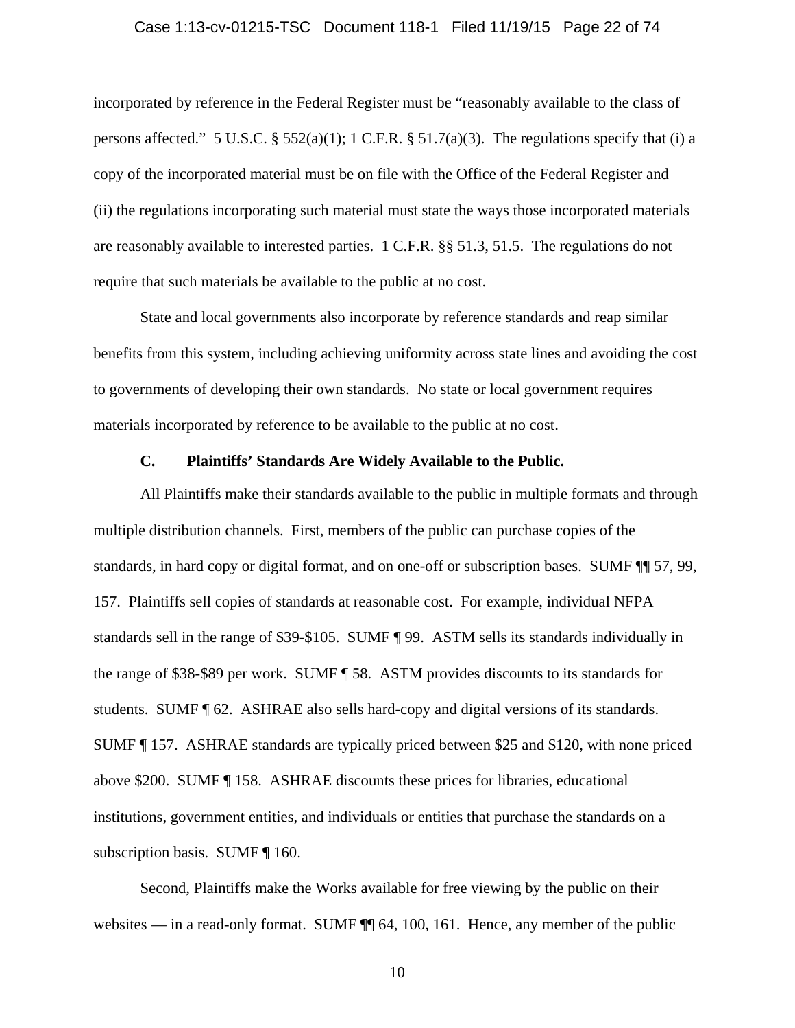#### Case 1:13-cv-01215-TSC Document 118-1 Filed 11/19/15 Page 22 of 74

incorporated by reference in the Federal Register must be "reasonably available to the class of persons affected." 5 U.S.C. § 552(a)(1); 1 C.F.R. § 51.7(a)(3). The regulations specify that (i) a copy of the incorporated material must be on file with the Office of the Federal Register and (ii) the regulations incorporating such material must state the ways those incorporated materials are reasonably available to interested parties. 1 C.F.R. §§ 51.3, 51.5. The regulations do not require that such materials be available to the public at no cost.

State and local governments also incorporate by reference standards and reap similar benefits from this system, including achieving uniformity across state lines and avoiding the cost to governments of developing their own standards. No state or local government requires materials incorporated by reference to be available to the public at no cost.

#### **C. Plaintiffs' Standards Are Widely Available to the Public.**

All Plaintiffs make their standards available to the public in multiple formats and through multiple distribution channels. First, members of the public can purchase copies of the standards, in hard copy or digital format, and on one-off or subscription bases. SUMF ¶¶ 57, 99, 157. Plaintiffs sell copies of standards at reasonable cost. For example, individual NFPA standards sell in the range of \$39-\$105. SUMF ¶ 99. ASTM sells its standards individually in the range of \$38-\$89 per work. SUMF ¶ 58. ASTM provides discounts to its standards for students. SUMF ¶ 62. ASHRAE also sells hard-copy and digital versions of its standards. SUMF ¶ 157. ASHRAE standards are typically priced between \$25 and \$120, with none priced above \$200. SUMF ¶ 158. ASHRAE discounts these prices for libraries, educational institutions, government entities, and individuals or entities that purchase the standards on a subscription basis. SUMF ¶ 160.

Second, Plaintiffs make the Works available for free viewing by the public on their websites — in a read-only format. SUMF  $\P$  64, 100, 161. Hence, any member of the public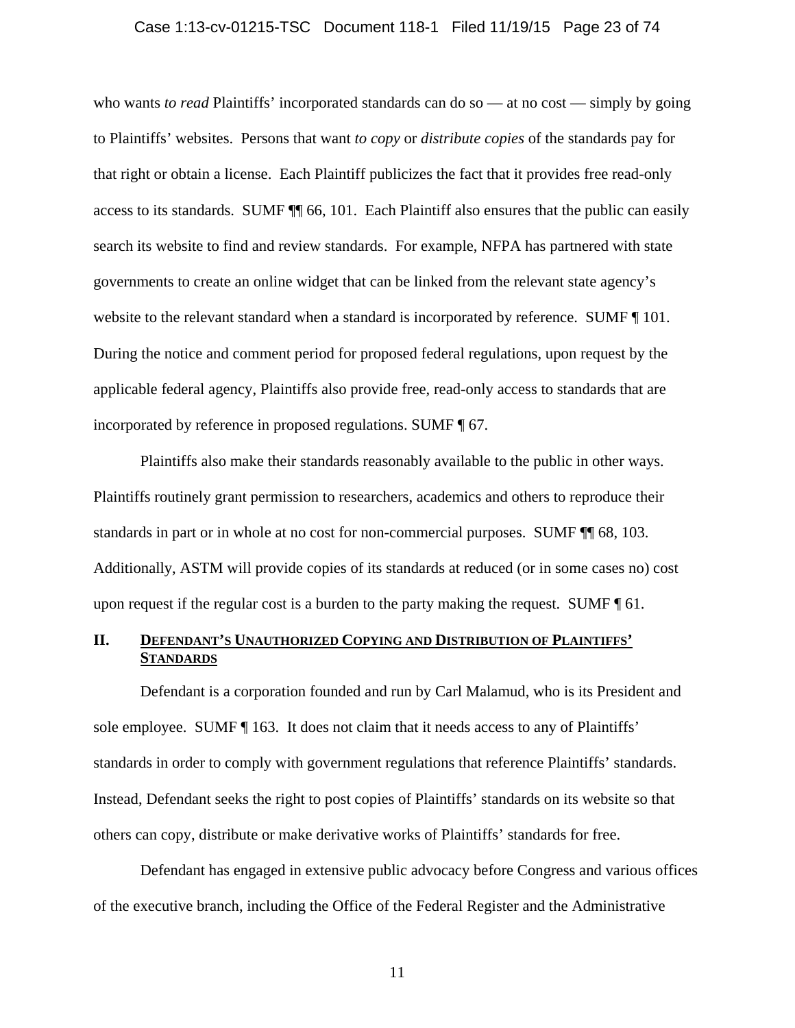#### Case 1:13-cv-01215-TSC Document 118-1 Filed 11/19/15 Page 23 of 74

who wants *to read* Plaintiffs' incorporated standards can do so — at no cost — simply by going to Plaintiffs' websites. Persons that want *to copy* or *distribute copies* of the standards pay for that right or obtain a license. Each Plaintiff publicizes the fact that it provides free read-only access to its standards. SUMF ¶¶ 66, 101. Each Plaintiff also ensures that the public can easily search its website to find and review standards. For example, NFPA has partnered with state governments to create an online widget that can be linked from the relevant state agency's website to the relevant standard when a standard is incorporated by reference. SUMF  $\P$  101. During the notice and comment period for proposed federal regulations, upon request by the applicable federal agency, Plaintiffs also provide free, read-only access to standards that are incorporated by reference in proposed regulations. SUMF ¶ 67.

Plaintiffs also make their standards reasonably available to the public in other ways. Plaintiffs routinely grant permission to researchers, academics and others to reproduce their standards in part or in whole at no cost for non-commercial purposes. SUMF ¶¶ 68, 103. Additionally, ASTM will provide copies of its standards at reduced (or in some cases no) cost upon request if the regular cost is a burden to the party making the request. SUMF  $\P$  61.

### **II. DEFENDANT'S UNAUTHORIZED COPYING AND DISTRIBUTION OF PLAINTIFFS' STANDARDS**

Defendant is a corporation founded and run by Carl Malamud, who is its President and sole employee. SUMF  $\P$  163. It does not claim that it needs access to any of Plaintiffs' standards in order to comply with government regulations that reference Plaintiffs' standards. Instead, Defendant seeks the right to post copies of Plaintiffs' standards on its website so that others can copy, distribute or make derivative works of Plaintiffs' standards for free.

Defendant has engaged in extensive public advocacy before Congress and various offices of the executive branch, including the Office of the Federal Register and the Administrative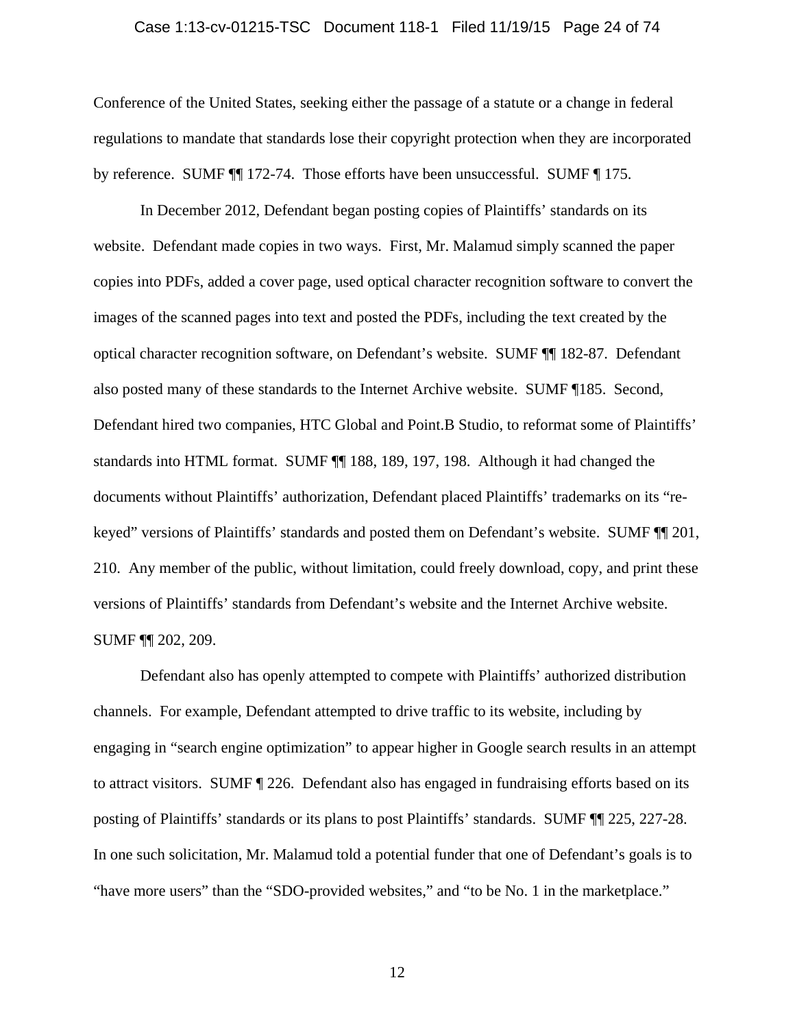#### Case 1:13-cv-01215-TSC Document 118-1 Filed 11/19/15 Page 24 of 74

Conference of the United States, seeking either the passage of a statute or a change in federal regulations to mandate that standards lose their copyright protection when they are incorporated by reference. SUMF ¶¶ 172-74. Those efforts have been unsuccessful. SUMF ¶ 175.

In December 2012, Defendant began posting copies of Plaintiffs' standards on its website. Defendant made copies in two ways. First, Mr. Malamud simply scanned the paper copies into PDFs, added a cover page, used optical character recognition software to convert the images of the scanned pages into text and posted the PDFs, including the text created by the optical character recognition software, on Defendant's website. SUMF ¶¶ 182-87. Defendant also posted many of these standards to the Internet Archive website. SUMF ¶185. Second, Defendant hired two companies, HTC Global and Point.B Studio, to reformat some of Plaintiffs' standards into HTML format. SUMF ¶¶ 188, 189, 197, 198. Although it had changed the documents without Plaintiffs' authorization, Defendant placed Plaintiffs' trademarks on its "rekeyed" versions of Plaintiffs' standards and posted them on Defendant's website. SUMF ¶¶ 201, 210. Any member of the public, without limitation, could freely download, copy, and print these versions of Plaintiffs' standards from Defendant's website and the Internet Archive website. SUMF ¶¶ 202, 209.

Defendant also has openly attempted to compete with Plaintiffs' authorized distribution channels. For example, Defendant attempted to drive traffic to its website, including by engaging in "search engine optimization" to appear higher in Google search results in an attempt to attract visitors. SUMF ¶ 226. Defendant also has engaged in fundraising efforts based on its posting of Plaintiffs' standards or its plans to post Plaintiffs' standards. SUMF ¶¶ 225, 227-28. In one such solicitation, Mr. Malamud told a potential funder that one of Defendant's goals is to "have more users" than the "SDO-provided websites," and "to be No. 1 in the marketplace."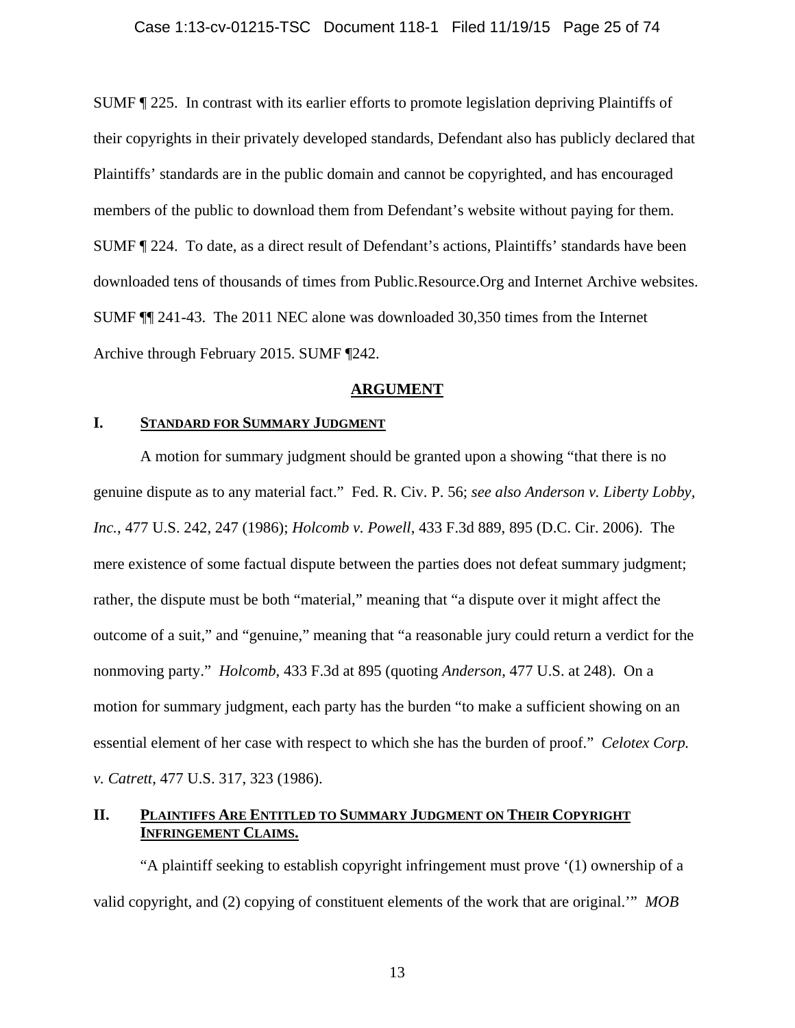SUMF ¶ 225. In contrast with its earlier efforts to promote legislation depriving Plaintiffs of their copyrights in their privately developed standards, Defendant also has publicly declared that Plaintiffs' standards are in the public domain and cannot be copyrighted, and has encouraged members of the public to download them from Defendant's website without paying for them. SUMF ¶ 224. To date, as a direct result of Defendant's actions, Plaintiffs' standards have been downloaded tens of thousands of times from Public.Resource.Org and Internet Archive websites. SUMF ¶¶ 241-43. The 2011 NEC alone was downloaded 30,350 times from the Internet Archive through February 2015. SUMF ¶242.

### **ARGUMENT**

### **I. STANDARD FOR SUMMARY JUDGMENT**

A motion for summary judgment should be granted upon a showing "that there is no genuine dispute as to any material fact." Fed. R. Civ. P. 56; *see also Anderson v. Liberty Lobby, Inc.*, 477 U.S. 242, 247 (1986); *Holcomb v. Powell*, 433 F.3d 889, 895 (D.C. Cir. 2006). The mere existence of some factual dispute between the parties does not defeat summary judgment; rather, the dispute must be both "material," meaning that "a dispute over it might affect the outcome of a suit," and "genuine," meaning that "a reasonable jury could return a verdict for the nonmoving party." *Holcomb*, 433 F.3d at 895 (quoting *Anderson*, 477 U.S. at 248). On a motion for summary judgment, each party has the burden "to make a sufficient showing on an essential element of her case with respect to which she has the burden of proof." *Celotex Corp. v. Catrett*, 477 U.S. 317, 323 (1986).

### **II. PLAINTIFFS ARE ENTITLED TO SUMMARY JUDGMENT ON THEIR COPYRIGHT INFRINGEMENT CLAIMS.**

"A plaintiff seeking to establish copyright infringement must prove '(1) ownership of a valid copyright, and (2) copying of constituent elements of the work that are original.'" *MOB*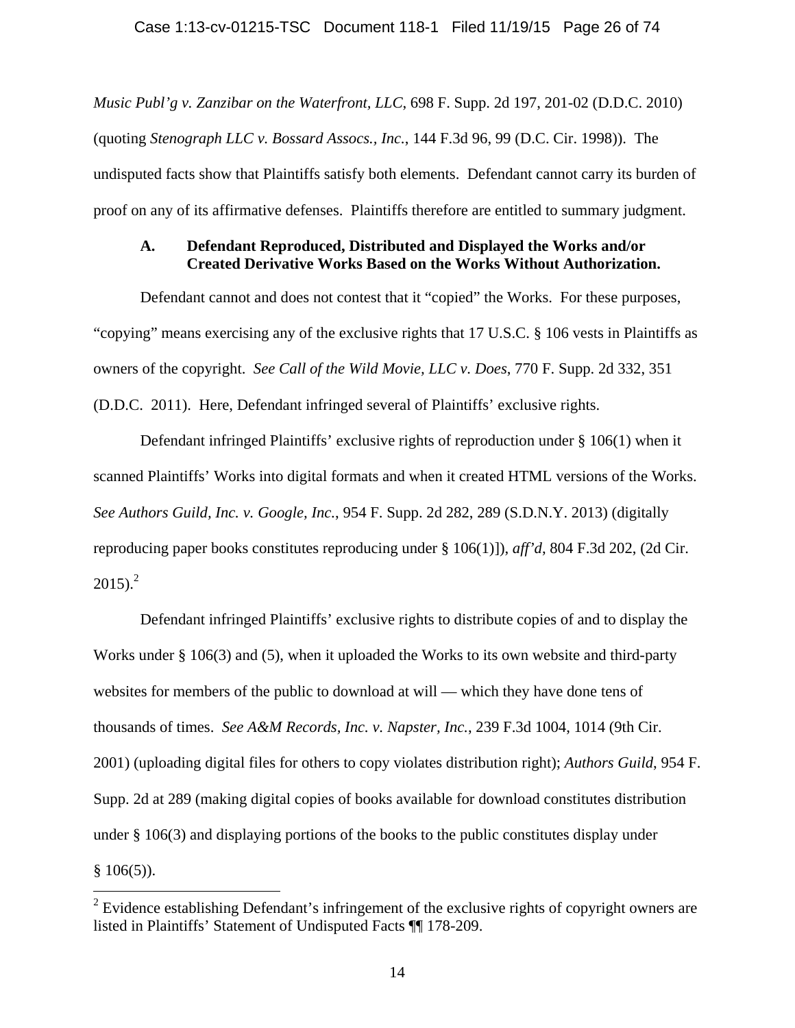*Music Publ'g v. Zanzibar on the Waterfront, LLC*, 698 F. Supp. 2d 197, 201-02 (D.D.C. 2010) (quoting *Stenograph LLC v. Bossard Assocs., Inc.*, 144 F.3d 96, 99 (D.C. Cir. 1998)). The undisputed facts show that Plaintiffs satisfy both elements. Defendant cannot carry its burden of proof on any of its affirmative defenses. Plaintiffs therefore are entitled to summary judgment.

### **A. Defendant Reproduced, Distributed and Displayed the Works and/or Created Derivative Works Based on the Works Without Authorization.**

Defendant cannot and does not contest that it "copied" the Works. For these purposes, "copying" means exercising any of the exclusive rights that 17 U.S.C. § 106 vests in Plaintiffs as owners of the copyright. *See Call of the Wild Movie, LLC v. Does*, 770 F. Supp. 2d 332, 351 (D.D.C. 2011). Here, Defendant infringed several of Plaintiffs' exclusive rights.

Defendant infringed Plaintiffs' exclusive rights of reproduction under § 106(1) when it scanned Plaintiffs' Works into digital formats and when it created HTML versions of the Works. *See Authors Guild, Inc. v. Google, Inc.*, 954 F. Supp. 2d 282, 289 (S.D.N.Y. 2013) (digitally reproducing paper books constitutes reproducing under § 106(1)]), *aff'd*, 804 F.3d 202, (2d Cir.  $2015$ ).<sup>2</sup>

Defendant infringed Plaintiffs' exclusive rights to distribute copies of and to display the Works under § 106(3) and (5), when it uploaded the Works to its own website and third-party websites for members of the public to download at will — which they have done tens of thousands of times. *See A&M Records, Inc. v. Napster, Inc.*, 239 F.3d 1004, 1014 (9th Cir. 2001) (uploading digital files for others to copy violates distribution right); *Authors Guild*, 954 F. Supp. 2d at 289 (making digital copies of books available for download constitutes distribution under § 106(3) and displaying portions of the books to the public constitutes display under  $§$  106(5)).

 $2^{2}$  Evidence establishing Defendant's infringement of the exclusive rights of copyright owners are listed in Plaintiffs' Statement of Undisputed Facts ¶¶ 178-209.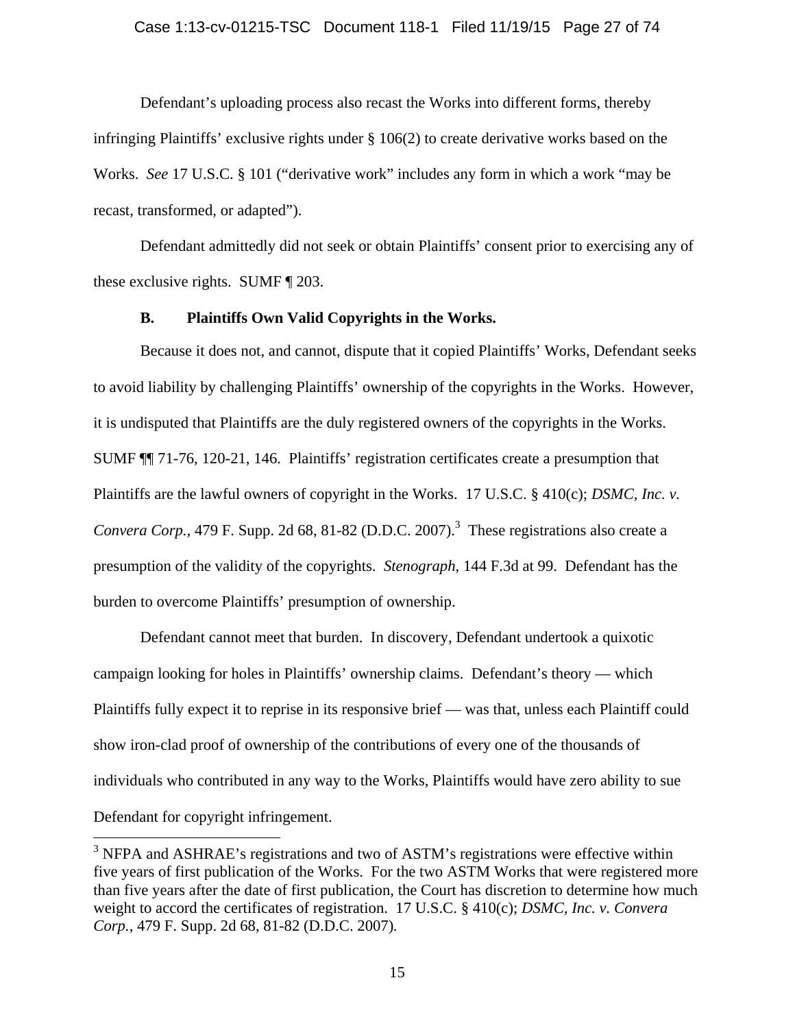#### Case 1:13-cv-01215-TSC Document 118-1 Filed 11/19/15 Page 27 of 74

Defendant's uploading process also recast the Works into different forms, thereby infringing Plaintiffs' exclusive rights under § 106(2) to create derivative works based on the Works. *See* 17 U.S.C. § 101 ("derivative work" includes any form in which a work "may be recast, transformed, or adapted").

Defendant admittedly did not seek or obtain Plaintiffs' consent prior to exercising any of these exclusive rights. SUMF ¶ 203.

### **B. Plaintiffs Own Valid Copyrights in the Works.**

Because it does not, and cannot, dispute that it copied Plaintiffs' Works, Defendant seeks to avoid liability by challenging Plaintiffs' ownership of the copyrights in the Works. However, it is undisputed that Plaintiffs are the duly registered owners of the copyrights in the Works. SUMF ¶¶ 71-76, 120-21, 146. Plaintiffs' registration certificates create a presumption that Plaintiffs are the lawful owners of copyright in the Works. 17 U.S.C. § 410(c); *DSMC, Inc. v. Convera Corp.*, 479 F. Supp. 2d 68, 81-82 (D.D.C. 2007).<sup>3</sup> These registrations also create a presumption of the validity of the copyrights. *Stenograph*, 144 F.3d at 99. Defendant has the burden to overcome Plaintiffs' presumption of ownership.

Defendant cannot meet that burden. In discovery, Defendant undertook a quixotic campaign looking for holes in Plaintiffs' ownership claims. Defendant's theory — which Plaintiffs fully expect it to reprise in its responsive brief — was that, unless each Plaintiff could show iron-clad proof of ownership of the contributions of every one of the thousands of individuals who contributed in any way to the Works, Plaintiffs would have zero ability to sue Defendant for copyright infringement.

 $\overline{a}$ 

 $3$  NFPA and ASHRAE's registrations and two of ASTM's registrations were effective within five years of first publication of the Works. For the two ASTM Works that were registered more than five years after the date of first publication, the Court has discretion to determine how much weight to accord the certificates of registration. 17 U.S.C. § 410(c); *DSMC, Inc. v. Convera Corp.*, 479 F. Supp. 2d 68, 81-82 (D.D.C. 2007)*.*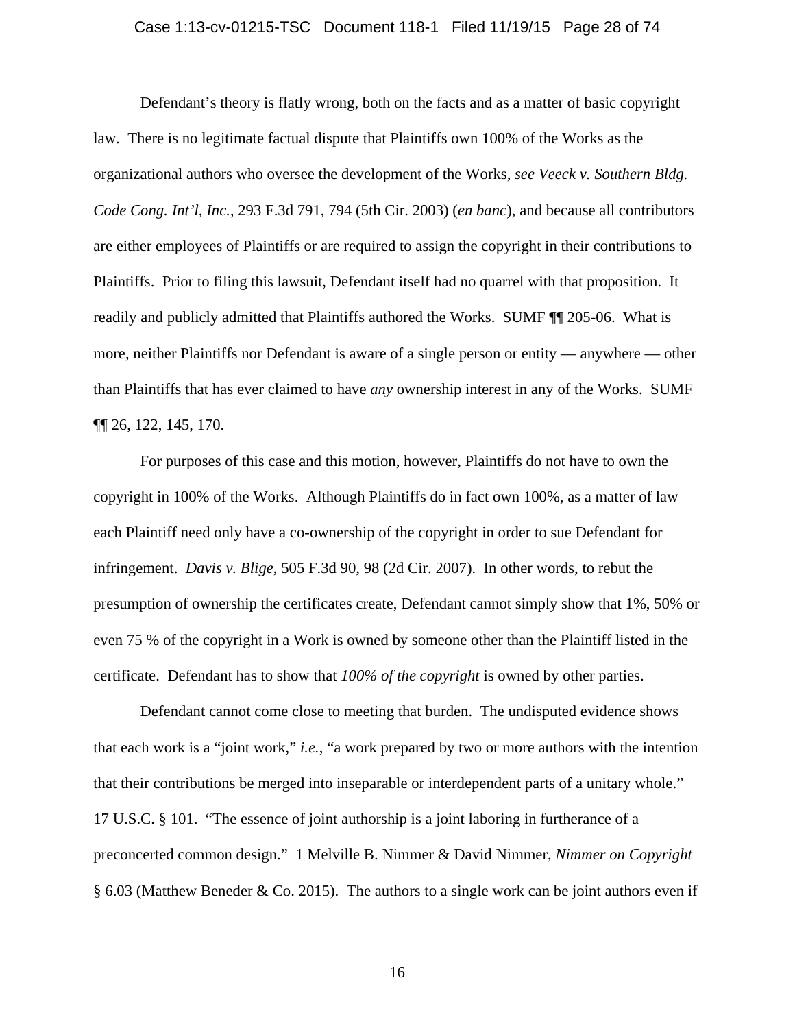#### Case 1:13-cv-01215-TSC Document 118-1 Filed 11/19/15 Page 28 of 74

Defendant's theory is flatly wrong, both on the facts and as a matter of basic copyright law. There is no legitimate factual dispute that Plaintiffs own 100% of the Works as the organizational authors who oversee the development of the Works, *see Veeck v. Southern Bldg. Code Cong. Int'l, Inc.*, 293 F.3d 791, 794 (5th Cir. 2003) (*en banc*), and because all contributors are either employees of Plaintiffs or are required to assign the copyright in their contributions to Plaintiffs. Prior to filing this lawsuit, Defendant itself had no quarrel with that proposition. It readily and publicly admitted that Plaintiffs authored the Works. SUMF ¶¶ 205-06. What is more, neither Plaintiffs nor Defendant is aware of a single person or entity — anywhere — other than Plaintiffs that has ever claimed to have *any* ownership interest in any of the Works. SUMF ¶¶ 26, 122, 145, 170.

For purposes of this case and this motion, however, Plaintiffs do not have to own the copyright in 100% of the Works. Although Plaintiffs do in fact own 100%, as a matter of law each Plaintiff need only have a co-ownership of the copyright in order to sue Defendant for infringement. *Davis v. Blige*, 505 F.3d 90, 98 (2d Cir. 2007). In other words, to rebut the presumption of ownership the certificates create, Defendant cannot simply show that 1%, 50% or even 75 % of the copyright in a Work is owned by someone other than the Plaintiff listed in the certificate. Defendant has to show that *100% of the copyright* is owned by other parties.

Defendant cannot come close to meeting that burden. The undisputed evidence shows that each work is a "joint work," *i.e.*, "a work prepared by two or more authors with the intention that their contributions be merged into inseparable or interdependent parts of a unitary whole." 17 U.S.C. § 101. "The essence of joint authorship is a joint laboring in furtherance of a preconcerted common design." 1 Melville B. Nimmer & David Nimmer, *Nimmer on Copyright* § 6.03 (Matthew Beneder & Co. 2015). The authors to a single work can be joint authors even if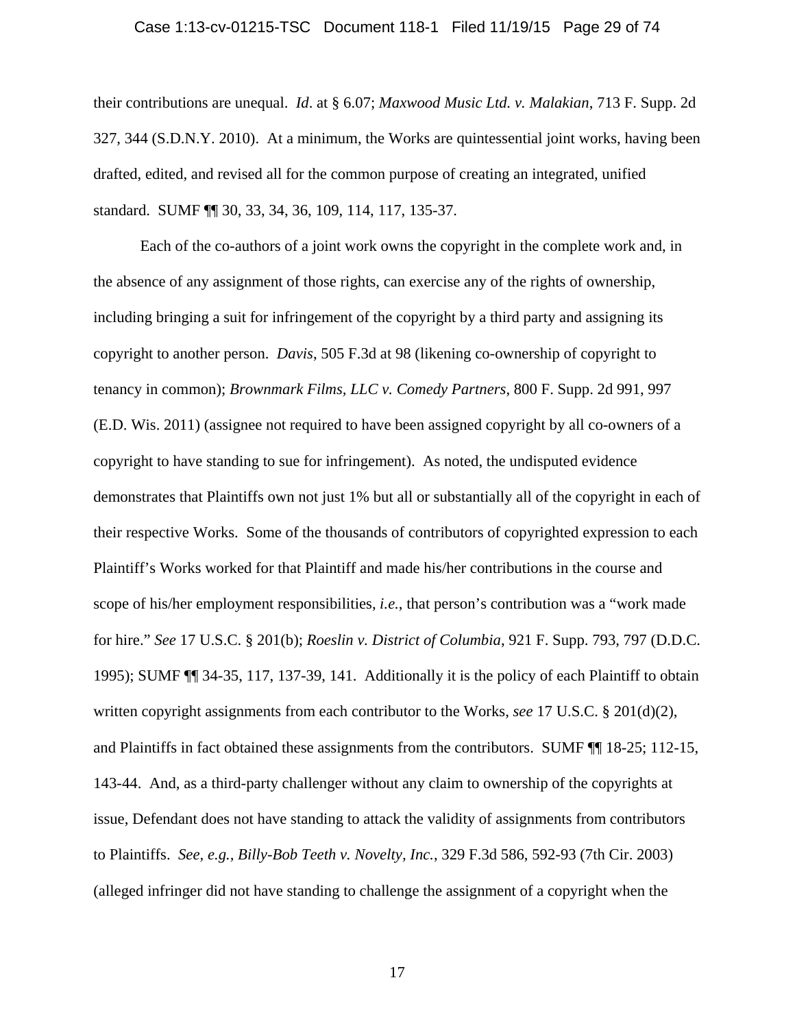#### Case 1:13-cv-01215-TSC Document 118-1 Filed 11/19/15 Page 29 of 74

their contributions are unequal. *Id*. at § 6.07; *Maxwood Music Ltd. v. Malakian*, 713 F. Supp. 2d 327, 344 (S.D.N.Y. 2010). At a minimum, the Works are quintessential joint works, having been drafted, edited, and revised all for the common purpose of creating an integrated, unified standard. SUMF ¶¶ 30, 33, 34, 36, 109, 114, 117, 135-37.

Each of the co-authors of a joint work owns the copyright in the complete work and, in the absence of any assignment of those rights, can exercise any of the rights of ownership, including bringing a suit for infringement of the copyright by a third party and assigning its copyright to another person. *Davis*, 505 F.3d at 98 (likening co-ownership of copyright to tenancy in common); *Brownmark Films, LLC v. Comedy Partners*, 800 F. Supp. 2d 991, 997 (E.D. Wis. 2011) (assignee not required to have been assigned copyright by all co-owners of a copyright to have standing to sue for infringement). As noted, the undisputed evidence demonstrates that Plaintiffs own not just 1% but all or substantially all of the copyright in each of their respective Works. Some of the thousands of contributors of copyrighted expression to each Plaintiff's Works worked for that Plaintiff and made his/her contributions in the course and scope of his/her employment responsibilities, *i.e.*, that person's contribution was a "work made for hire." *See* 17 U.S.C. § 201(b); *Roeslin v. District of Columbia*, 921 F. Supp. 793, 797 (D.D.C. 1995); SUMF ¶¶ 34-35, 117, 137-39, 141. Additionally it is the policy of each Plaintiff to obtain written copyright assignments from each contributor to the Works, *see* 17 U.S.C. § 201(d)(2), and Plaintiffs in fact obtained these assignments from the contributors. SUMF ¶¶ 18-25; 112-15, 143-44. And, as a third-party challenger without any claim to ownership of the copyrights at issue, Defendant does not have standing to attack the validity of assignments from contributors to Plaintiffs. *See, e.g., Billy-Bob Teeth v. Novelty, Inc.*, 329 F.3d 586, 592-93 (7th Cir. 2003) (alleged infringer did not have standing to challenge the assignment of a copyright when the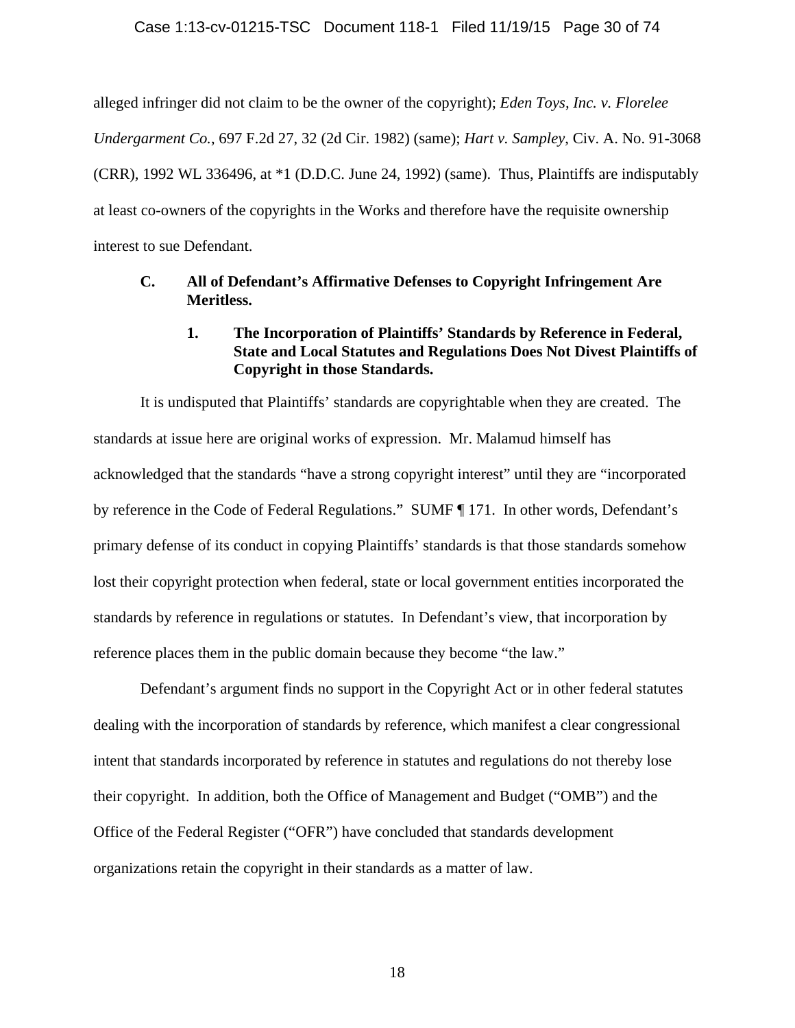alleged infringer did not claim to be the owner of the copyright); *Eden Toys, Inc. v. Florelee Undergarment Co.*, 697 F.2d 27, 32 (2d Cir. 1982) (same); *Hart v. Sampley*, Civ. A. No. 91-3068 (CRR), 1992 WL 336496, at \*1 (D.D.C. June 24, 1992) (same). Thus, Plaintiffs are indisputably at least co-owners of the copyrights in the Works and therefore have the requisite ownership interest to sue Defendant.

### **C. All of Defendant's Affirmative Defenses to Copyright Infringement Are Meritless.**

### **1. The Incorporation of Plaintiffs' Standards by Reference in Federal, State and Local Statutes and Regulations Does Not Divest Plaintiffs of Copyright in those Standards.**

It is undisputed that Plaintiffs' standards are copyrightable when they are created. The standards at issue here are original works of expression. Mr. Malamud himself has acknowledged that the standards "have a strong copyright interest" until they are "incorporated by reference in the Code of Federal Regulations." SUMF ¶ 171. In other words, Defendant's primary defense of its conduct in copying Plaintiffs' standards is that those standards somehow lost their copyright protection when federal, state or local government entities incorporated the standards by reference in regulations or statutes. In Defendant's view, that incorporation by reference places them in the public domain because they become "the law."

Defendant's argument finds no support in the Copyright Act or in other federal statutes dealing with the incorporation of standards by reference, which manifest a clear congressional intent that standards incorporated by reference in statutes and regulations do not thereby lose their copyright. In addition, both the Office of Management and Budget ("OMB") and the Office of the Federal Register ("OFR") have concluded that standards development organizations retain the copyright in their standards as a matter of law.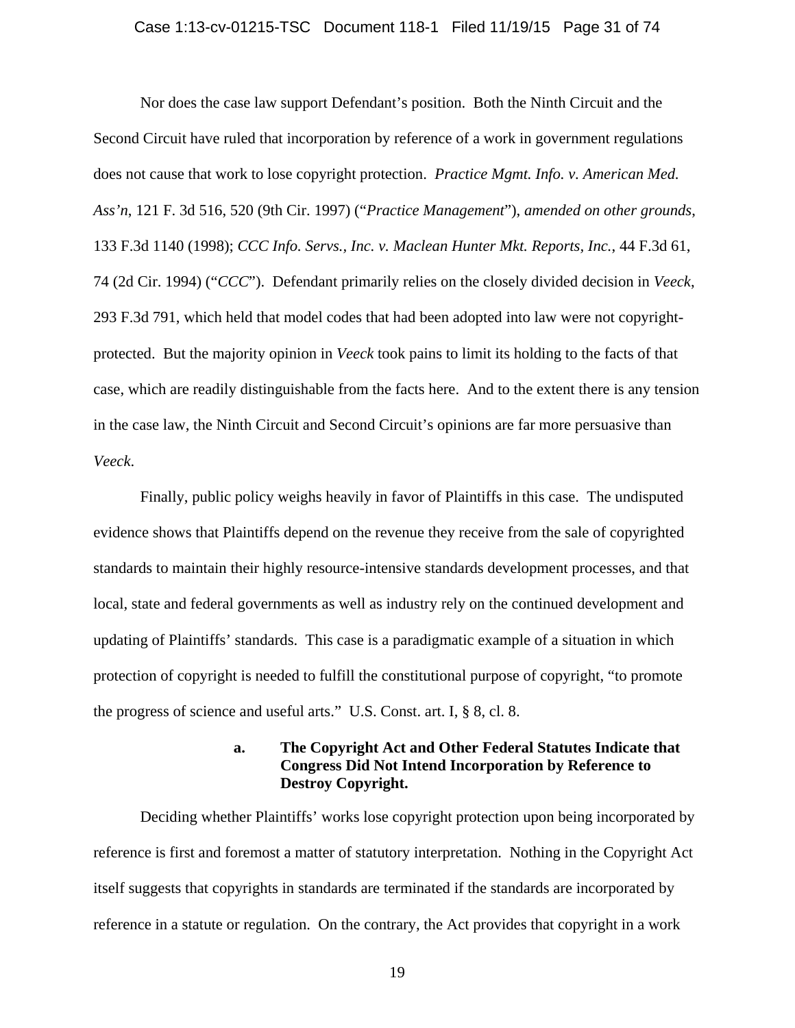#### Case 1:13-cv-01215-TSC Document 118-1 Filed 11/19/15 Page 31 of 74

Nor does the case law support Defendant's position. Both the Ninth Circuit and the Second Circuit have ruled that incorporation by reference of a work in government regulations does not cause that work to lose copyright protection. *Practice Mgmt. Info. v. American Med. Ass'n*, 121 F. 3d 516, 520 (9th Cir. 1997) ("*Practice Management*"), *amended on other grounds*, 133 F.3d 1140 (1998); *CCC Info. Servs., Inc. v. Maclean Hunter Mkt. Reports, Inc.*, 44 F.3d 61, 74 (2d Cir. 1994) ("*CCC*"). Defendant primarily relies on the closely divided decision in *Veeck*, 293 F.3d 791, which held that model codes that had been adopted into law were not copyrightprotected. But the majority opinion in *Veeck* took pains to limit its holding to the facts of that case, which are readily distinguishable from the facts here. And to the extent there is any tension in the case law, the Ninth Circuit and Second Circuit's opinions are far more persuasive than *Veeck*.

Finally, public policy weighs heavily in favor of Plaintiffs in this case. The undisputed evidence shows that Plaintiffs depend on the revenue they receive from the sale of copyrighted standards to maintain their highly resource-intensive standards development processes, and that local, state and federal governments as well as industry rely on the continued development and updating of Plaintiffs' standards. This case is a paradigmatic example of a situation in which protection of copyright is needed to fulfill the constitutional purpose of copyright, "to promote the progress of science and useful arts." U.S. Const. art. I, § 8, cl. 8.

### **a. The Copyright Act and Other Federal Statutes Indicate that Congress Did Not Intend Incorporation by Reference to Destroy Copyright.**

Deciding whether Plaintiffs' works lose copyright protection upon being incorporated by reference is first and foremost a matter of statutory interpretation. Nothing in the Copyright Act itself suggests that copyrights in standards are terminated if the standards are incorporated by reference in a statute or regulation. On the contrary, the Act provides that copyright in a work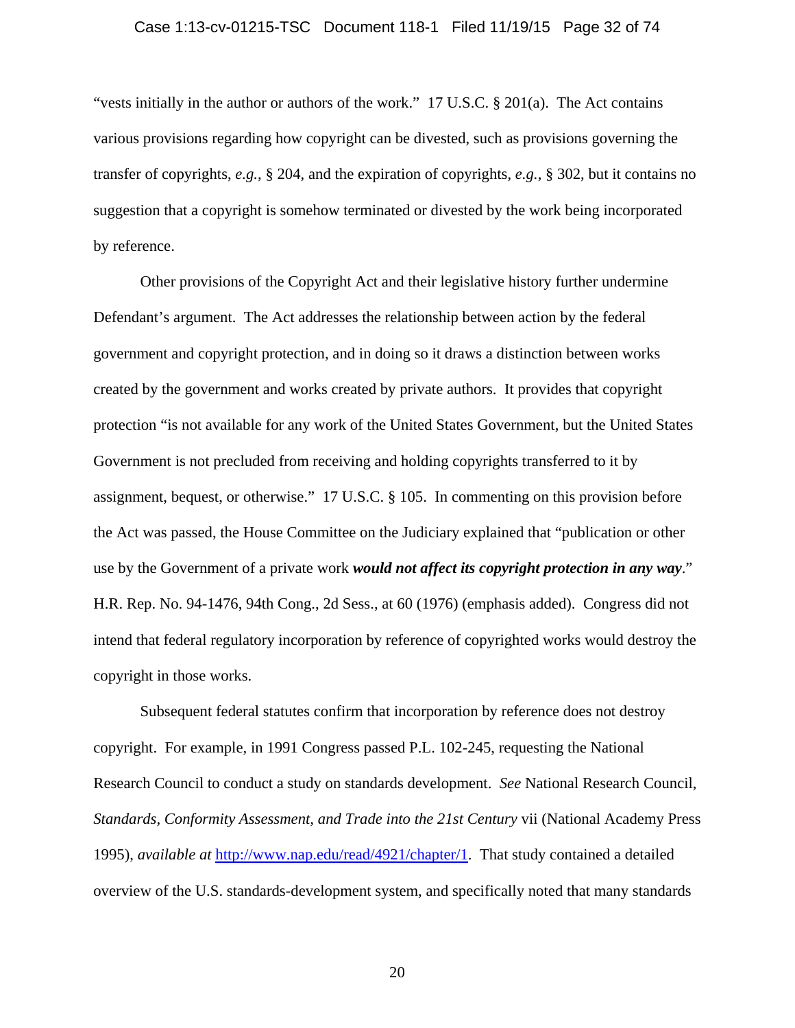#### Case 1:13-cv-01215-TSC Document 118-1 Filed 11/19/15 Page 32 of 74

"vests initially in the author or authors of the work." 17 U.S.C. § 201(a). The Act contains various provisions regarding how copyright can be divested, such as provisions governing the transfer of copyrights, *e.g.*, § 204, and the expiration of copyrights, *e.g.*, § 302, but it contains no suggestion that a copyright is somehow terminated or divested by the work being incorporated by reference.

Other provisions of the Copyright Act and their legislative history further undermine Defendant's argument. The Act addresses the relationship between action by the federal government and copyright protection, and in doing so it draws a distinction between works created by the government and works created by private authors. It provides that copyright protection "is not available for any work of the United States Government, but the United States Government is not precluded from receiving and holding copyrights transferred to it by assignment, bequest, or otherwise." 17 U.S.C. § 105. In commenting on this provision before the Act was passed, the House Committee on the Judiciary explained that "publication or other use by the Government of a private work *would not affect its copyright protection in any way*." H.R. Rep. No. 94-1476, 94th Cong., 2d Sess., at 60 (1976) (emphasis added). Congress did not intend that federal regulatory incorporation by reference of copyrighted works would destroy the copyright in those works.

Subsequent federal statutes confirm that incorporation by reference does not destroy copyright. For example, in 1991 Congress passed P.L. 102-245, requesting the National Research Council to conduct a study on standards development. *See* National Research Council, *Standards, Conformity Assessment, and Trade into the 21st Century* vii (National Academy Press 1995), *available at* http://www.nap.edu/read/4921/chapter/1. That study contained a detailed overview of the U.S. standards-development system, and specifically noted that many standards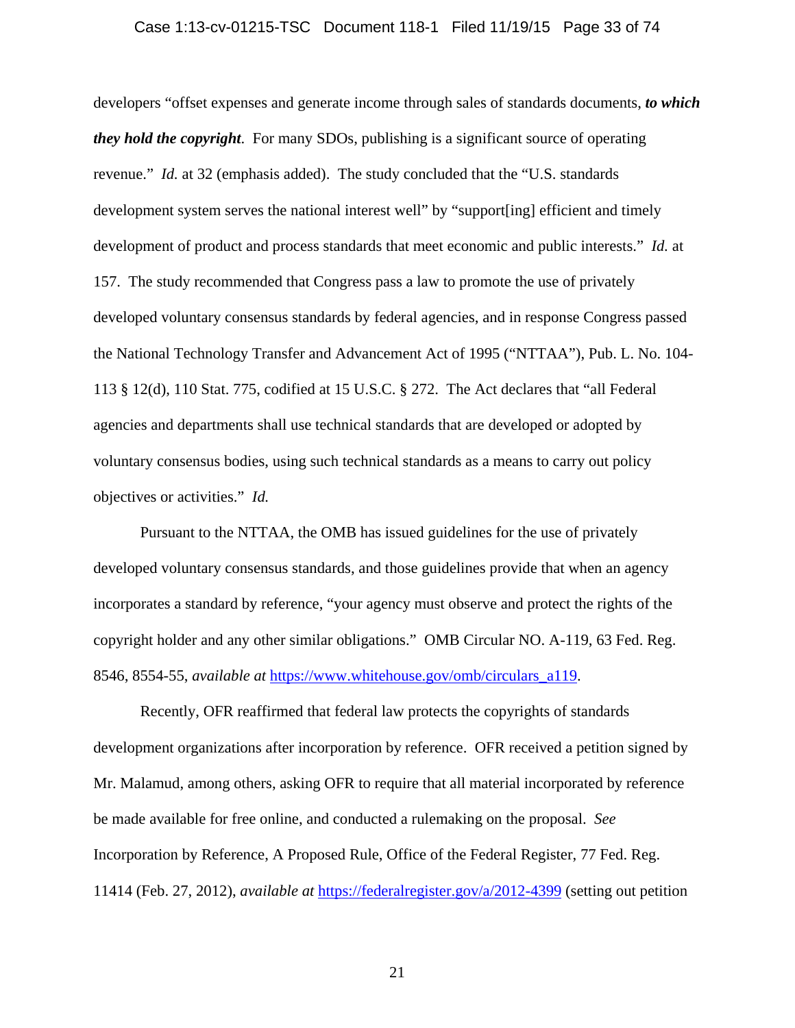#### Case 1:13-cv-01215-TSC Document 118-1 Filed 11/19/15 Page 33 of 74

developers "offset expenses and generate income through sales of standards documents, *to which they hold the copyright*. For many SDOs, publishing is a significant source of operating revenue." *Id.* at 32 (emphasis added). The study concluded that the "U.S. standards development system serves the national interest well" by "support[ing] efficient and timely development of product and process standards that meet economic and public interests." *Id.* at 157. The study recommended that Congress pass a law to promote the use of privately developed voluntary consensus standards by federal agencies, and in response Congress passed the National Technology Transfer and Advancement Act of 1995 ("NTTAA"), Pub. L. No. 104- 113 § 12(d), 110 Stat. 775, codified at 15 U.S.C. § 272. The Act declares that "all Federal agencies and departments shall use technical standards that are developed or adopted by voluntary consensus bodies, using such technical standards as a means to carry out policy objectives or activities." *Id.*

Pursuant to the NTTAA, the OMB has issued guidelines for the use of privately developed voluntary consensus standards, and those guidelines provide that when an agency incorporates a standard by reference, "your agency must observe and protect the rights of the copyright holder and any other similar obligations." OMB Circular NO. A-119, 63 Fed. Reg. 8546, 8554-55, *available at* https://www.whitehouse.gov/omb/circulars\_a119.

Recently, OFR reaffirmed that federal law protects the copyrights of standards development organizations after incorporation by reference. OFR received a petition signed by Mr. Malamud, among others, asking OFR to require that all material incorporated by reference be made available for free online, and conducted a rulemaking on the proposal. *See*  Incorporation by Reference, A Proposed Rule, Office of the Federal Register, 77 Fed. Reg. 11414 (Feb. 27, 2012), *available at* https://federalregister.gov/a/2012-4399 (setting out petition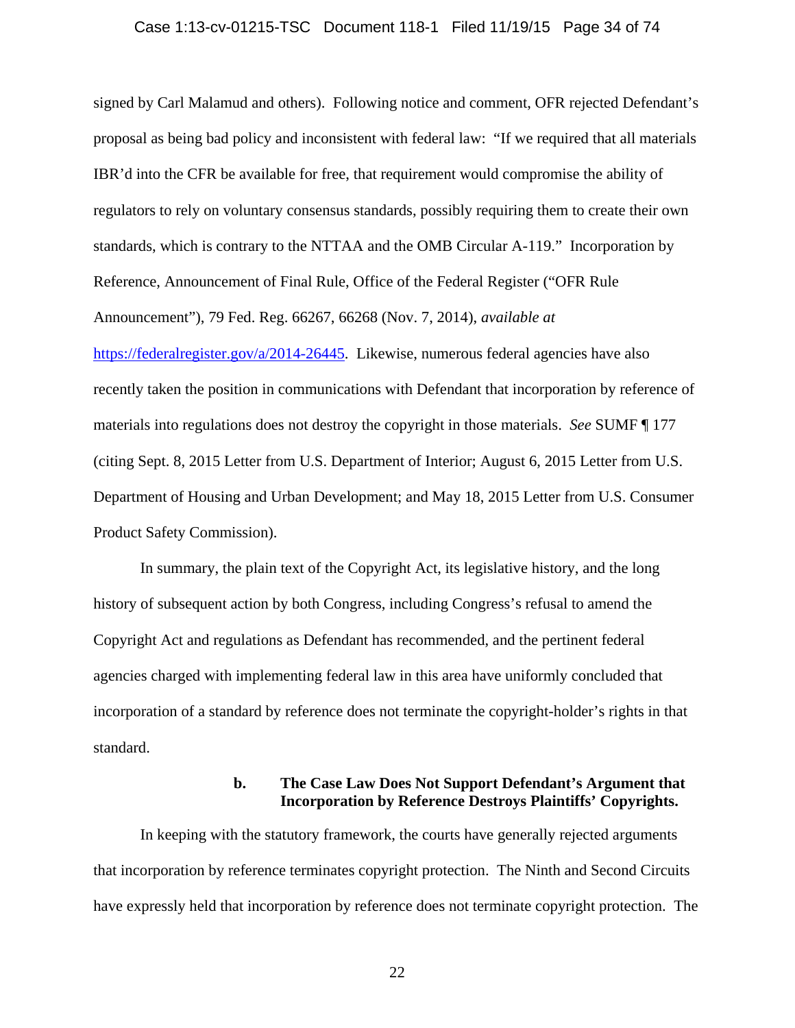#### Case 1:13-cv-01215-TSC Document 118-1 Filed 11/19/15 Page 34 of 74

signed by Carl Malamud and others). Following notice and comment, OFR rejected Defendant's proposal as being bad policy and inconsistent with federal law: "If we required that all materials IBR'd into the CFR be available for free, that requirement would compromise the ability of regulators to rely on voluntary consensus standards, possibly requiring them to create their own standards, which is contrary to the NTTAA and the OMB Circular A-119." Incorporation by Reference, Announcement of Final Rule, Office of the Federal Register ("OFR Rule Announcement"), 79 Fed. Reg. 66267, 66268 (Nov. 7, 2014), *available at* https://federalregister.gov/a/2014-26445. Likewise, numerous federal agencies have also recently taken the position in communications with Defendant that incorporation by reference of materials into regulations does not destroy the copyright in those materials. *See* SUMF ¶ 177 (citing Sept. 8, 2015 Letter from U.S. Department of Interior; August 6, 2015 Letter from U.S. Department of Housing and Urban Development; and May 18, 2015 Letter from U.S. Consumer Product Safety Commission).

In summary, the plain text of the Copyright Act, its legislative history, and the long history of subsequent action by both Congress, including Congress's refusal to amend the Copyright Act and regulations as Defendant has recommended, and the pertinent federal agencies charged with implementing federal law in this area have uniformly concluded that incorporation of a standard by reference does not terminate the copyright-holder's rights in that standard.

### **b. The Case Law Does Not Support Defendant's Argument that Incorporation by Reference Destroys Plaintiffs' Copyrights.**

In keeping with the statutory framework, the courts have generally rejected arguments that incorporation by reference terminates copyright protection. The Ninth and Second Circuits have expressly held that incorporation by reference does not terminate copyright protection. The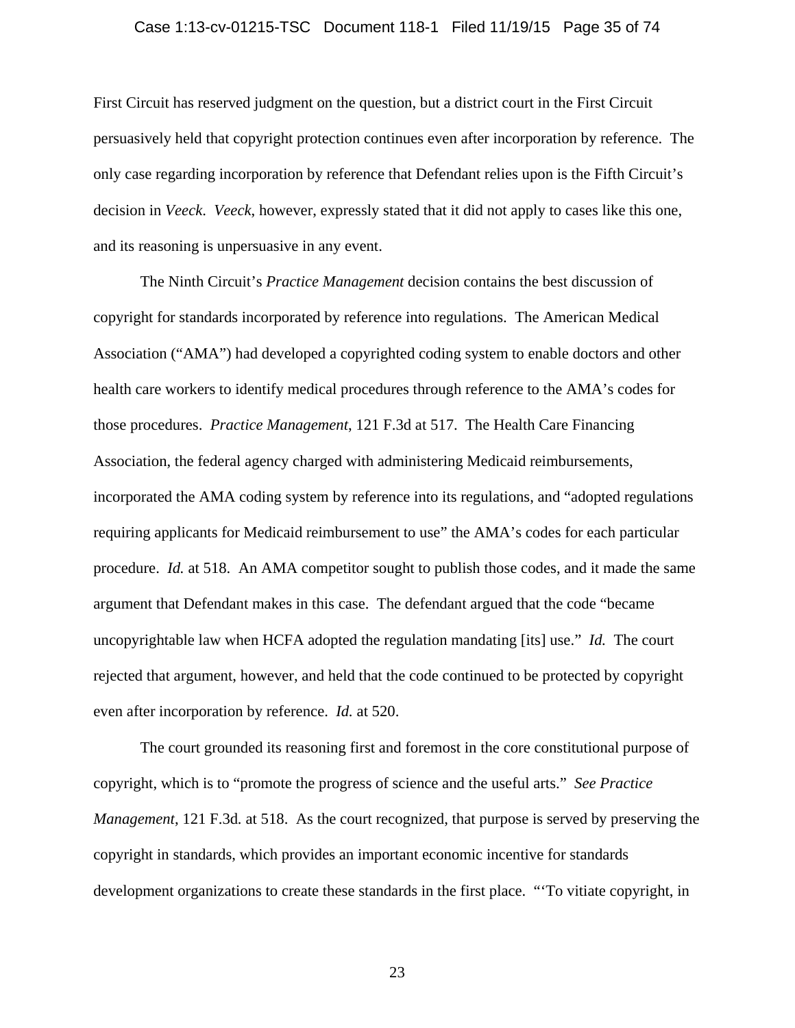#### Case 1:13-cv-01215-TSC Document 118-1 Filed 11/19/15 Page 35 of 74

First Circuit has reserved judgment on the question, but a district court in the First Circuit persuasively held that copyright protection continues even after incorporation by reference. The only case regarding incorporation by reference that Defendant relies upon is the Fifth Circuit's decision in *Veeck*. *Veeck*, however, expressly stated that it did not apply to cases like this one, and its reasoning is unpersuasive in any event.

The Ninth Circuit's *Practice Management* decision contains the best discussion of copyright for standards incorporated by reference into regulations. The American Medical Association ("AMA") had developed a copyrighted coding system to enable doctors and other health care workers to identify medical procedures through reference to the AMA's codes for those procedures. *Practice Management*, 121 F.3d at 517. The Health Care Financing Association, the federal agency charged with administering Medicaid reimbursements, incorporated the AMA coding system by reference into its regulations, and "adopted regulations requiring applicants for Medicaid reimbursement to use" the AMA's codes for each particular procedure. *Id.* at 518. An AMA competitor sought to publish those codes, and it made the same argument that Defendant makes in this case. The defendant argued that the code "became uncopyrightable law when HCFA adopted the regulation mandating [its] use." *Id.* The court rejected that argument, however, and held that the code continued to be protected by copyright even after incorporation by reference. *Id.* at 520.

The court grounded its reasoning first and foremost in the core constitutional purpose of copyright, which is to "promote the progress of science and the useful arts." *See Practice Management*, 121 F.3d*.* at 518. As the court recognized, that purpose is served by preserving the copyright in standards, which provides an important economic incentive for standards development organizations to create these standards in the first place. "'To vitiate copyright, in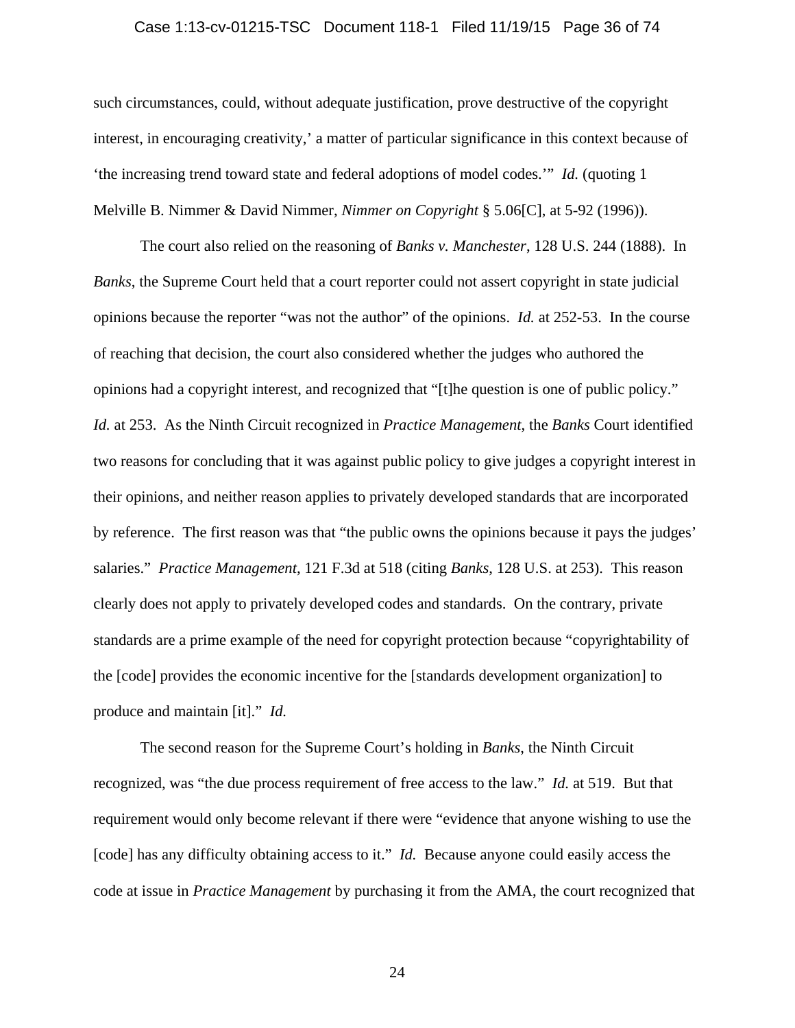#### Case 1:13-cv-01215-TSC Document 118-1 Filed 11/19/15 Page 36 of 74

such circumstances, could, without adequate justification, prove destructive of the copyright interest, in encouraging creativity,' a matter of particular significance in this context because of 'the increasing trend toward state and federal adoptions of model codes.'" *Id.* (quoting 1 Melville B. Nimmer & David Nimmer, *Nimmer on Copyright* § 5.06[C], at 5-92 (1996)).

The court also relied on the reasoning of *Banks v. Manchester*, 128 U.S. 244 (1888). In *Banks*, the Supreme Court held that a court reporter could not assert copyright in state judicial opinions because the reporter "was not the author" of the opinions. *Id.* at 252-53. In the course of reaching that decision, the court also considered whether the judges who authored the opinions had a copyright interest, and recognized that "[t]he question is one of public policy." *Id.* at 253. As the Ninth Circuit recognized in *Practice Management*, the *Banks* Court identified two reasons for concluding that it was against public policy to give judges a copyright interest in their opinions, and neither reason applies to privately developed standards that are incorporated by reference. The first reason was that "the public owns the opinions because it pays the judges' salaries." *Practice Management*, 121 F.3d at 518 (citing *Banks*, 128 U.S. at 253). This reason clearly does not apply to privately developed codes and standards. On the contrary, private standards are a prime example of the need for copyright protection because "copyrightability of the [code] provides the economic incentive for the [standards development organization] to produce and maintain [it]." *Id.*

The second reason for the Supreme Court's holding in *Banks*, the Ninth Circuit recognized, was "the due process requirement of free access to the law." *Id.* at 519. But that requirement would only become relevant if there were "evidence that anyone wishing to use the [code] has any difficulty obtaining access to it." *Id.* Because anyone could easily access the code at issue in *Practice Management* by purchasing it from the AMA, the court recognized that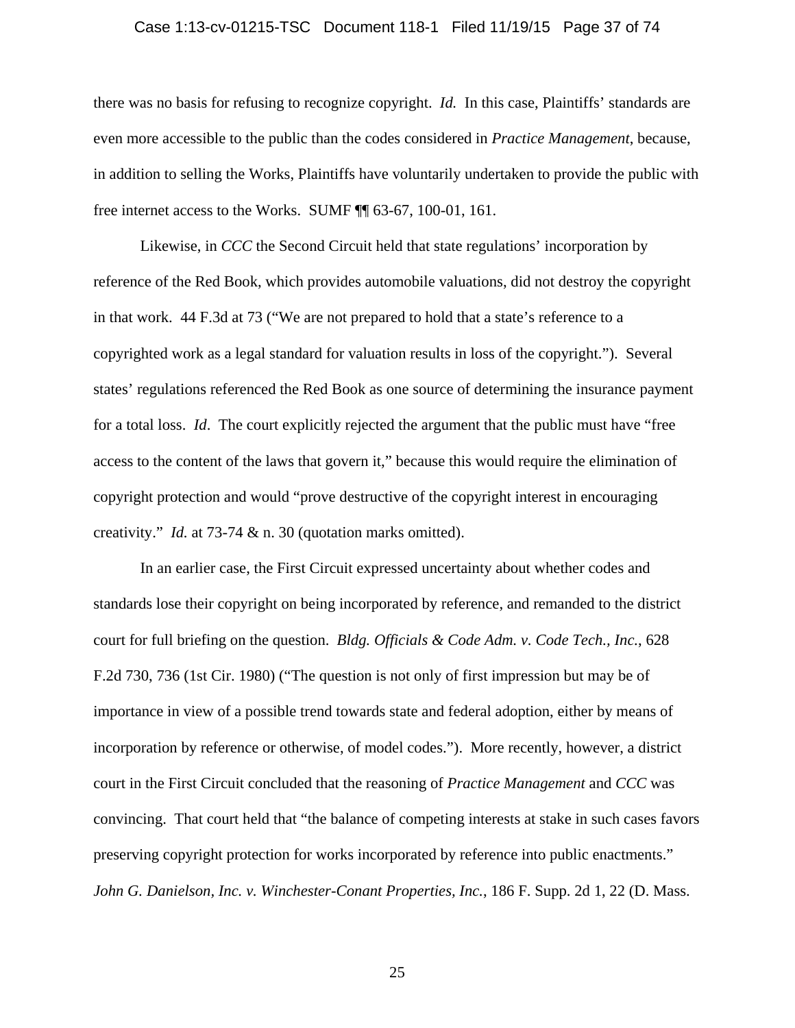#### Case 1:13-cv-01215-TSC Document 118-1 Filed 11/19/15 Page 37 of 74

there was no basis for refusing to recognize copyright. *Id.* In this case, Plaintiffs' standards are even more accessible to the public than the codes considered in *Practice Management*, because, in addition to selling the Works, Plaintiffs have voluntarily undertaken to provide the public with free internet access to the Works. SUMF ¶¶ 63-67, 100-01, 161.

Likewise, in *CCC* the Second Circuit held that state regulations' incorporation by reference of the Red Book, which provides automobile valuations, did not destroy the copyright in that work. 44 F.3d at 73 ("We are not prepared to hold that a state's reference to a copyrighted work as a legal standard for valuation results in loss of the copyright."). Several states' regulations referenced the Red Book as one source of determining the insurance payment for a total loss. *Id*. The court explicitly rejected the argument that the public must have "free access to the content of the laws that govern it," because this would require the elimination of copyright protection and would "prove destructive of the copyright interest in encouraging creativity." *Id.* at 73-74 & n. 30 (quotation marks omitted).

In an earlier case, the First Circuit expressed uncertainty about whether codes and standards lose their copyright on being incorporated by reference, and remanded to the district court for full briefing on the question. *Bldg. Officials & Code Adm. v. Code Tech., Inc.*, 628 F.2d 730, 736 (1st Cir. 1980) ("The question is not only of first impression but may be of importance in view of a possible trend towards state and federal adoption, either by means of incorporation by reference or otherwise, of model codes."). More recently, however, a district court in the First Circuit concluded that the reasoning of *Practice Management* and *CCC* was convincing. That court held that "the balance of competing interests at stake in such cases favors preserving copyright protection for works incorporated by reference into public enactments." *John G. Danielson, Inc. v. Winchester-Conant Properties, Inc.*, 186 F. Supp. 2d 1, 22 (D. Mass.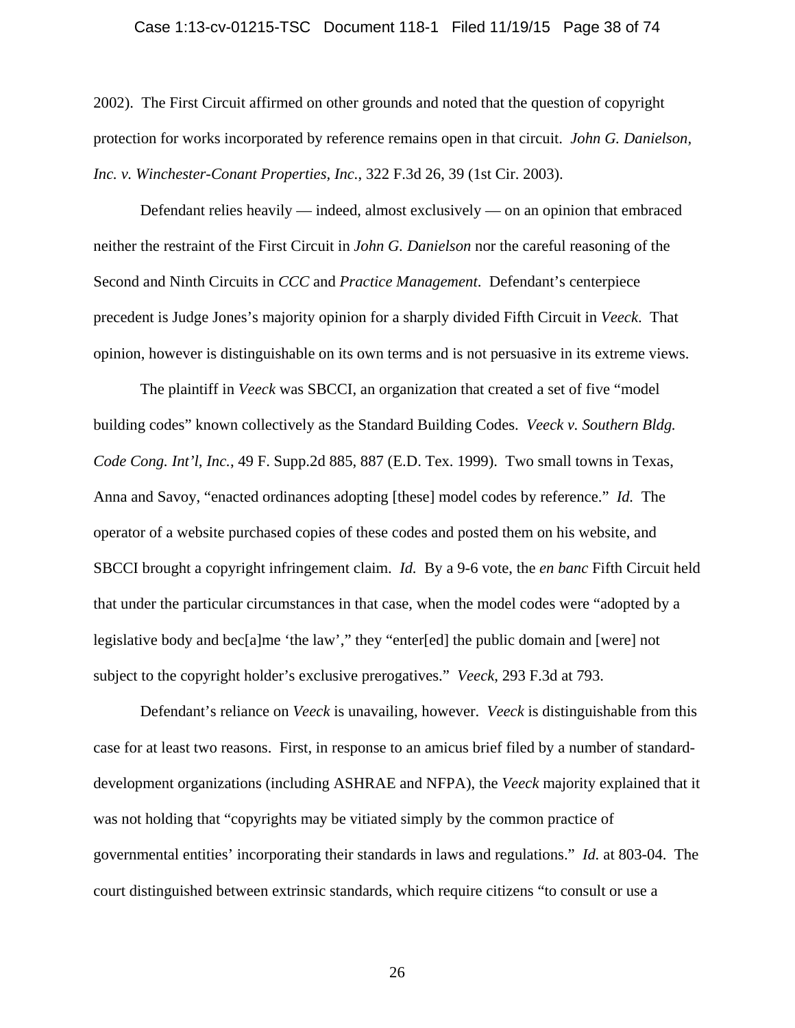### Case 1:13-cv-01215-TSC Document 118-1 Filed 11/19/15 Page 38 of 74

2002). The First Circuit affirmed on other grounds and noted that the question of copyright protection for works incorporated by reference remains open in that circuit. *John G. Danielson, Inc. v. Winchester-Conant Properties, Inc.*, 322 F.3d 26, 39 (1st Cir. 2003).

Defendant relies heavily — indeed, almost exclusively — on an opinion that embraced neither the restraint of the First Circuit in *John G. Danielson* nor the careful reasoning of the Second and Ninth Circuits in *CCC* and *Practice Management*. Defendant's centerpiece precedent is Judge Jones's majority opinion for a sharply divided Fifth Circuit in *Veeck*. That opinion, however is distinguishable on its own terms and is not persuasive in its extreme views.

The plaintiff in *Veeck* was SBCCI, an organization that created a set of five "model building codes" known collectively as the Standard Building Codes. *Veeck v. Southern Bldg. Code Cong. Int'l, Inc.*, 49 F. Supp.2d 885, 887 (E.D. Tex. 1999). Two small towns in Texas, Anna and Savoy, "enacted ordinances adopting [these] model codes by reference." *Id.* The operator of a website purchased copies of these codes and posted them on his website, and SBCCI brought a copyright infringement claim. *Id.* By a 9-6 vote, the *en banc* Fifth Circuit held that under the particular circumstances in that case, when the model codes were "adopted by a legislative body and bec[a]me 'the law'," they "enter[ed] the public domain and [were] not subject to the copyright holder's exclusive prerogatives." *Veeck*, 293 F.3d at 793.

 Defendant's reliance on *Veeck* is unavailing, however. *Veeck* is distinguishable from this case for at least two reasons. First, in response to an amicus brief filed by a number of standarddevelopment organizations (including ASHRAE and NFPA), the *Veeck* majority explained that it was not holding that "copyrights may be vitiated simply by the common practice of governmental entities' incorporating their standards in laws and regulations." *Id.* at 803-04. The court distinguished between extrinsic standards, which require citizens "to consult or use a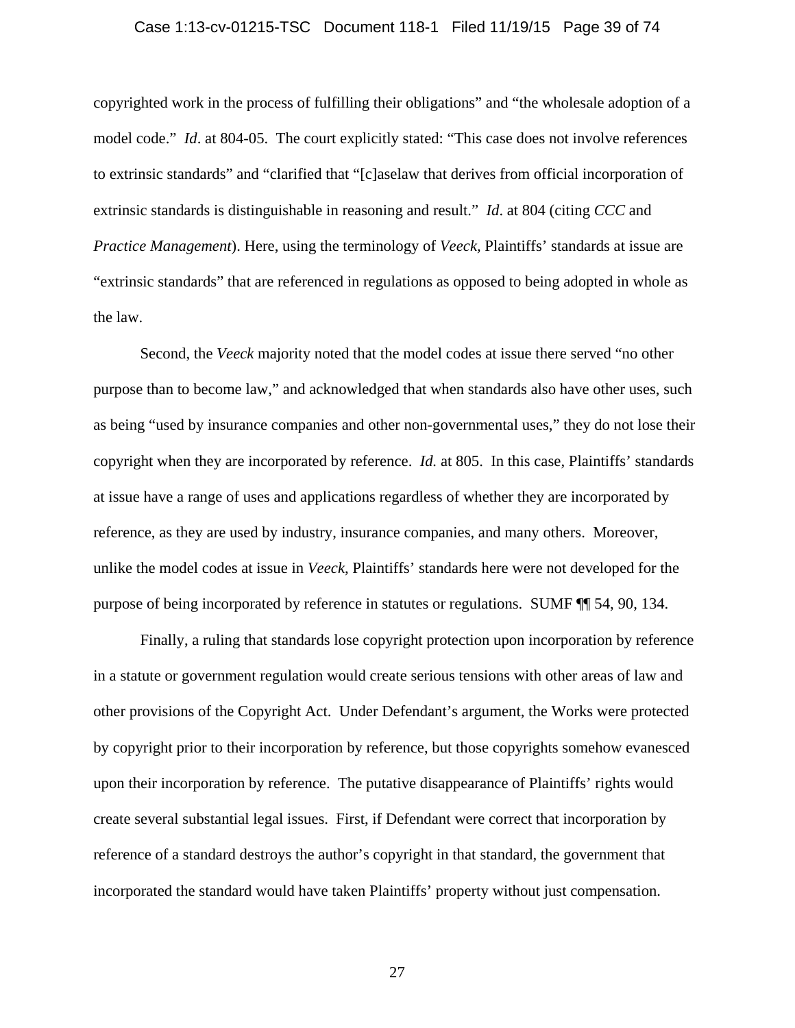### Case 1:13-cv-01215-TSC Document 118-1 Filed 11/19/15 Page 39 of 74

copyrighted work in the process of fulfilling their obligations" and "the wholesale adoption of a model code." *Id.* at 804-05. The court explicitly stated: "This case does not involve references" to extrinsic standards" and "clarified that "[c]aselaw that derives from official incorporation of extrinsic standards is distinguishable in reasoning and result." *Id*. at 804 (citing *CCC* and *Practice Management*). Here, using the terminology of *Veeck,* Plaintiffs' standards at issue are "extrinsic standards" that are referenced in regulations as opposed to being adopted in whole as the law.

Second, the *Veeck* majority noted that the model codes at issue there served "no other purpose than to become law," and acknowledged that when standards also have other uses, such as being "used by insurance companies and other non-governmental uses," they do not lose their copyright when they are incorporated by reference. *Id.* at 805. In this case, Plaintiffs' standards at issue have a range of uses and applications regardless of whether they are incorporated by reference, as they are used by industry, insurance companies, and many others. Moreover, unlike the model codes at issue in *Veeck*, Plaintiffs' standards here were not developed for the purpose of being incorporated by reference in statutes or regulations. SUMF ¶¶ 54, 90, 134.

Finally, a ruling that standards lose copyright protection upon incorporation by reference in a statute or government regulation would create serious tensions with other areas of law and other provisions of the Copyright Act. Under Defendant's argument, the Works were protected by copyright prior to their incorporation by reference, but those copyrights somehow evanesced upon their incorporation by reference. The putative disappearance of Plaintiffs' rights would create several substantial legal issues. First, if Defendant were correct that incorporation by reference of a standard destroys the author's copyright in that standard, the government that incorporated the standard would have taken Plaintiffs' property without just compensation.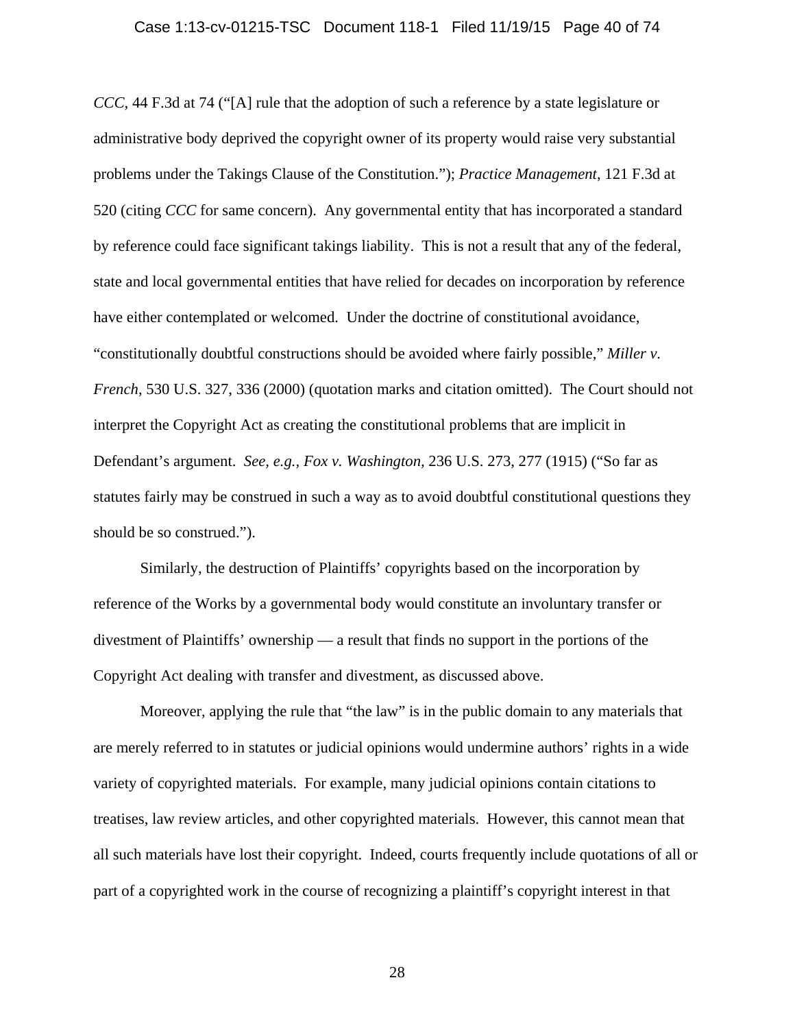#### Case 1:13-cv-01215-TSC Document 118-1 Filed 11/19/15 Page 40 of 74

*CCC*, 44 F.3d at 74 ("[A] rule that the adoption of such a reference by a state legislature or administrative body deprived the copyright owner of its property would raise very substantial problems under the Takings Clause of the Constitution."); *Practice Management*, 121 F.3d at 520 (citing *CCC* for same concern). Any governmental entity that has incorporated a standard by reference could face significant takings liability. This is not a result that any of the federal, state and local governmental entities that have relied for decades on incorporation by reference have either contemplated or welcomed. Under the doctrine of constitutional avoidance, "constitutionally doubtful constructions should be avoided where fairly possible," *Miller v. French*, 530 U.S. 327, 336 (2000) (quotation marks and citation omitted). The Court should not interpret the Copyright Act as creating the constitutional problems that are implicit in Defendant's argument. *See, e.g., Fox v. Washington,* 236 U.S. 273, 277 (1915) ("So far as statutes fairly may be construed in such a way as to avoid doubtful constitutional questions they should be so construed.").

Similarly, the destruction of Plaintiffs' copyrights based on the incorporation by reference of the Works by a governmental body would constitute an involuntary transfer or divestment of Plaintiffs' ownership — a result that finds no support in the portions of the Copyright Act dealing with transfer and divestment, as discussed above.

Moreover, applying the rule that "the law" is in the public domain to any materials that are merely referred to in statutes or judicial opinions would undermine authors' rights in a wide variety of copyrighted materials. For example, many judicial opinions contain citations to treatises, law review articles, and other copyrighted materials. However, this cannot mean that all such materials have lost their copyright. Indeed, courts frequently include quotations of all or part of a copyrighted work in the course of recognizing a plaintiff's copyright interest in that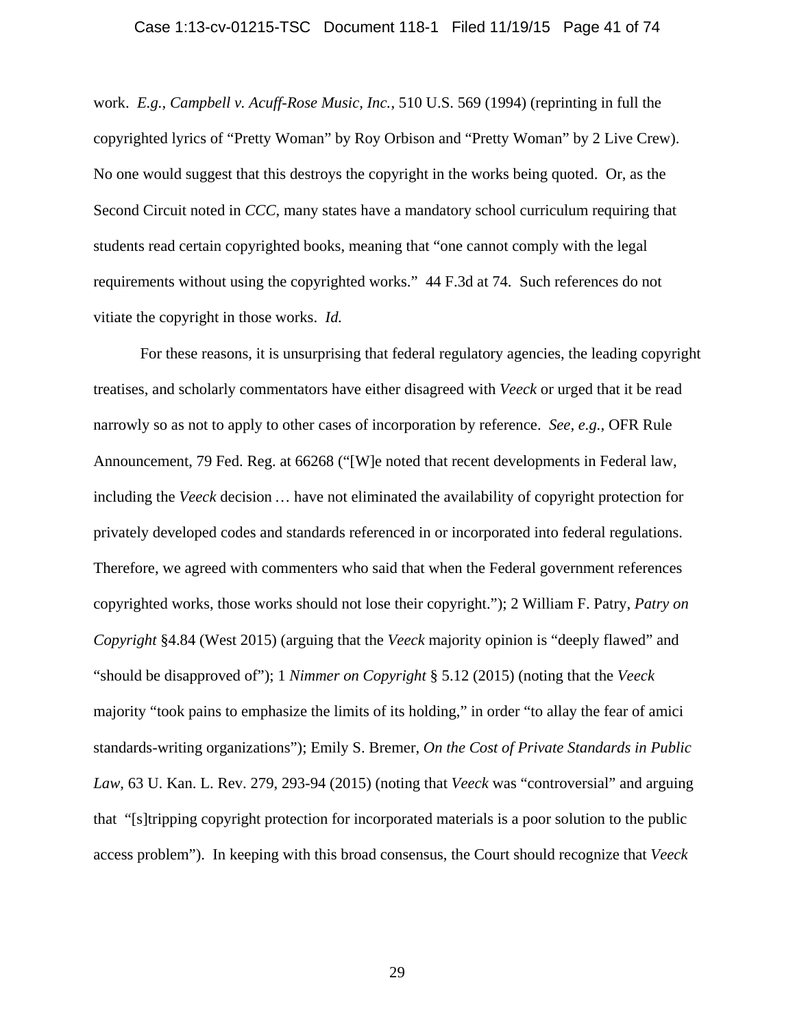#### Case 1:13-cv-01215-TSC Document 118-1 Filed 11/19/15 Page 41 of 74

work. *E.g., Campbell v. Acuff-Rose Music, Inc.*, 510 U.S. 569 (1994) (reprinting in full the copyrighted lyrics of "Pretty Woman" by Roy Orbison and "Pretty Woman" by 2 Live Crew). No one would suggest that this destroys the copyright in the works being quoted. Or, as the Second Circuit noted in *CCC*, many states have a mandatory school curriculum requiring that students read certain copyrighted books, meaning that "one cannot comply with the legal requirements without using the copyrighted works." 44 F.3d at 74. Such references do not vitiate the copyright in those works. *Id.*

For these reasons, it is unsurprising that federal regulatory agencies, the leading copyright treatises, and scholarly commentators have either disagreed with *Veeck* or urged that it be read narrowly so as not to apply to other cases of incorporation by reference. *See, e.g.,* OFR Rule Announcement, 79 Fed. Reg. at 66268 ("[W]e noted that recent developments in Federal law, including the *Veeck* decision… have not eliminated the availability of copyright protection for privately developed codes and standards referenced in or incorporated into federal regulations. Therefore, we agreed with commenters who said that when the Federal government references copyrighted works, those works should not lose their copyright."); 2 William F. Patry, *Patry on Copyright* §4.84 (West 2015) (arguing that the *Veeck* majority opinion is "deeply flawed" and "should be disapproved of"); 1 *Nimmer on Copyright* § 5.12 (2015) (noting that the *Veeck*  majority "took pains to emphasize the limits of its holding," in order "to allay the fear of amici standards-writing organizations"); Emily S. Bremer, *On the Cost of Private Standards in Public Law*, 63 U. Kan. L. Rev. 279, 293-94 (2015) (noting that *Veeck* was "controversial" and arguing that "[s]tripping copyright protection for incorporated materials is a poor solution to the public access problem"). In keeping with this broad consensus, the Court should recognize that *Veeck*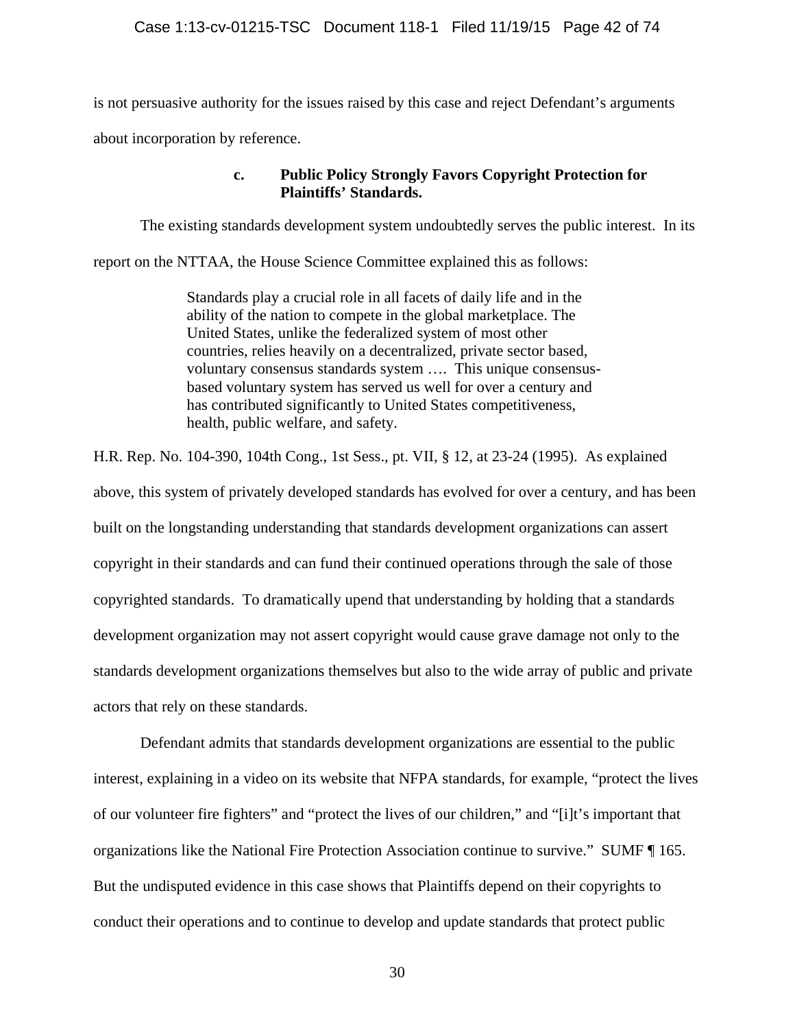is not persuasive authority for the issues raised by this case and reject Defendant's arguments about incorporation by reference.

# **c. Public Policy Strongly Favors Copyright Protection for Plaintiffs' Standards.**

The existing standards development system undoubtedly serves the public interest. In its

report on the NTTAA, the House Science Committee explained this as follows:

Standards play a crucial role in all facets of daily life and in the ability of the nation to compete in the global marketplace. The United States, unlike the federalized system of most other countries, relies heavily on a decentralized, private sector based, voluntary consensus standards system …. This unique consensusbased voluntary system has served us well for over a century and has contributed significantly to United States competitiveness, health, public welfare, and safety.

H.R. Rep. No. 104-390, 104th Cong., 1st Sess., pt. VII, § 12, at 23-24 (1995). As explained above, this system of privately developed standards has evolved for over a century, and has been built on the longstanding understanding that standards development organizations can assert copyright in their standards and can fund their continued operations through the sale of those copyrighted standards. To dramatically upend that understanding by holding that a standards development organization may not assert copyright would cause grave damage not only to the standards development organizations themselves but also to the wide array of public and private actors that rely on these standards.

Defendant admits that standards development organizations are essential to the public interest, explaining in a video on its website that NFPA standards, for example, "protect the lives of our volunteer fire fighters" and "protect the lives of our children," and "[i]t's important that organizations like the National Fire Protection Association continue to survive." SUMF ¶ 165. But the undisputed evidence in this case shows that Plaintiffs depend on their copyrights to conduct their operations and to continue to develop and update standards that protect public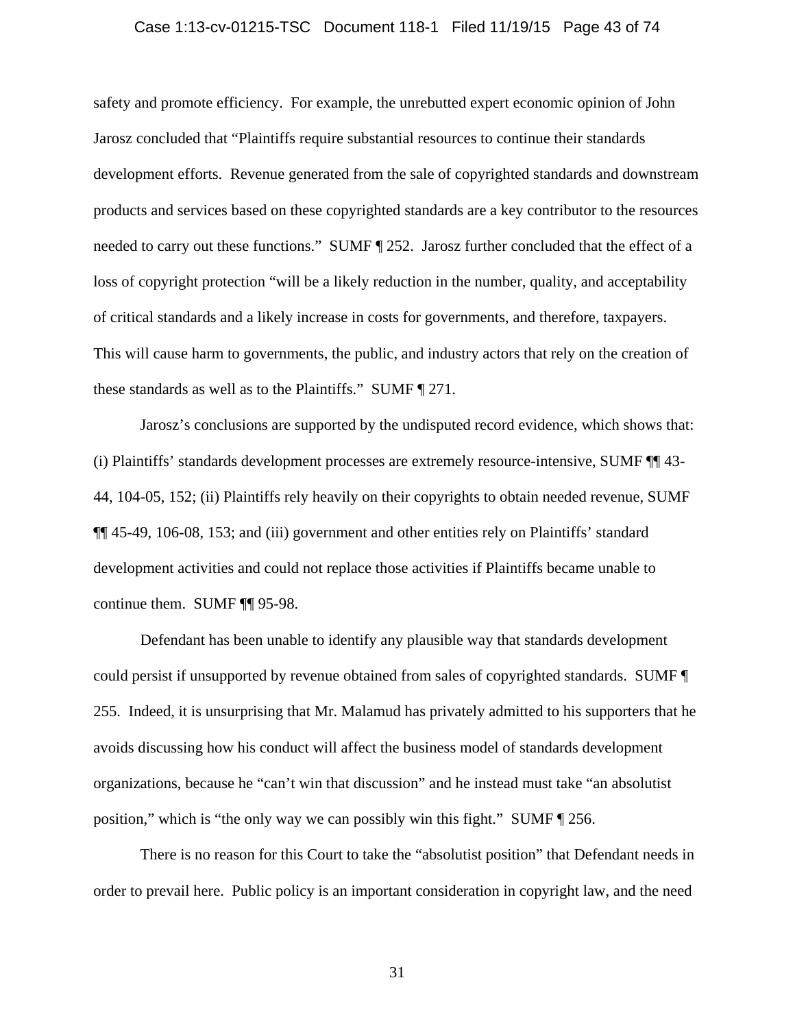### Case 1:13-cv-01215-TSC Document 118-1 Filed 11/19/15 Page 43 of 74

safety and promote efficiency. For example, the unrebutted expert economic opinion of John Jarosz concluded that "Plaintiffs require substantial resources to continue their standards development efforts. Revenue generated from the sale of copyrighted standards and downstream products and services based on these copyrighted standards are a key contributor to the resources needed to carry out these functions." SUMF  $\parallel$  252. Jarosz further concluded that the effect of a loss of copyright protection "will be a likely reduction in the number, quality, and acceptability of critical standards and a likely increase in costs for governments, and therefore, taxpayers. This will cause harm to governments, the public, and industry actors that rely on the creation of these standards as well as to the Plaintiffs." SUMF ¶ 271.

Jarosz's conclusions are supported by the undisputed record evidence, which shows that: (i) Plaintiffs' standards development processes are extremely resource-intensive, SUMF ¶¶ 43- 44, 104-05, 152; (ii) Plaintiffs rely heavily on their copyrights to obtain needed revenue, SUMF ¶¶ 45-49, 106-08, 153; and (iii) government and other entities rely on Plaintiffs' standard development activities and could not replace those activities if Plaintiffs became unable to continue them. SUMF ¶¶ 95-98.

Defendant has been unable to identify any plausible way that standards development could persist if unsupported by revenue obtained from sales of copyrighted standards. SUMF ¶ 255. Indeed, it is unsurprising that Mr. Malamud has privately admitted to his supporters that he avoids discussing how his conduct will affect the business model of standards development organizations, because he "can't win that discussion" and he instead must take "an absolutist position," which is "the only way we can possibly win this fight." SUMF ¶ 256.

There is no reason for this Court to take the "absolutist position" that Defendant needs in order to prevail here. Public policy is an important consideration in copyright law, and the need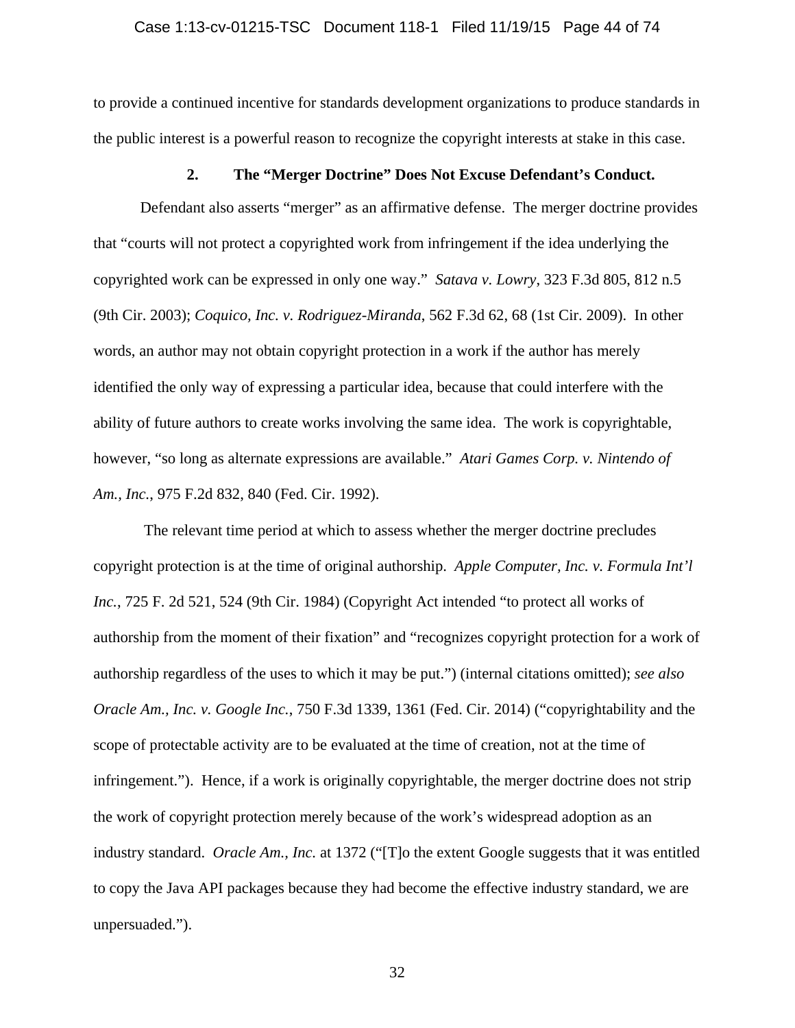to provide a continued incentive for standards development organizations to produce standards in the public interest is a powerful reason to recognize the copyright interests at stake in this case.

## **2. The "Merger Doctrine" Does Not Excuse Defendant's Conduct.**

Defendant also asserts "merger" as an affirmative defense. The merger doctrine provides that "courts will not protect a copyrighted work from infringement if the idea underlying the copyrighted work can be expressed in only one way." *Satava v. Lowry*, 323 F.3d 805, 812 n.5 (9th Cir. 2003); *Coquico, Inc. v. Rodriguez-Miranda*, 562 F.3d 62, 68 (1st Cir. 2009). In other words, an author may not obtain copyright protection in a work if the author has merely identified the only way of expressing a particular idea, because that could interfere with the ability of future authors to create works involving the same idea. The work is copyrightable, however, "so long as alternate expressions are available." *Atari Games Corp. v. Nintendo of Am., Inc.*, 975 F.2d 832, 840 (Fed. Cir. 1992).

 The relevant time period at which to assess whether the merger doctrine precludes copyright protection is at the time of original authorship. *Apple Computer, Inc. v. Formula Int'l Inc.*, 725 F. 2d 521, 524 (9th Cir. 1984) (Copyright Act intended "to protect all works of authorship from the moment of their fixation" and "recognizes copyright protection for a work of authorship regardless of the uses to which it may be put.") (internal citations omitted); *see also Oracle Am., Inc. v. Google Inc.*, 750 F.3d 1339, 1361 (Fed. Cir. 2014) ("copyrightability and the scope of protectable activity are to be evaluated at the time of creation, not at the time of infringement."). Hence, if a work is originally copyrightable, the merger doctrine does not strip the work of copyright protection merely because of the work's widespread adoption as an industry standard. *Oracle Am., Inc.* at 1372 ("[T]o the extent Google suggests that it was entitled to copy the Java API packages because they had become the effective industry standard, we are unpersuaded.").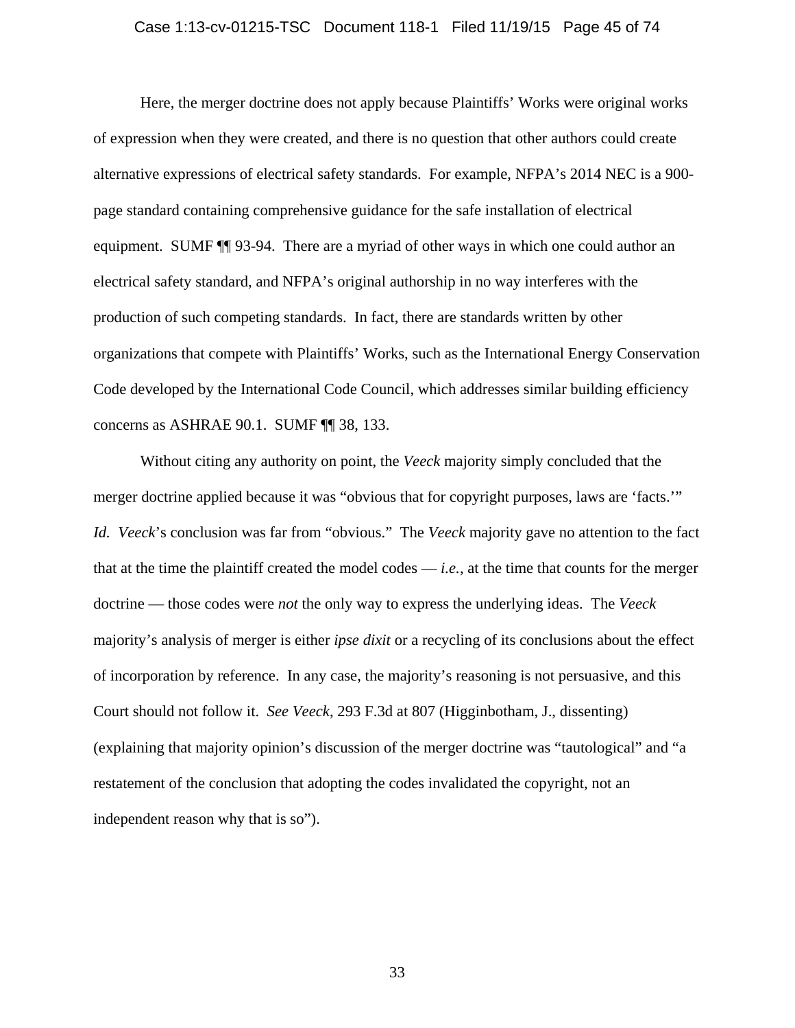### Case 1:13-cv-01215-TSC Document 118-1 Filed 11/19/15 Page 45 of 74

Here, the merger doctrine does not apply because Plaintiffs' Works were original works of expression when they were created, and there is no question that other authors could create alternative expressions of electrical safety standards. For example, NFPA's 2014 NEC is a 900 page standard containing comprehensive guidance for the safe installation of electrical equipment. SUMF ¶¶ 93-94. There are a myriad of other ways in which one could author an electrical safety standard, and NFPA's original authorship in no way interferes with the production of such competing standards. In fact, there are standards written by other organizations that compete with Plaintiffs' Works, such as the International Energy Conservation Code developed by the International Code Council, which addresses similar building efficiency concerns as ASHRAE 90.1. SUMF ¶¶ 38, 133.

Without citing any authority on point, the *Veeck* majority simply concluded that the merger doctrine applied because it was "obvious that for copyright purposes, laws are 'facts.'" *Id. Veeck*'s conclusion was far from "obvious." The *Veeck* majority gave no attention to the fact that at the time the plaintiff created the model codes — *i.e.*, at the time that counts for the merger doctrine — those codes were *not* the only way to express the underlying ideas. The *Veeck* majority's analysis of merger is either *ipse dixit* or a recycling of its conclusions about the effect of incorporation by reference. In any case, the majority's reasoning is not persuasive, and this Court should not follow it. *See Veeck*, 293 F.3d at 807 (Higginbotham, J., dissenting) (explaining that majority opinion's discussion of the merger doctrine was "tautological" and "a restatement of the conclusion that adopting the codes invalidated the copyright, not an independent reason why that is so").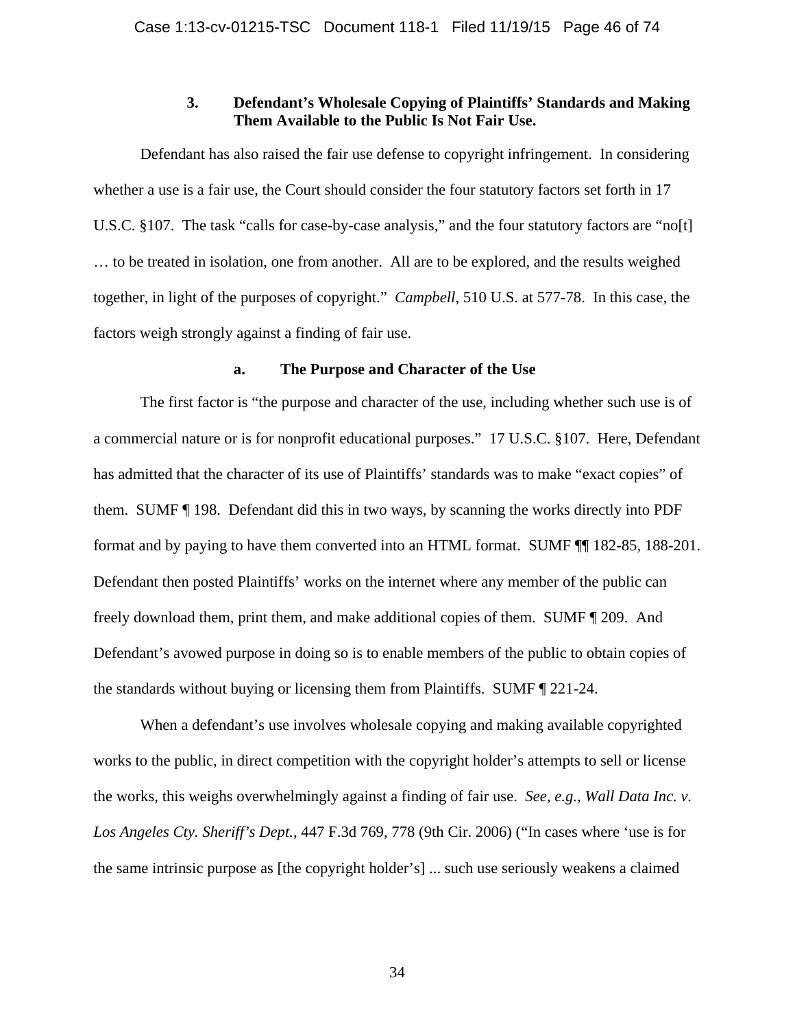# **3. Defendant's Wholesale Copying of Plaintiffs' Standards and Making Them Available to the Public Is Not Fair Use.**

Defendant has also raised the fair use defense to copyright infringement. In considering whether a use is a fair use, the Court should consider the four statutory factors set forth in 17 U.S.C. §107. The task "calls for case-by-case analysis," and the four statutory factors are "no[t] … to be treated in isolation, one from another. All are to be explored, and the results weighed together, in light of the purposes of copyright." *Campbell*, 510 U.S. at 577-78. In this case, the factors weigh strongly against a finding of fair use.

## **a. The Purpose and Character of the Use**

The first factor is "the purpose and character of the use, including whether such use is of a commercial nature or is for nonprofit educational purposes." 17 U.S.C. §107. Here, Defendant has admitted that the character of its use of Plaintiffs' standards was to make "exact copies" of them. SUMF ¶ 198. Defendant did this in two ways, by scanning the works directly into PDF format and by paying to have them converted into an HTML format. SUMF ¶¶ 182-85, 188-201. Defendant then posted Plaintiffs' works on the internet where any member of the public can freely download them, print them, and make additional copies of them. SUMF ¶ 209. And Defendant's avowed purpose in doing so is to enable members of the public to obtain copies of the standards without buying or licensing them from Plaintiffs. SUMF ¶ 221-24.

When a defendant's use involves wholesale copying and making available copyrighted works to the public, in direct competition with the copyright holder's attempts to sell or license the works, this weighs overwhelmingly against a finding of fair use. *See, e.g., Wall Data Inc. v. Los Angeles Cty. Sheriff's Dept.*, 447 F.3d 769, 778 (9th Cir. 2006) ("In cases where 'use is for the same intrinsic purpose as [the copyright holder's] ... such use seriously weakens a claimed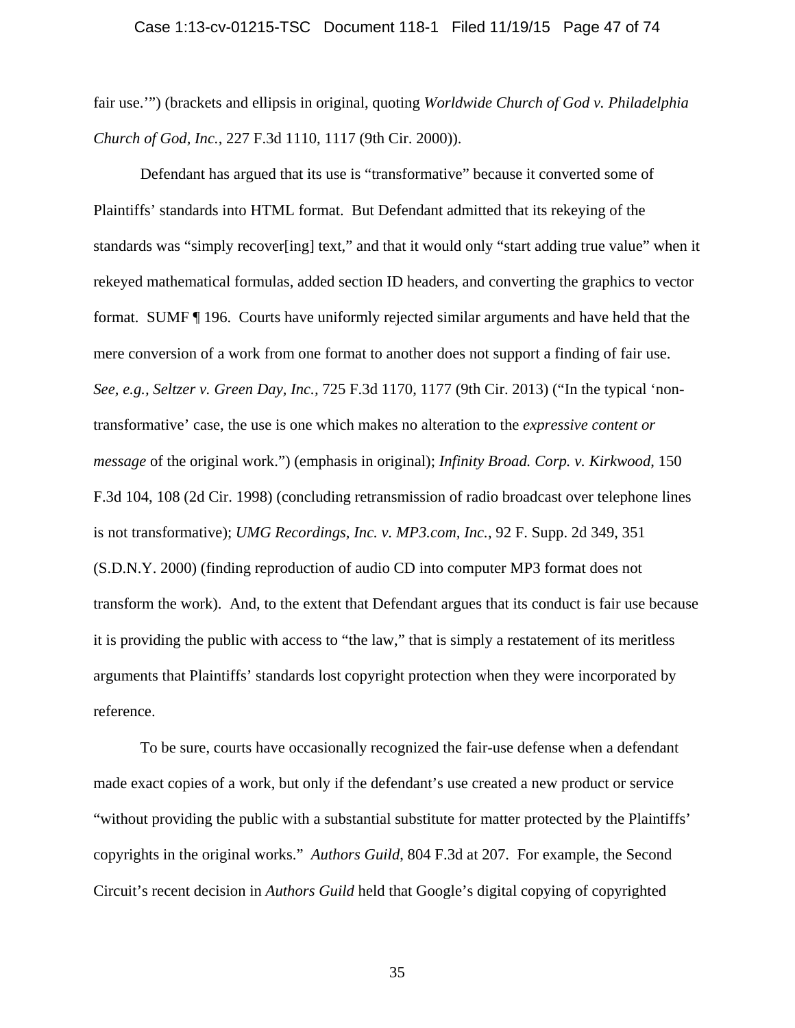fair use.'") (brackets and ellipsis in original, quoting *Worldwide Church of God v. Philadelphia Church of God, Inc.*, 227 F.3d 1110, 1117 (9th Cir. 2000)).

Defendant has argued that its use is "transformative" because it converted some of Plaintiffs' standards into HTML format. But Defendant admitted that its rekeying of the standards was "simply recover[ing] text," and that it would only "start adding true value" when it rekeyed mathematical formulas, added section ID headers, and converting the graphics to vector format. SUMF ¶ 196. Courts have uniformly rejected similar arguments and have held that the mere conversion of a work from one format to another does not support a finding of fair use. *See, e.g., Seltzer v. Green Day, Inc.,* 725 F.3d 1170, 1177 (9th Cir. 2013) ("In the typical 'nontransformative' case, the use is one which makes no alteration to the *expressive content or message* of the original work.") (emphasis in original); *Infinity Broad. Corp. v. Kirkwood*, 150 F.3d 104, 108 (2d Cir. 1998) (concluding retransmission of radio broadcast over telephone lines is not transformative); *UMG Recordings, Inc. v. MP3.com, Inc.*, 92 F. Supp. 2d 349, 351 (S.D.N.Y. 2000) (finding reproduction of audio CD into computer MP3 format does not transform the work). And, to the extent that Defendant argues that its conduct is fair use because it is providing the public with access to "the law," that is simply a restatement of its meritless arguments that Plaintiffs' standards lost copyright protection when they were incorporated by reference.

To be sure, courts have occasionally recognized the fair-use defense when a defendant made exact copies of a work, but only if the defendant's use created a new product or service "without providing the public with a substantial substitute for matter protected by the Plaintiffs' copyrights in the original works." *Authors Guild*, 804 F.3d at 207. For example, the Second Circuit's recent decision in *Authors Guild* held that Google's digital copying of copyrighted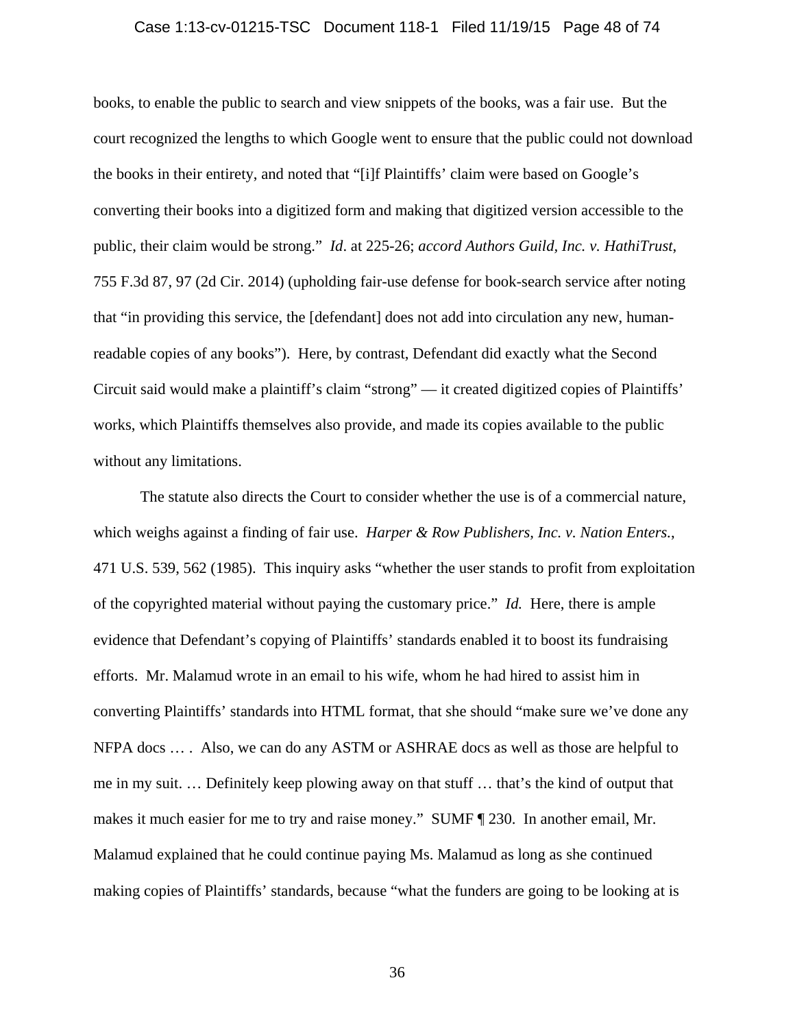#### Case 1:13-cv-01215-TSC Document 118-1 Filed 11/19/15 Page 48 of 74

books, to enable the public to search and view snippets of the books, was a fair use. But the court recognized the lengths to which Google went to ensure that the public could not download the books in their entirety, and noted that "[i]f Plaintiffs' claim were based on Google's converting their books into a digitized form and making that digitized version accessible to the public, their claim would be strong." *Id*. at 225-26; *accord Authors Guild, Inc. v. HathiTrust*, 755 F.3d 87, 97 (2d Cir. 2014) (upholding fair-use defense for book-search service after noting that "in providing this service, the [defendant] does not add into circulation any new, humanreadable copies of any books"). Here, by contrast, Defendant did exactly what the Second Circuit said would make a plaintiff's claim "strong" — it created digitized copies of Plaintiffs' works, which Plaintiffs themselves also provide, and made its copies available to the public without any limitations.

The statute also directs the Court to consider whether the use is of a commercial nature, which weighs against a finding of fair use. *Harper & Row Publishers, Inc. v. Nation Enters.*, 471 U.S. 539, 562 (1985). This inquiry asks "whether the user stands to profit from exploitation of the copyrighted material without paying the customary price." *Id.* Here, there is ample evidence that Defendant's copying of Plaintiffs' standards enabled it to boost its fundraising efforts. Mr. Malamud wrote in an email to his wife, whom he had hired to assist him in converting Plaintiffs' standards into HTML format, that she should "make sure we've done any NFPA docs … . Also, we can do any ASTM or ASHRAE docs as well as those are helpful to me in my suit. … Definitely keep plowing away on that stuff … that's the kind of output that makes it much easier for me to try and raise money." SUMF ¶ 230. In another email, Mr. Malamud explained that he could continue paying Ms. Malamud as long as she continued making copies of Plaintiffs' standards, because "what the funders are going to be looking at is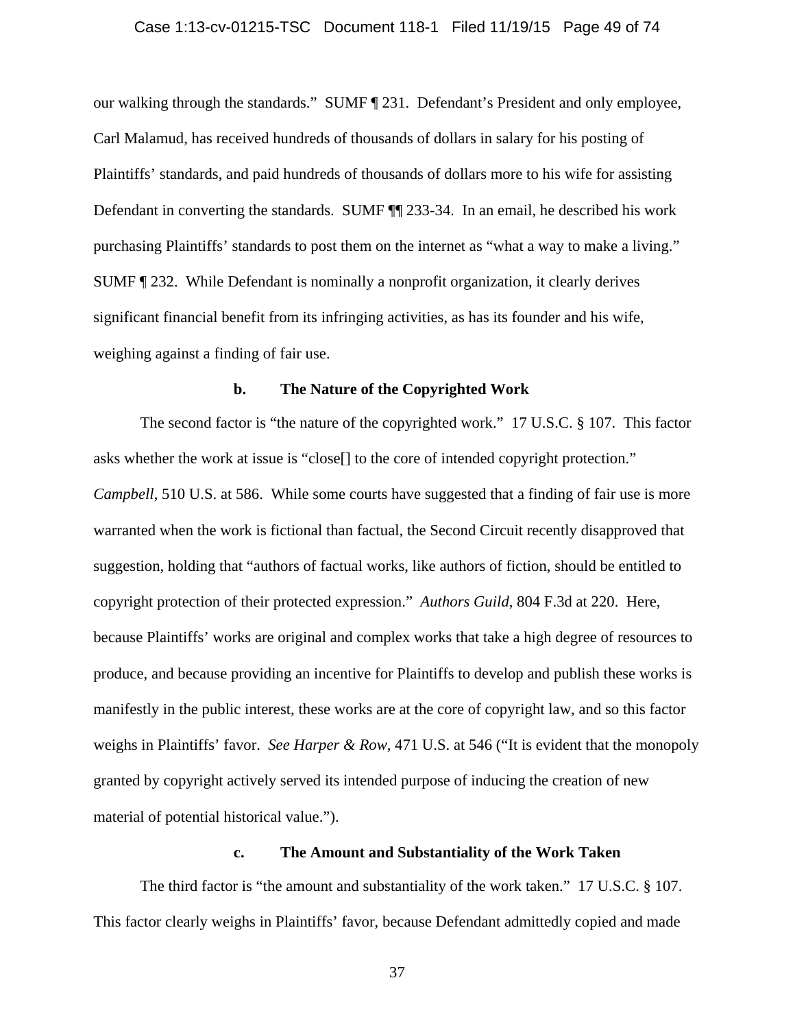### Case 1:13-cv-01215-TSC Document 118-1 Filed 11/19/15 Page 49 of 74

our walking through the standards." SUMF ¶ 231. Defendant's President and only employee, Carl Malamud, has received hundreds of thousands of dollars in salary for his posting of Plaintiffs' standards, and paid hundreds of thousands of dollars more to his wife for assisting Defendant in converting the standards. SUMF ¶¶ 233-34. In an email, he described his work purchasing Plaintiffs' standards to post them on the internet as "what a way to make a living." SUMF ¶ 232. While Defendant is nominally a nonprofit organization, it clearly derives significant financial benefit from its infringing activities, as has its founder and his wife, weighing against a finding of fair use.

## **b. The Nature of the Copyrighted Work**

The second factor is "the nature of the copyrighted work." 17 U.S.C. § 107. This factor asks whether the work at issue is "close[] to the core of intended copyright protection." *Campbell*, 510 U.S. at 586. While some courts have suggested that a finding of fair use is more warranted when the work is fictional than factual, the Second Circuit recently disapproved that suggestion, holding that "authors of factual works, like authors of fiction, should be entitled to copyright protection of their protected expression." *Authors Guild*, 804 F.3d at 220. Here, because Plaintiffs' works are original and complex works that take a high degree of resources to produce, and because providing an incentive for Plaintiffs to develop and publish these works is manifestly in the public interest, these works are at the core of copyright law, and so this factor weighs in Plaintiffs' favor. *See Harper & Row*, 471 U.S. at 546 ("It is evident that the monopoly granted by copyright actively served its intended purpose of inducing the creation of new material of potential historical value.").

# **c. The Amount and Substantiality of the Work Taken**

The third factor is "the amount and substantiality of the work taken." 17 U.S.C. § 107. This factor clearly weighs in Plaintiffs' favor, because Defendant admittedly copied and made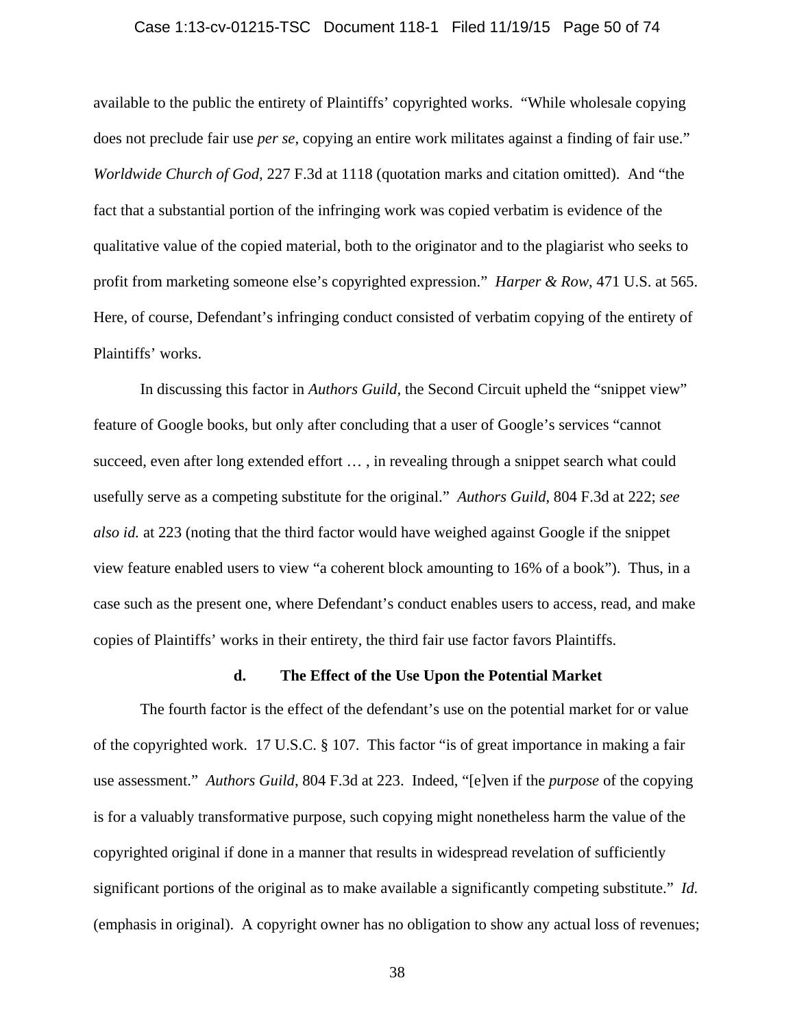### Case 1:13-cv-01215-TSC Document 118-1 Filed 11/19/15 Page 50 of 74

available to the public the entirety of Plaintiffs' copyrighted works. "While wholesale copying does not preclude fair use *per se*, copying an entire work militates against a finding of fair use." *Worldwide Church of God*, 227 F.3d at 1118 (quotation marks and citation omitted). And "the fact that a substantial portion of the infringing work was copied verbatim is evidence of the qualitative value of the copied material, both to the originator and to the plagiarist who seeks to profit from marketing someone else's copyrighted expression." *Harper & Row*, 471 U.S. at 565. Here, of course, Defendant's infringing conduct consisted of verbatim copying of the entirety of Plaintiffs' works.

In discussing this factor in *Authors Guild*, the Second Circuit upheld the "snippet view" feature of Google books, but only after concluding that a user of Google's services "cannot succeed, even after long extended effort … , in revealing through a snippet search what could usefully serve as a competing substitute for the original." *Authors Guild*, 804 F.3d at 222; *see also id.* at 223 (noting that the third factor would have weighed against Google if the snippet view feature enabled users to view "a coherent block amounting to 16% of a book"). Thus, in a case such as the present one, where Defendant's conduct enables users to access, read, and make copies of Plaintiffs' works in their entirety, the third fair use factor favors Plaintiffs.

#### **d. The Effect of the Use Upon the Potential Market**

The fourth factor is the effect of the defendant's use on the potential market for or value of the copyrighted work. 17 U.S.C. § 107. This factor "is of great importance in making a fair use assessment." *Authors Guild*, 804 F.3d at 223. Indeed, "[e]ven if the *purpose* of the copying is for a valuably transformative purpose, such copying might nonetheless harm the value of the copyrighted original if done in a manner that results in widespread revelation of sufficiently significant portions of the original as to make available a significantly competing substitute." *Id.* (emphasis in original). A copyright owner has no obligation to show any actual loss of revenues;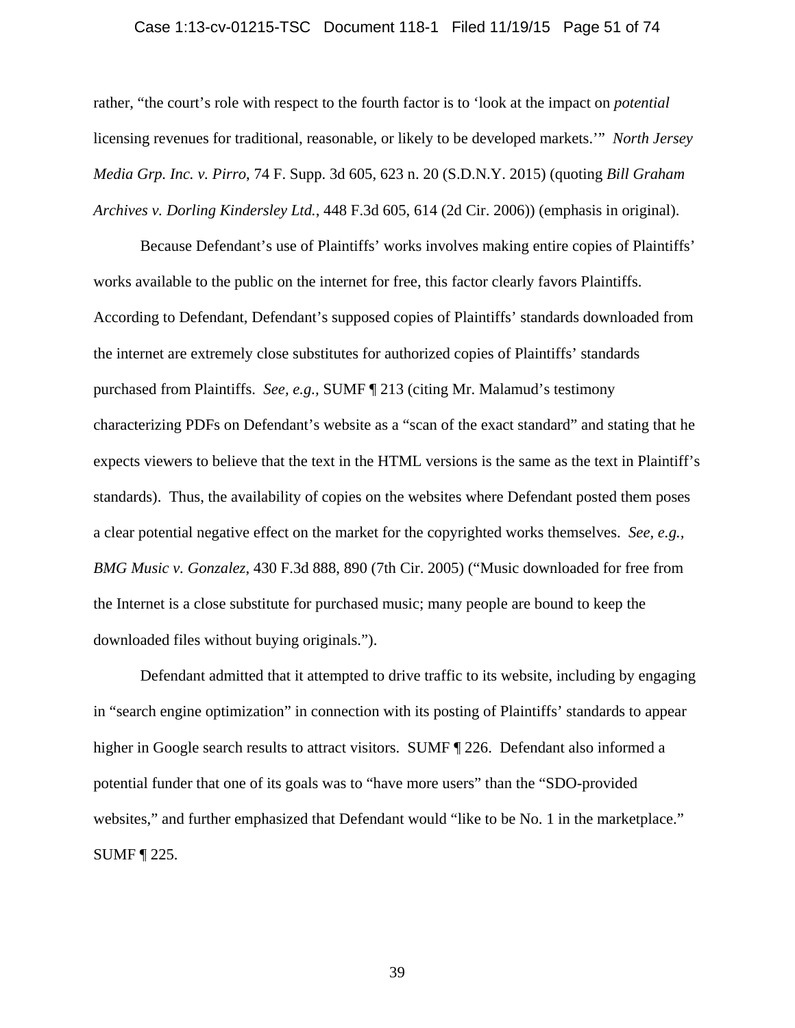### Case 1:13-cv-01215-TSC Document 118-1 Filed 11/19/15 Page 51 of 74

rather, "the court's role with respect to the fourth factor is to 'look at the impact on *potential* licensing revenues for traditional, reasonable, or likely to be developed markets.'" *North Jersey Media Grp. Inc. v. Pirro*, 74 F. Supp. 3d 605, 623 n. 20 (S.D.N.Y. 2015) (quoting *Bill Graham Archives v. Dorling Kindersley Ltd.*, 448 F.3d 605, 614 (2d Cir. 2006)) (emphasis in original).

Because Defendant's use of Plaintiffs' works involves making entire copies of Plaintiffs' works available to the public on the internet for free, this factor clearly favors Plaintiffs. According to Defendant, Defendant's supposed copies of Plaintiffs' standards downloaded from the internet are extremely close substitutes for authorized copies of Plaintiffs' standards purchased from Plaintiffs. *See, e.g.,* SUMF ¶ 213 (citing Mr. Malamud's testimony characterizing PDFs on Defendant's website as a "scan of the exact standard" and stating that he expects viewers to believe that the text in the HTML versions is the same as the text in Plaintiff's standards). Thus, the availability of copies on the websites where Defendant posted them poses a clear potential negative effect on the market for the copyrighted works themselves. *See, e.g., BMG Music v. Gonzalez*, 430 F.3d 888, 890 (7th Cir. 2005) ("Music downloaded for free from the Internet is a close substitute for purchased music; many people are bound to keep the downloaded files without buying originals.").

Defendant admitted that it attempted to drive traffic to its website, including by engaging in "search engine optimization" in connection with its posting of Plaintiffs' standards to appear higher in Google search results to attract visitors. SUMF  $\parallel$  226. Defendant also informed a potential funder that one of its goals was to "have more users" than the "SDO-provided websites," and further emphasized that Defendant would "like to be No. 1 in the marketplace." SUMF ¶ 225.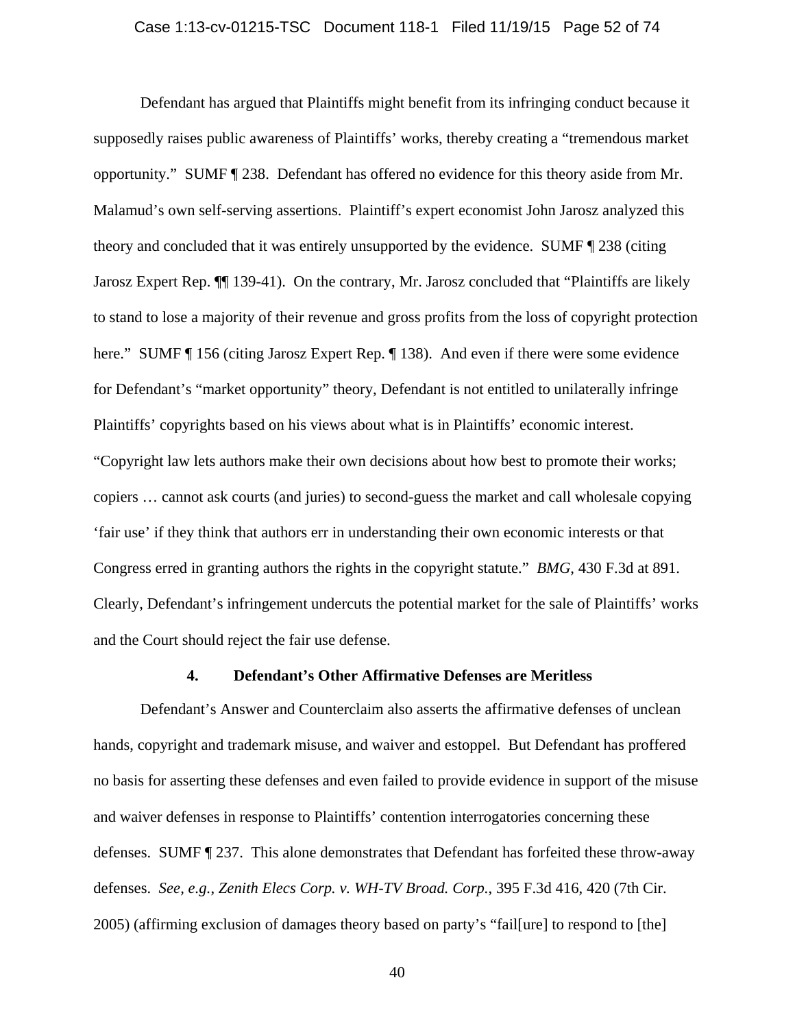### Case 1:13-cv-01215-TSC Document 118-1 Filed 11/19/15 Page 52 of 74

Defendant has argued that Plaintiffs might benefit from its infringing conduct because it supposedly raises public awareness of Plaintiffs' works, thereby creating a "tremendous market opportunity." SUMF ¶ 238. Defendant has offered no evidence for this theory aside from Mr. Malamud's own self-serving assertions. Plaintiff's expert economist John Jarosz analyzed this theory and concluded that it was entirely unsupported by the evidence. SUMF ¶ 238 (citing Jarosz Expert Rep. ¶¶ 139-41). On the contrary, Mr. Jarosz concluded that "Plaintiffs are likely to stand to lose a majority of their revenue and gross profits from the loss of copyright protection here." SUMF ¶ 156 (citing Jarosz Expert Rep. ¶ 138). And even if there were some evidence for Defendant's "market opportunity" theory, Defendant is not entitled to unilaterally infringe Plaintiffs' copyrights based on his views about what is in Plaintiffs' economic interest. "Copyright law lets authors make their own decisions about how best to promote their works; copiers … cannot ask courts (and juries) to second-guess the market and call wholesale copying 'fair use' if they think that authors err in understanding their own economic interests or that Congress erred in granting authors the rights in the copyright statute." *BMG*, 430 F.3d at 891. Clearly, Defendant's infringement undercuts the potential market for the sale of Plaintiffs' works and the Court should reject the fair use defense.

#### **4. Defendant's Other Affirmative Defenses are Meritless**

Defendant's Answer and Counterclaim also asserts the affirmative defenses of unclean hands, copyright and trademark misuse, and waiver and estoppel. But Defendant has proffered no basis for asserting these defenses and even failed to provide evidence in support of the misuse and waiver defenses in response to Plaintiffs' contention interrogatories concerning these defenses. SUMF ¶ 237. This alone demonstrates that Defendant has forfeited these throw-away defenses. *See, e.g.*, *Zenith Elecs Corp. v. WH-TV Broad. Corp.*, 395 F.3d 416, 420 (7th Cir. 2005) (affirming exclusion of damages theory based on party's "fail[ure] to respond to [the]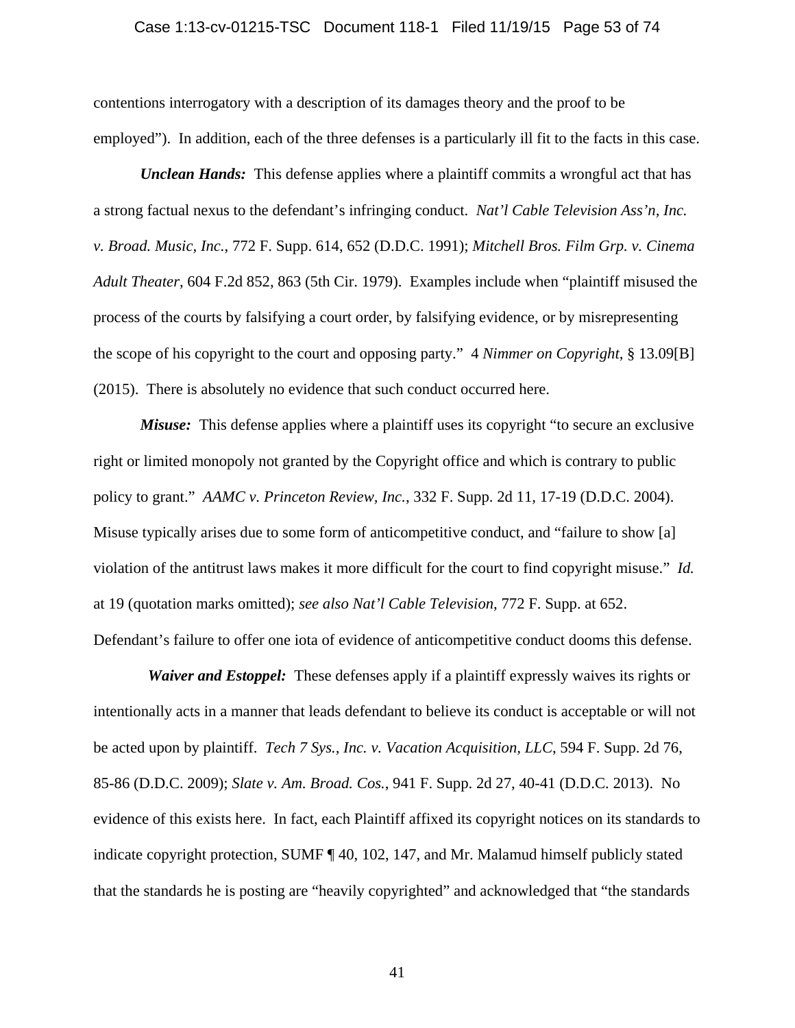#### Case 1:13-cv-01215-TSC Document 118-1 Filed 11/19/15 Page 53 of 74

contentions interrogatory with a description of its damages theory and the proof to be employed"). In addition, each of the three defenses is a particularly ill fit to the facts in this case.

*Unclean Hands*: This defense applies where a plaintiff commits a wrongful act that has a strong factual nexus to the defendant's infringing conduct. *Nat'l Cable Television Ass'n, Inc. v. Broad. Music, Inc.*, 772 F. Supp. 614, 652 (D.D.C. 1991); *Mitchell Bros. Film Grp. v. Cinema Adult Theater*, 604 F.2d 852, 863 (5th Cir. 1979). Examples include when "plaintiff misused the process of the courts by falsifying a court order, by falsifying evidence, or by misrepresenting the scope of his copyright to the court and opposing party." 4 *Nimmer on Copyright*, § 13.09[B] (2015). There is absolutely no evidence that such conduct occurred here.

*Misuse:* This defense applies where a plaintiff uses its copyright "to secure an exclusive" right or limited monopoly not granted by the Copyright office and which is contrary to public policy to grant." *AAMC v. Princeton Review, Inc.*, 332 F. Supp. 2d 11, 17-19 (D.D.C. 2004). Misuse typically arises due to some form of anticompetitive conduct, and "failure to show [a] violation of the antitrust laws makes it more difficult for the court to find copyright misuse." *Id.*  at 19 (quotation marks omitted); *see also Nat'l Cable Television*, 772 F. Supp. at 652.

Defendant's failure to offer one iota of evidence of anticompetitive conduct dooms this defense. *Waiver and Estoppel:* These defenses apply if a plaintiff expressly waives its rights or intentionally acts in a manner that leads defendant to believe its conduct is acceptable or will not

be acted upon by plaintiff. *Tech 7 Sys., Inc. v. Vacation Acquisition, LLC*, 594 F. Supp. 2d 76, 85-86 (D.D.C. 2009); *Slate v. Am. Broad. Cos.*, 941 F. Supp. 2d 27, 40-41 (D.D.C. 2013). No evidence of this exists here. In fact, each Plaintiff affixed its copyright notices on its standards to indicate copyright protection, SUMF ¶ 40, 102, 147, and Mr. Malamud himself publicly stated that the standards he is posting are "heavily copyrighted" and acknowledged that "the standards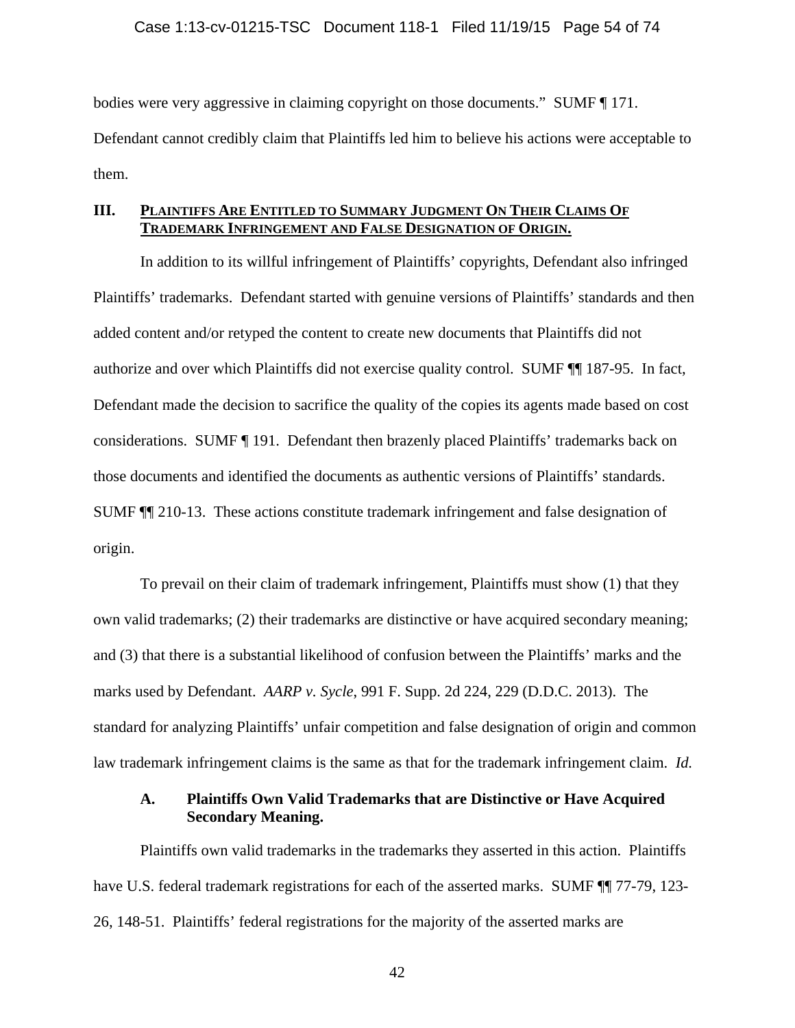bodies were very aggressive in claiming copyright on those documents." SUMF ¶ 171. Defendant cannot credibly claim that Plaintiffs led him to believe his actions were acceptable to them.

# **III. PLAINTIFFS ARE ENTITLED TO SUMMARY JUDGMENT ON THEIR CLAIMS OF TRADEMARK INFRINGEMENT AND FALSE DESIGNATION OF ORIGIN.**

In addition to its willful infringement of Plaintiffs' copyrights, Defendant also infringed Plaintiffs' trademarks. Defendant started with genuine versions of Plaintiffs' standards and then added content and/or retyped the content to create new documents that Plaintiffs did not authorize and over which Plaintiffs did not exercise quality control. SUMF ¶¶ 187-95. In fact, Defendant made the decision to sacrifice the quality of the copies its agents made based on cost considerations. SUMF ¶ 191. Defendant then brazenly placed Plaintiffs' trademarks back on those documents and identified the documents as authentic versions of Plaintiffs' standards. SUMF ¶¶ 210-13. These actions constitute trademark infringement and false designation of origin.

To prevail on their claim of trademark infringement, Plaintiffs must show (1) that they own valid trademarks; (2) their trademarks are distinctive or have acquired secondary meaning; and (3) that there is a substantial likelihood of confusion between the Plaintiffs' marks and the marks used by Defendant. *AARP v. Sycle*, 991 F. Supp. 2d 224, 229 (D.D.C. 2013). The standard for analyzing Plaintiffs' unfair competition and false designation of origin and common law trademark infringement claims is the same as that for the trademark infringement claim. *Id.*

# **A. Plaintiffs Own Valid Trademarks that are Distinctive or Have Acquired Secondary Meaning.**

Plaintiffs own valid trademarks in the trademarks they asserted in this action. Plaintiffs have U.S. federal trademark registrations for each of the asserted marks. SUMF  $\P$   $\P$  77-79, 123-26, 148-51. Plaintiffs' federal registrations for the majority of the asserted marks are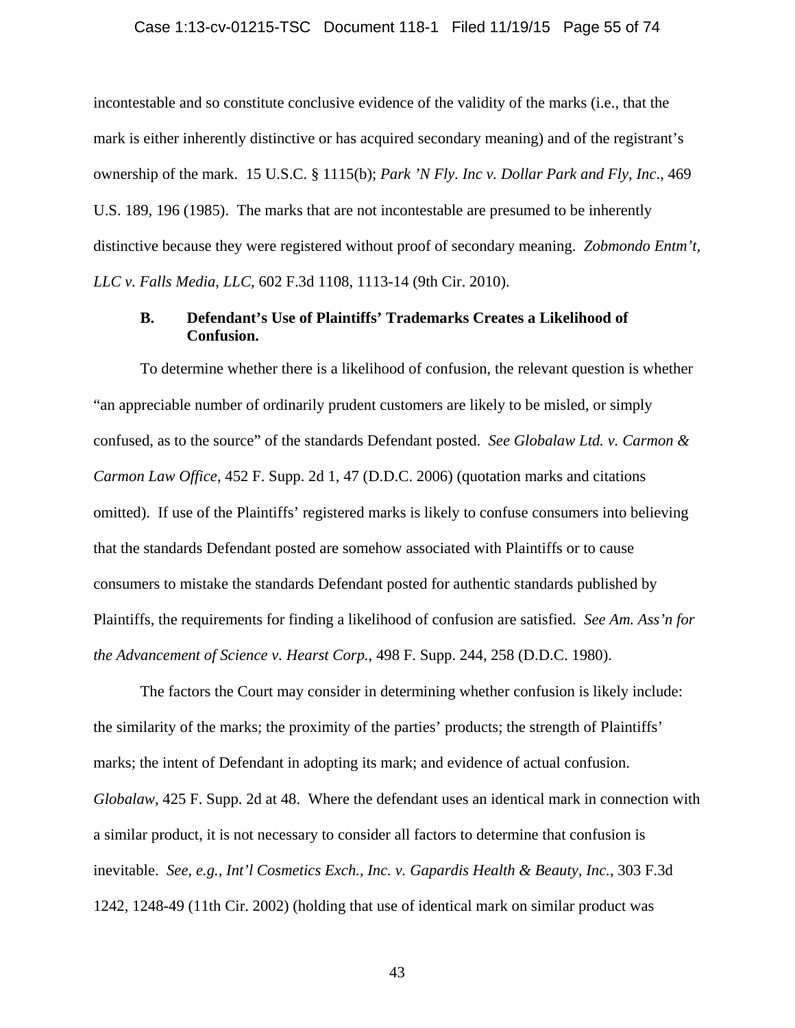### Case 1:13-cv-01215-TSC Document 118-1 Filed 11/19/15 Page 55 of 74

incontestable and so constitute conclusive evidence of the validity of the marks (i.e., that the mark is either inherently distinctive or has acquired secondary meaning) and of the registrant's ownership of the mark. 15 U.S.C. § 1115(b); *Park 'N Fly. Inc v. Dollar Park and Fly, Inc*., 469 U.S. 189, 196 (1985). The marks that are not incontestable are presumed to be inherently distinctive because they were registered without proof of secondary meaning. *Zobmondo Entm't, LLC v. Falls Media, LLC*, 602 F.3d 1108, 1113-14 (9th Cir. 2010).

# **B. Defendant's Use of Plaintiffs' Trademarks Creates a Likelihood of Confusion.**

To determine whether there is a likelihood of confusion, the relevant question is whether "an appreciable number of ordinarily prudent customers are likely to be misled, or simply confused, as to the source" of the standards Defendant posted. *See Globalaw Ltd. v. Carmon & Carmon Law Office*, 452 F. Supp. 2d 1, 47 (D.D.C. 2006) (quotation marks and citations omitted). If use of the Plaintiffs' registered marks is likely to confuse consumers into believing that the standards Defendant posted are somehow associated with Plaintiffs or to cause consumers to mistake the standards Defendant posted for authentic standards published by Plaintiffs, the requirements for finding a likelihood of confusion are satisfied. *See Am. Ass'n for the Advancement of Science v. Hearst Corp.*, 498 F. Supp. 244, 258 (D.D.C. 1980).

The factors the Court may consider in determining whether confusion is likely include: the similarity of the marks; the proximity of the parties' products; the strength of Plaintiffs' marks; the intent of Defendant in adopting its mark; and evidence of actual confusion. *Globalaw*, 425 F. Supp. 2d at 48. Where the defendant uses an identical mark in connection with a similar product, it is not necessary to consider all factors to determine that confusion is inevitable. *See, e.g., Int'l Cosmetics Exch., Inc. v. Gapardis Health & Beauty, Inc.*, 303 F.3d 1242, 1248-49 (11th Cir. 2002) (holding that use of identical mark on similar product was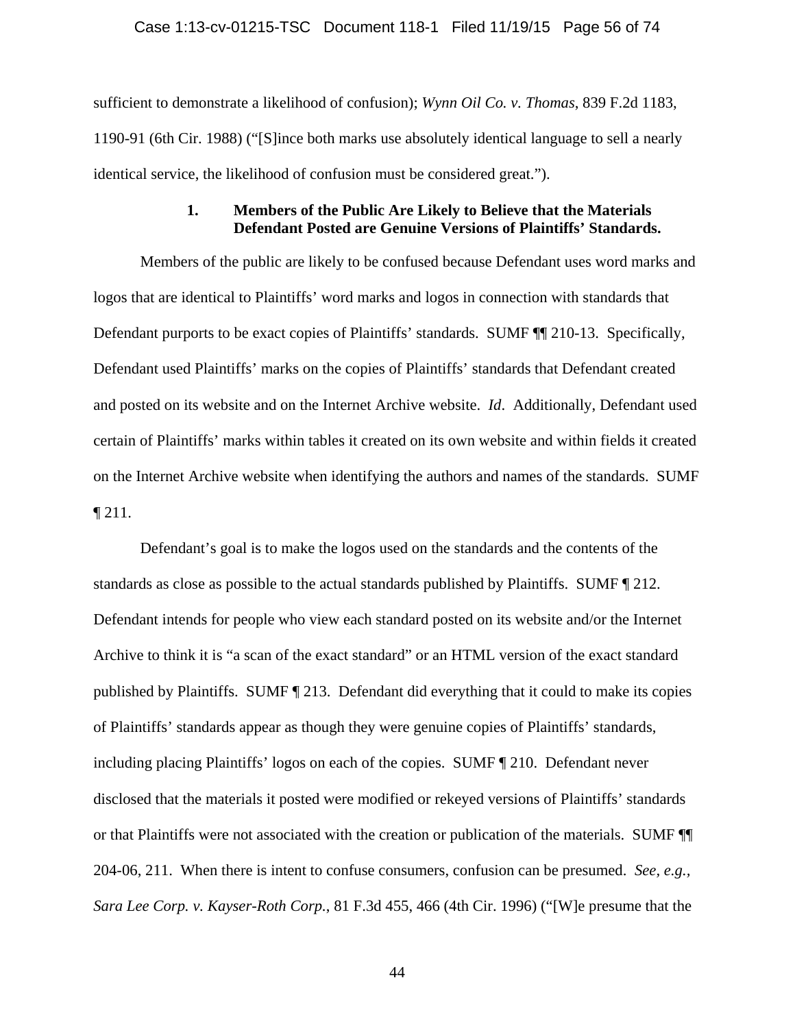### Case 1:13-cv-01215-TSC Document 118-1 Filed 11/19/15 Page 56 of 74

sufficient to demonstrate a likelihood of confusion); *Wynn Oil Co. v. Thomas*, 839 F.2d 1183, 1190-91 (6th Cir. 1988) ("[S]ince both marks use absolutely identical language to sell a nearly identical service, the likelihood of confusion must be considered great.").

# **1. Members of the Public Are Likely to Believe that the Materials Defendant Posted are Genuine Versions of Plaintiffs' Standards.**

Members of the public are likely to be confused because Defendant uses word marks and logos that are identical to Plaintiffs' word marks and logos in connection with standards that Defendant purports to be exact copies of Plaintiffs' standards. SUMF ¶¶ 210-13. Specifically, Defendant used Plaintiffs' marks on the copies of Plaintiffs' standards that Defendant created and posted on its website and on the Internet Archive website. *Id*. Additionally, Defendant used certain of Plaintiffs' marks within tables it created on its own website and within fields it created on the Internet Archive website when identifying the authors and names of the standards. SUMF  $\P$  211.

Defendant's goal is to make the logos used on the standards and the contents of the standards as close as possible to the actual standards published by Plaintiffs. SUMF ¶ 212. Defendant intends for people who view each standard posted on its website and/or the Internet Archive to think it is "a scan of the exact standard" or an HTML version of the exact standard published by Plaintiffs. SUMF ¶ 213. Defendant did everything that it could to make its copies of Plaintiffs' standards appear as though they were genuine copies of Plaintiffs' standards, including placing Plaintiffs' logos on each of the copies. SUMF ¶ 210. Defendant never disclosed that the materials it posted were modified or rekeyed versions of Plaintiffs' standards or that Plaintiffs were not associated with the creation or publication of the materials. SUMF ¶¶ 204-06, 211. When there is intent to confuse consumers, confusion can be presumed. *See, e.g., Sara Lee Corp. v. Kayser-Roth Corp.*, 81 F.3d 455, 466 (4th Cir. 1996) ("[W]e presume that the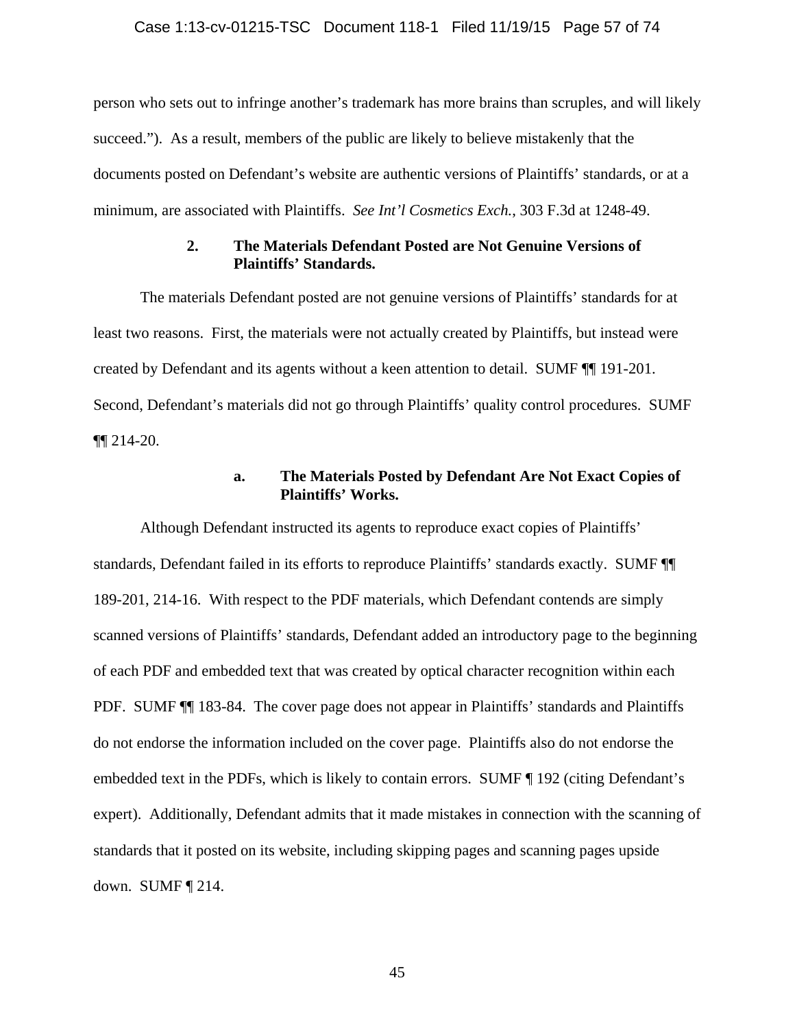### Case 1:13-cv-01215-TSC Document 118-1 Filed 11/19/15 Page 57 of 74

person who sets out to infringe another's trademark has more brains than scruples, and will likely succeed."). As a result, members of the public are likely to believe mistakenly that the documents posted on Defendant's website are authentic versions of Plaintiffs' standards, or at a minimum, are associated with Plaintiffs. *See Int'l Cosmetics Exch.*, 303 F.3d at 1248-49.

## **2. The Materials Defendant Posted are Not Genuine Versions of Plaintiffs' Standards.**

The materials Defendant posted are not genuine versions of Plaintiffs' standards for at least two reasons. First, the materials were not actually created by Plaintiffs, but instead were created by Defendant and its agents without a keen attention to detail. SUMF ¶¶ 191-201. Second, Defendant's materials did not go through Plaintiffs' quality control procedures. SUMF ¶¶ 214-20.

## **a. The Materials Posted by Defendant Are Not Exact Copies of Plaintiffs' Works.**

Although Defendant instructed its agents to reproduce exact copies of Plaintiffs' standards, Defendant failed in its efforts to reproduce Plaintiffs' standards exactly. SUMF ¶¶ 189-201, 214-16. With respect to the PDF materials, which Defendant contends are simply scanned versions of Plaintiffs' standards, Defendant added an introductory page to the beginning of each PDF and embedded text that was created by optical character recognition within each PDF. SUMF ¶¶ 183-84. The cover page does not appear in Plaintiffs' standards and Plaintiffs do not endorse the information included on the cover page. Plaintiffs also do not endorse the embedded text in the PDFs, which is likely to contain errors. SUMF ¶ 192 (citing Defendant's expert). Additionally, Defendant admits that it made mistakes in connection with the scanning of standards that it posted on its website, including skipping pages and scanning pages upside down. SUMF ¶ 214.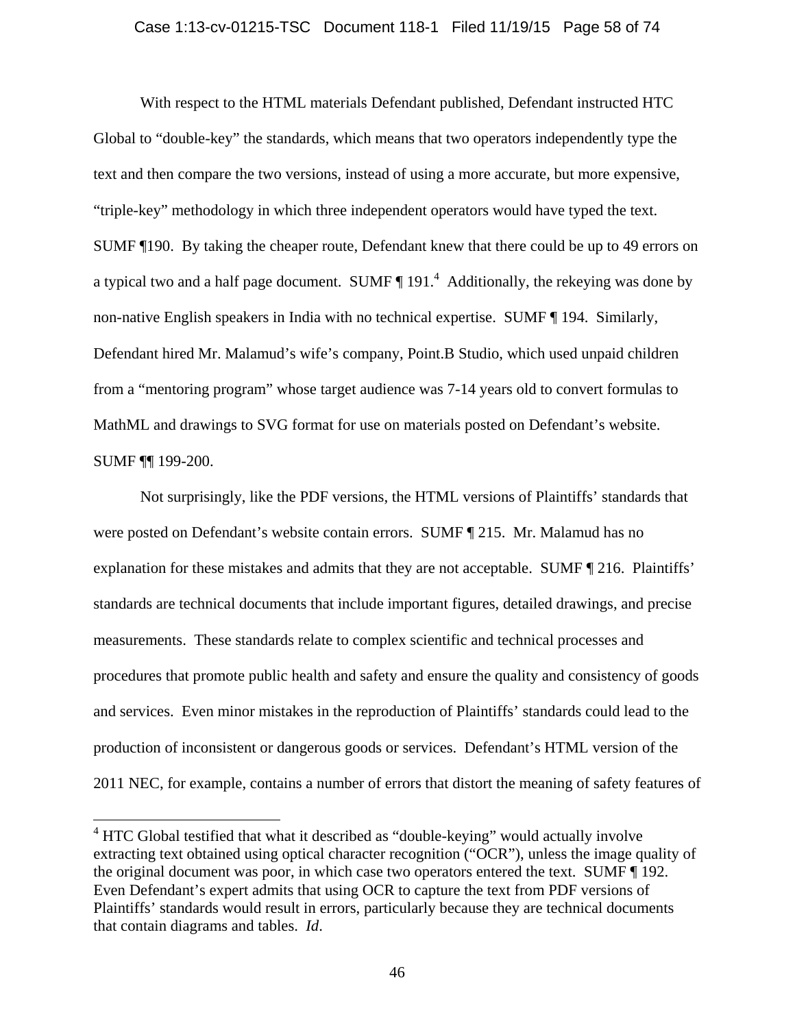### Case 1:13-cv-01215-TSC Document 118-1 Filed 11/19/15 Page 58 of 74

With respect to the HTML materials Defendant published, Defendant instructed HTC Global to "double-key" the standards, which means that two operators independently type the text and then compare the two versions, instead of using a more accurate, but more expensive, "triple-key" methodology in which three independent operators would have typed the text. SUMF ¶190. By taking the cheaper route, Defendant knew that there could be up to 49 errors on a typical two and a half page document. SUMF  $\P$  191.<sup>4</sup> Additionally, the rekeying was done by non-native English speakers in India with no technical expertise. SUMF ¶ 194. Similarly, Defendant hired Mr. Malamud's wife's company, Point.B Studio, which used unpaid children from a "mentoring program" whose target audience was 7-14 years old to convert formulas to MathML and drawings to SVG format for use on materials posted on Defendant's website. SUMF ¶¶ 199-200.

Not surprisingly, like the PDF versions, the HTML versions of Plaintiffs' standards that were posted on Defendant's website contain errors. SUMF ¶ 215. Mr. Malamud has no explanation for these mistakes and admits that they are not acceptable. SUMF ¶ 216. Plaintiffs' standards are technical documents that include important figures, detailed drawings, and precise measurements. These standards relate to complex scientific and technical processes and procedures that promote public health and safety and ensure the quality and consistency of goods and services. Even minor mistakes in the reproduction of Plaintiffs' standards could lead to the production of inconsistent or dangerous goods or services. Defendant's HTML version of the 2011 NEC, for example, contains a number of errors that distort the meaning of safety features of

 $\overline{a}$ 

 $4$  HTC Global testified that what it described as "double-keying" would actually involve extracting text obtained using optical character recognition ("OCR"), unless the image quality of the original document was poor, in which case two operators entered the text. SUMF ¶ 192. Even Defendant's expert admits that using OCR to capture the text from PDF versions of Plaintiffs' standards would result in errors, particularly because they are technical documents that contain diagrams and tables. *Id*.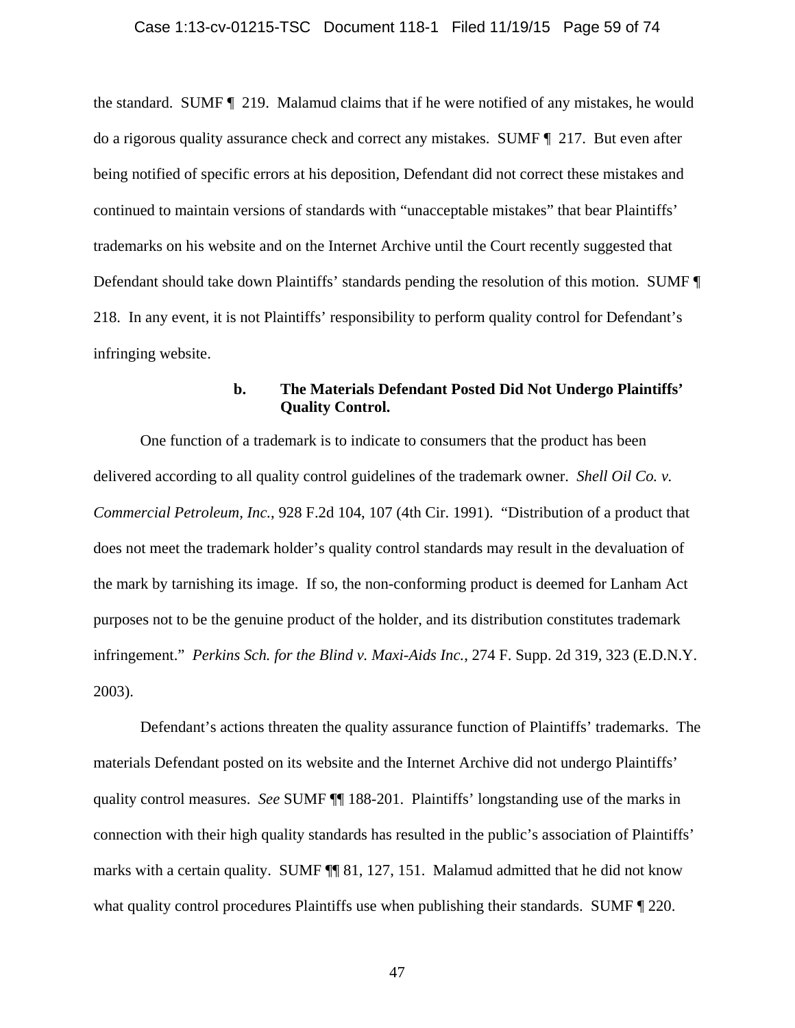the standard. SUMF ¶ 219. Malamud claims that if he were notified of any mistakes, he would do a rigorous quality assurance check and correct any mistakes. SUMF ¶ 217. But even after being notified of specific errors at his deposition, Defendant did not correct these mistakes and continued to maintain versions of standards with "unacceptable mistakes" that bear Plaintiffs' trademarks on his website and on the Internet Archive until the Court recently suggested that Defendant should take down Plaintiffs' standards pending the resolution of this motion. SUMF ¶ 218. In any event, it is not Plaintiffs' responsibility to perform quality control for Defendant's infringing website.

# **b. The Materials Defendant Posted Did Not Undergo Plaintiffs' Quality Control.**

One function of a trademark is to indicate to consumers that the product has been delivered according to all quality control guidelines of the trademark owner. *Shell Oil Co. v. Commercial Petroleum, Inc.*, 928 F.2d 104, 107 (4th Cir. 1991). "Distribution of a product that does not meet the trademark holder's quality control standards may result in the devaluation of the mark by tarnishing its image. If so, the non-conforming product is deemed for Lanham Act purposes not to be the genuine product of the holder, and its distribution constitutes trademark infringement." *Perkins Sch. for the Blind v. Maxi-Aids Inc.*, 274 F. Supp. 2d 319, 323 (E.D.N.Y. 2003).

Defendant's actions threaten the quality assurance function of Plaintiffs' trademarks. The materials Defendant posted on its website and the Internet Archive did not undergo Plaintiffs' quality control measures. *See* SUMF ¶¶ 188-201. Plaintiffs' longstanding use of the marks in connection with their high quality standards has resulted in the public's association of Plaintiffs' marks with a certain quality. SUMF  $\P\P$  81, 127, 151. Malamud admitted that he did not know what quality control procedures Plaintiffs use when publishing their standards. SUMF  $\P$  220.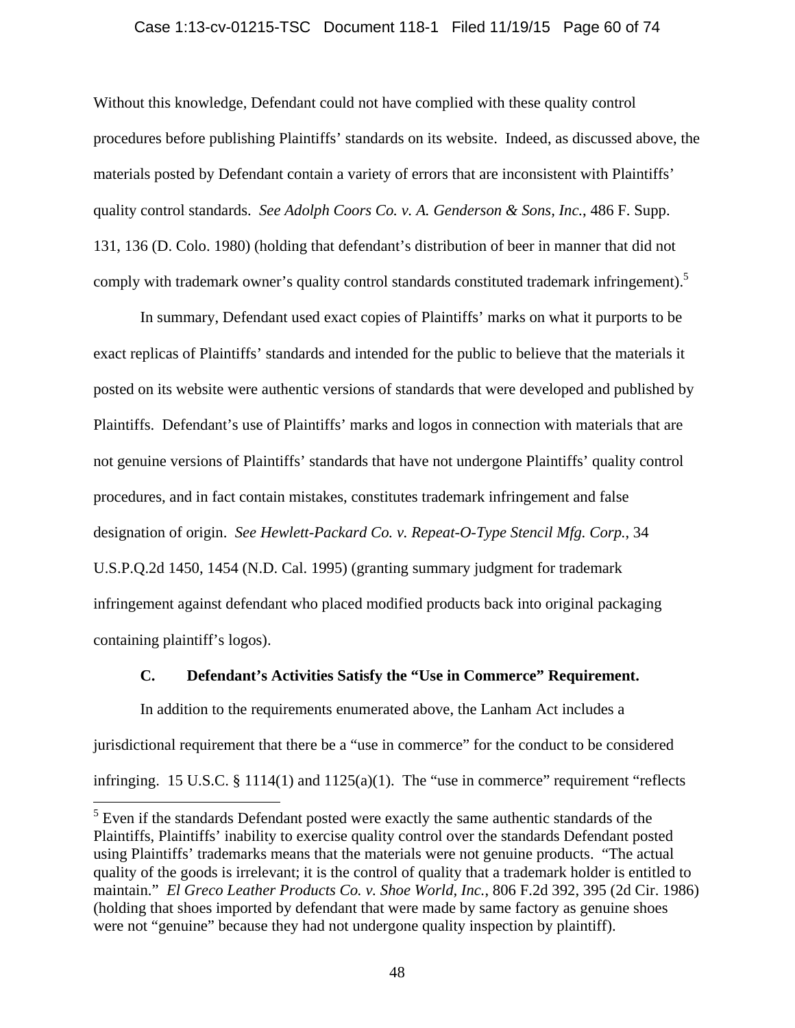### Case 1:13-cv-01215-TSC Document 118-1 Filed 11/19/15 Page 60 of 74

Without this knowledge, Defendant could not have complied with these quality control procedures before publishing Plaintiffs' standards on its website. Indeed, as discussed above, the materials posted by Defendant contain a variety of errors that are inconsistent with Plaintiffs' quality control standards. *See Adolph Coors Co. v. A. Genderson & Sons, Inc.*, 486 F. Supp. 131, 136 (D. Colo. 1980) (holding that defendant's distribution of beer in manner that did not comply with trademark owner's quality control standards constituted trademark infringement).<sup>5</sup>

In summary, Defendant used exact copies of Plaintiffs' marks on what it purports to be exact replicas of Plaintiffs' standards and intended for the public to believe that the materials it posted on its website were authentic versions of standards that were developed and published by Plaintiffs. Defendant's use of Plaintiffs' marks and logos in connection with materials that are not genuine versions of Plaintiffs' standards that have not undergone Plaintiffs' quality control procedures, and in fact contain mistakes, constitutes trademark infringement and false designation of origin. *See Hewlett-Packard Co. v. Repeat-O-Type Stencil Mfg. Corp.*, 34 U.S.P.Q.2d 1450, 1454 (N.D. Cal. 1995) (granting summary judgment for trademark infringement against defendant who placed modified products back into original packaging containing plaintiff's logos).

### **C. Defendant's Activities Satisfy the "Use in Commerce" Requirement.**

In addition to the requirements enumerated above, the Lanham Act includes a jurisdictional requirement that there be a "use in commerce" for the conduct to be considered infringing. 15 U.S.C.  $\S$  1114(1) and 1125(a)(1). The "use in commerce" requirement "reflects

 $\overline{a}$ 

<sup>&</sup>lt;sup>5</sup> Even if the standards Defendant posted were exactly the same authentic standards of the Plaintiffs, Plaintiffs' inability to exercise quality control over the standards Defendant posted using Plaintiffs' trademarks means that the materials were not genuine products. "The actual quality of the goods is irrelevant; it is the control of quality that a trademark holder is entitled to maintain." *El Greco Leather Products Co. v. Shoe World, Inc.*, 806 F.2d 392, 395 (2d Cir. 1986) (holding that shoes imported by defendant that were made by same factory as genuine shoes were not "genuine" because they had not undergone quality inspection by plaintiff).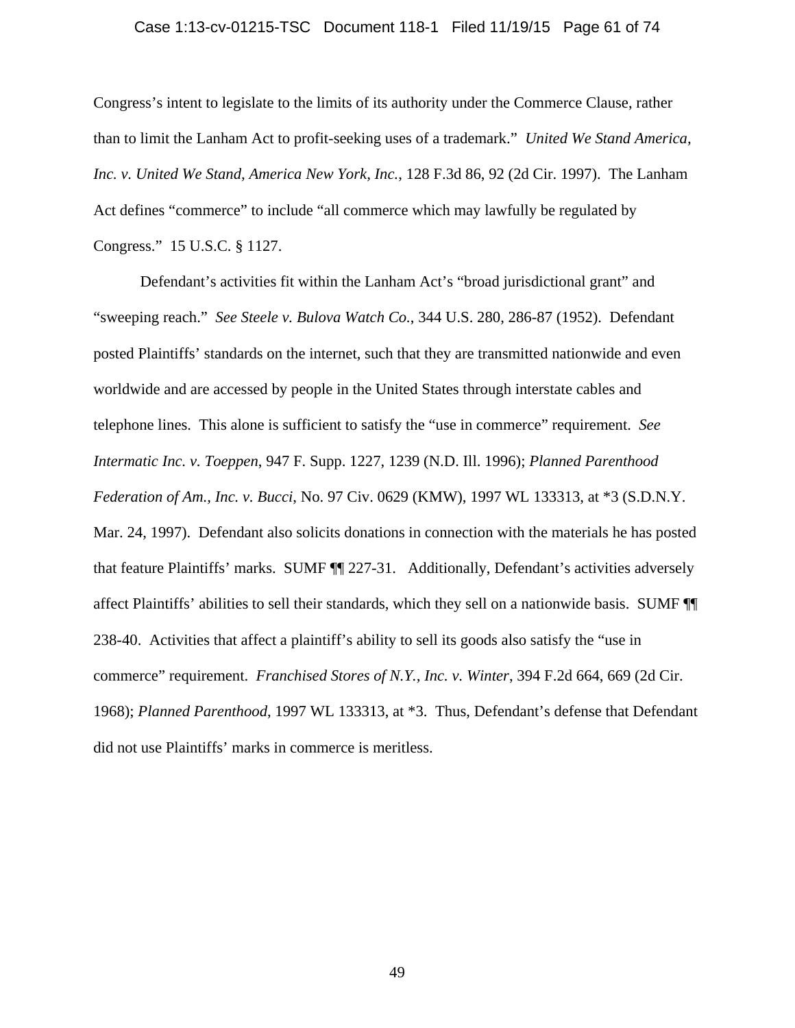### Case 1:13-cv-01215-TSC Document 118-1 Filed 11/19/15 Page 61 of 74

Congress's intent to legislate to the limits of its authority under the Commerce Clause, rather than to limit the Lanham Act to profit-seeking uses of a trademark." *United We Stand America, Inc. v. United We Stand, America New York, Inc.*, 128 F.3d 86, 92 (2d Cir. 1997). The Lanham Act defines "commerce" to include "all commerce which may lawfully be regulated by Congress." 15 U.S.C. § 1127.

Defendant's activities fit within the Lanham Act's "broad jurisdictional grant" and "sweeping reach." *See Steele v. Bulova Watch Co.*, 344 U.S. 280, 286-87 (1952). Defendant posted Plaintiffs' standards on the internet, such that they are transmitted nationwide and even worldwide and are accessed by people in the United States through interstate cables and telephone lines.This alone is sufficient to satisfy the "use in commerce" requirement. *See Intermatic Inc. v. Toeppen*, 947 F. Supp. 1227, 1239 (N.D. Ill. 1996); *Planned Parenthood Federation of Am., Inc. v. Bucci*, No. 97 Civ. 0629 (KMW), 1997 WL 133313, at \*3 (S.D.N.Y. Mar. 24, 1997). Defendant also solicits donations in connection with the materials he has posted that feature Plaintiffs' marks. SUMF ¶¶ 227-31. Additionally, Defendant's activities adversely affect Plaintiffs' abilities to sell their standards, which they sell on a nationwide basis. SUMF ¶¶ 238-40. Activities that affect a plaintiff's ability to sell its goods also satisfy the "use in commerce" requirement. *Franchised Stores of N.Y., Inc. v. Winter*, 394 F.2d 664, 669 (2d Cir. 1968); *Planned Parenthood*, 1997 WL 133313, at \*3. Thus, Defendant's defense that Defendant did not use Plaintiffs' marks in commerce is meritless.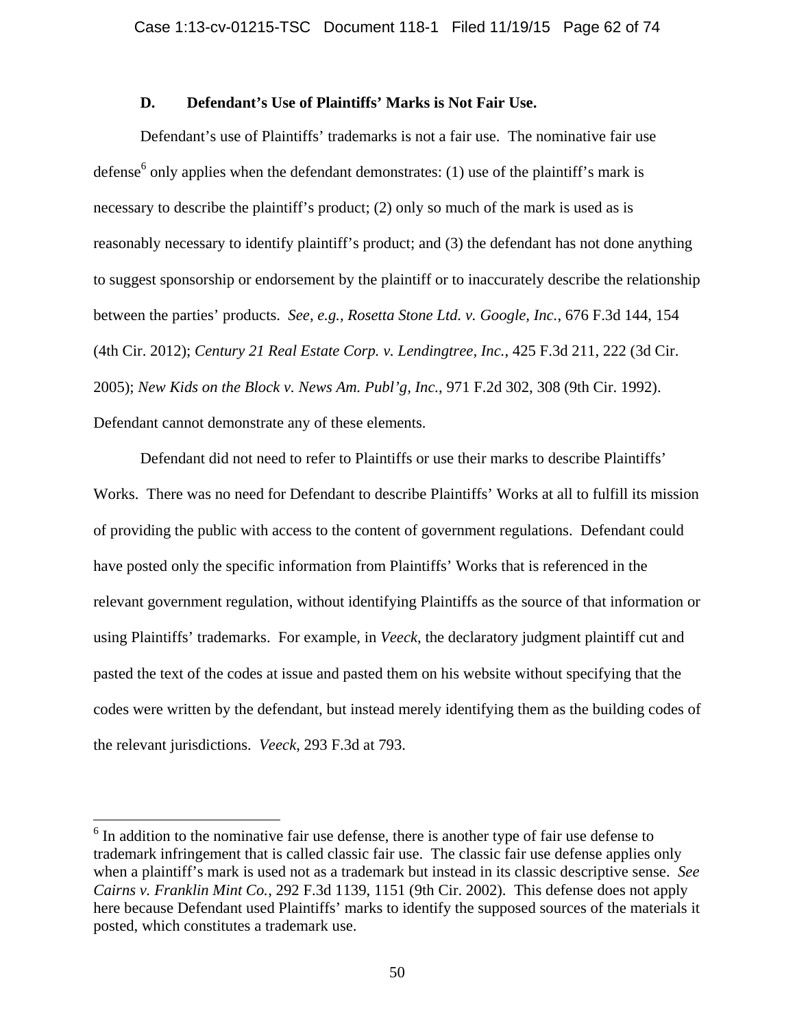# **D. Defendant's Use of Plaintiffs' Marks is Not Fair Use.**

 Defendant's use of Plaintiffs' trademarks is not a fair use. The nominative fair use defense<sup>6</sup> only applies when the defendant demonstrates: (1) use of the plaintiff's mark is necessary to describe the plaintiff's product; (2) only so much of the mark is used as is reasonably necessary to identify plaintiff's product; and (3) the defendant has not done anything to suggest sponsorship or endorsement by the plaintiff or to inaccurately describe the relationship between the parties' products. *See, e.g., Rosetta Stone Ltd. v. Google, Inc.*, 676 F.3d 144, 154 (4th Cir. 2012); *Century 21 Real Estate Corp. v. Lendingtree, Inc.*, 425 F.3d 211, 222 (3d Cir. 2005); *New Kids on the Block v. News Am. Publ'g, Inc.*, 971 F.2d 302, 308 (9th Cir. 1992). Defendant cannot demonstrate any of these elements.

 Defendant did not need to refer to Plaintiffs or use their marks to describe Plaintiffs' Works. There was no need for Defendant to describe Plaintiffs' Works at all to fulfill its mission of providing the public with access to the content of government regulations. Defendant could have posted only the specific information from Plaintiffs' Works that is referenced in the relevant government regulation, without identifying Plaintiffs as the source of that information or using Plaintiffs' trademarks. For example, in *Veeck*, the declaratory judgment plaintiff cut and pasted the text of the codes at issue and pasted them on his website without specifying that the codes were written by the defendant, but instead merely identifying them as the building codes of the relevant jurisdictions. *Veeck*, 293 F.3d at 793.

<sup>&</sup>lt;sup>6</sup> In addition to the nominative fair use defense, there is another type of fair use defense to trademark infringement that is called classic fair use. The classic fair use defense applies only when a plaintiff's mark is used not as a trademark but instead in its classic descriptive sense. *See Cairns v. Franklin Mint Co.*, 292 F.3d 1139, 1151 (9th Cir. 2002). This defense does not apply here because Defendant used Plaintiffs' marks to identify the supposed sources of the materials it posted, which constitutes a trademark use.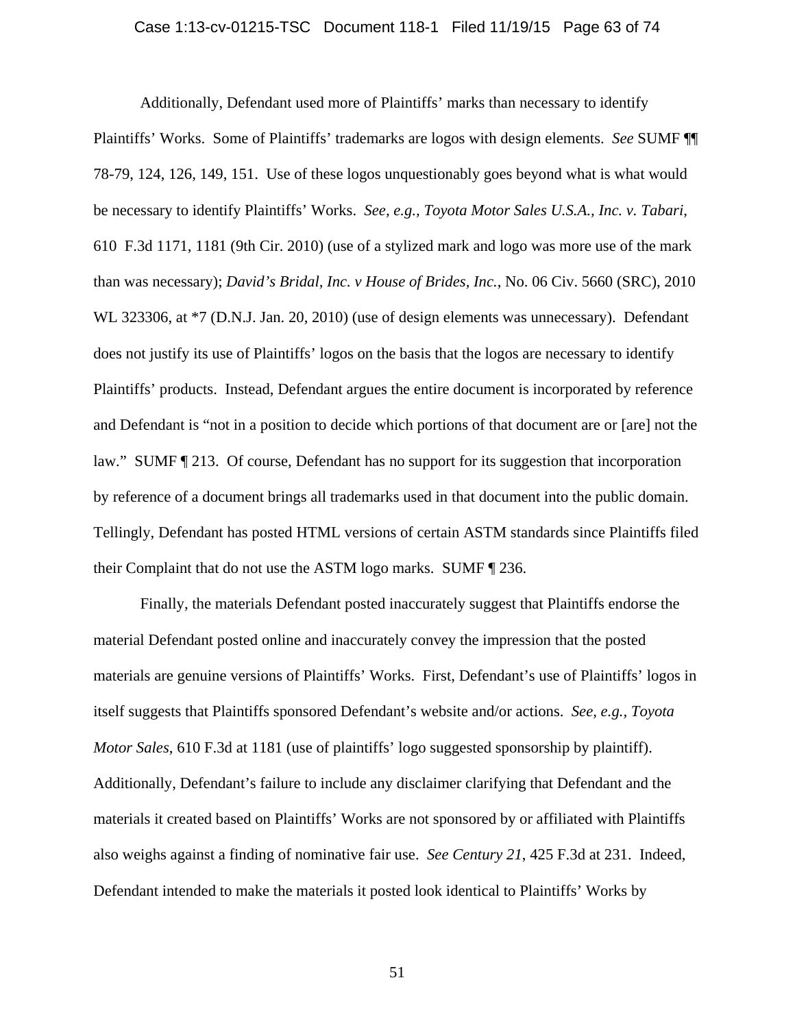### Case 1:13-cv-01215-TSC Document 118-1 Filed 11/19/15 Page 63 of 74

 Additionally, Defendant used more of Plaintiffs' marks than necessary to identify Plaintiffs' Works. Some of Plaintiffs' trademarks are logos with design elements. *See* SUMF ¶¶ 78-79, 124, 126, 149, 151. Use of these logos unquestionably goes beyond what is what would be necessary to identify Plaintiffs' Works. *See, e.g., Toyota Motor Sales U.S.A., Inc. v. Tabari*, 610 F.3d 1171, 1181 (9th Cir. 2010) (use of a stylized mark and logo was more use of the mark than was necessary); *David's Bridal, Inc. v House of Brides, Inc.*, No. 06 Civ. 5660 (SRC), 2010 WL 323306, at \*7 (D.N.J. Jan. 20, 2010) (use of design elements was unnecessary). Defendant does not justify its use of Plaintiffs' logos on the basis that the logos are necessary to identify Plaintiffs' products. Instead, Defendant argues the entire document is incorporated by reference and Defendant is "not in a position to decide which portions of that document are or [are] not the law." SUMF ¶ 213. Of course, Defendant has no support for its suggestion that incorporation by reference of a document brings all trademarks used in that document into the public domain. Tellingly, Defendant has posted HTML versions of certain ASTM standards since Plaintiffs filed their Complaint that do not use the ASTM logo marks. SUMF ¶ 236.

 Finally, the materials Defendant posted inaccurately suggest that Plaintiffs endorse the material Defendant posted online and inaccurately convey the impression that the posted materials are genuine versions of Plaintiffs' Works. First, Defendant's use of Plaintiffs' logos in itself suggests that Plaintiffs sponsored Defendant's website and/or actions. *See, e.g., Toyota Motor Sales*, 610 F.3d at 1181 (use of plaintiffs' logo suggested sponsorship by plaintiff). Additionally, Defendant's failure to include any disclaimer clarifying that Defendant and the materials it created based on Plaintiffs' Works are not sponsored by or affiliated with Plaintiffs also weighs against a finding of nominative fair use. *See Century 21*, 425 F.3d at 231. Indeed, Defendant intended to make the materials it posted look identical to Plaintiffs' Works by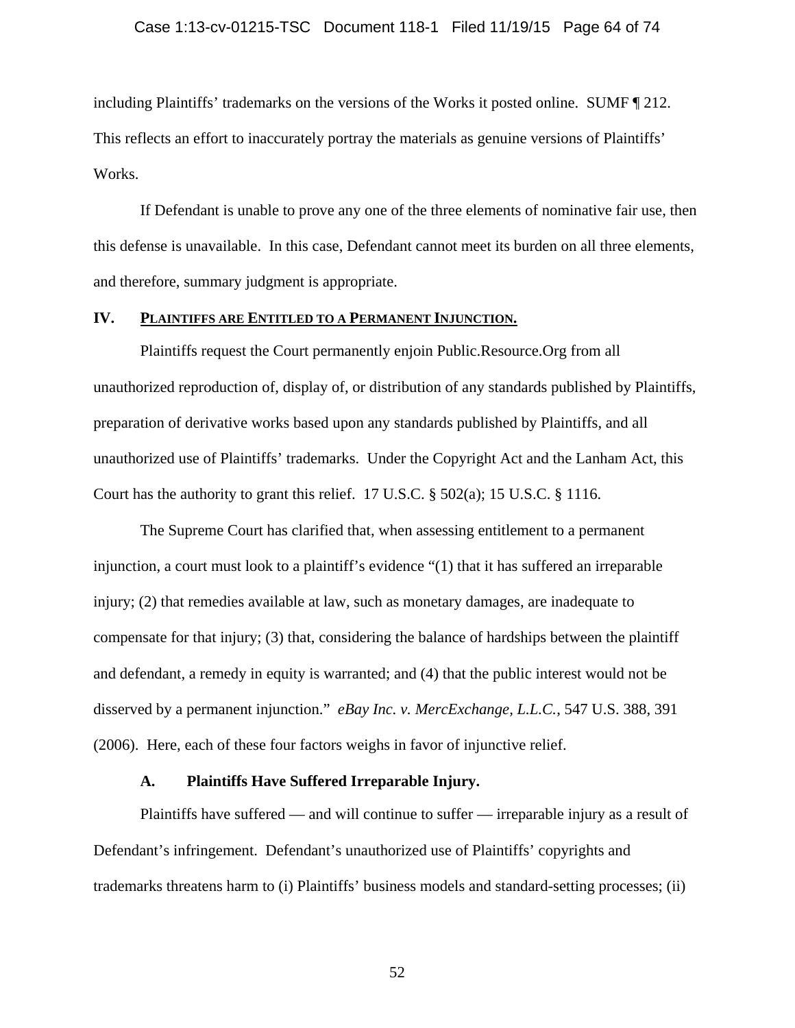### Case 1:13-cv-01215-TSC Document 118-1 Filed 11/19/15 Page 64 of 74

including Plaintiffs' trademarks on the versions of the Works it posted online. SUMF ¶ 212. This reflects an effort to inaccurately portray the materials as genuine versions of Plaintiffs' Works.

 If Defendant is unable to prove any one of the three elements of nominative fair use, then this defense is unavailable. In this case, Defendant cannot meet its burden on all three elements, and therefore, summary judgment is appropriate.

## **IV. PLAINTIFFS ARE ENTITLED TO A PERMANENT INJUNCTION.**

Plaintiffs request the Court permanently enjoin Public.Resource.Org from all unauthorized reproduction of, display of, or distribution of any standards published by Plaintiffs, preparation of derivative works based upon any standards published by Plaintiffs, and all unauthorized use of Plaintiffs' trademarks. Under the Copyright Act and the Lanham Act, this Court has the authority to grant this relief. 17 U.S.C. § 502(a); 15 U.S.C. § 1116.

The Supreme Court has clarified that, when assessing entitlement to a permanent injunction, a court must look to a plaintiff's evidence "(1) that it has suffered an irreparable injury; (2) that remedies available at law, such as monetary damages, are inadequate to compensate for that injury; (3) that, considering the balance of hardships between the plaintiff and defendant, a remedy in equity is warranted; and (4) that the public interest would not be disserved by a permanent injunction." *eBay Inc. v. MercExchange, L.L.C.*, 547 U.S. 388, 391 (2006). Here, each of these four factors weighs in favor of injunctive relief.

### **A. Plaintiffs Have Suffered Irreparable Injury.**

Plaintiffs have suffered — and will continue to suffer — irreparable injury as a result of Defendant's infringement. Defendant's unauthorized use of Plaintiffs' copyrights and trademarks threatens harm to (i) Plaintiffs' business models and standard-setting processes; (ii)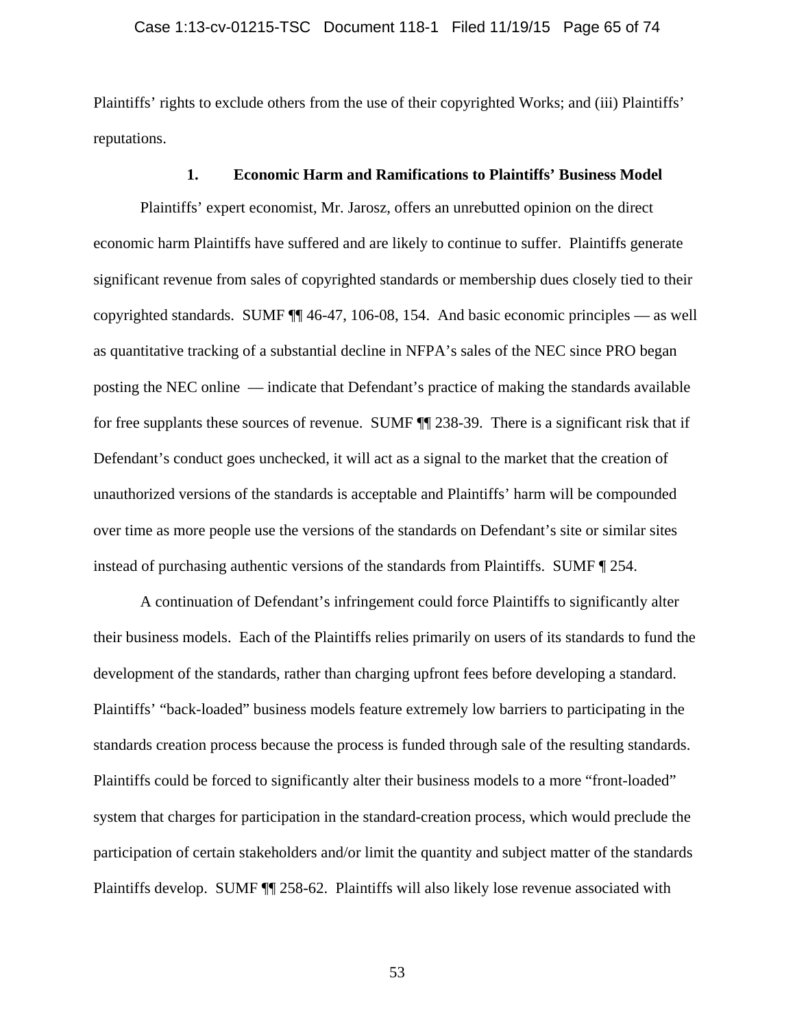Plaintiffs' rights to exclude others from the use of their copyrighted Works; and (iii) Plaintiffs' reputations.

## **1. Economic Harm and Ramifications to Plaintiffs' Business Model**

Plaintiffs' expert economist, Mr. Jarosz, offers an unrebutted opinion on the direct economic harm Plaintiffs have suffered and are likely to continue to suffer. Plaintiffs generate significant revenue from sales of copyrighted standards or membership dues closely tied to their copyrighted standards. SUMF ¶¶ 46-47, 106-08, 154. And basic economic principles — as well as quantitative tracking of a substantial decline in NFPA's sales of the NEC since PRO began posting the NEC online — indicate that Defendant's practice of making the standards available for free supplants these sources of revenue. SUMF ¶¶ 238-39. There is a significant risk that if Defendant's conduct goes unchecked, it will act as a signal to the market that the creation of unauthorized versions of the standards is acceptable and Plaintiffs' harm will be compounded over time as more people use the versions of the standards on Defendant's site or similar sites instead of purchasing authentic versions of the standards from Plaintiffs. SUMF ¶ 254.

A continuation of Defendant's infringement could force Plaintiffs to significantly alter their business models. Each of the Plaintiffs relies primarily on users of its standards to fund the development of the standards, rather than charging upfront fees before developing a standard. Plaintiffs' "back-loaded" business models feature extremely low barriers to participating in the standards creation process because the process is funded through sale of the resulting standards. Plaintiffs could be forced to significantly alter their business models to a more "front-loaded" system that charges for participation in the standard-creation process, which would preclude the participation of certain stakeholders and/or limit the quantity and subject matter of the standards Plaintiffs develop. SUMF ¶¶ 258-62. Plaintiffs will also likely lose revenue associated with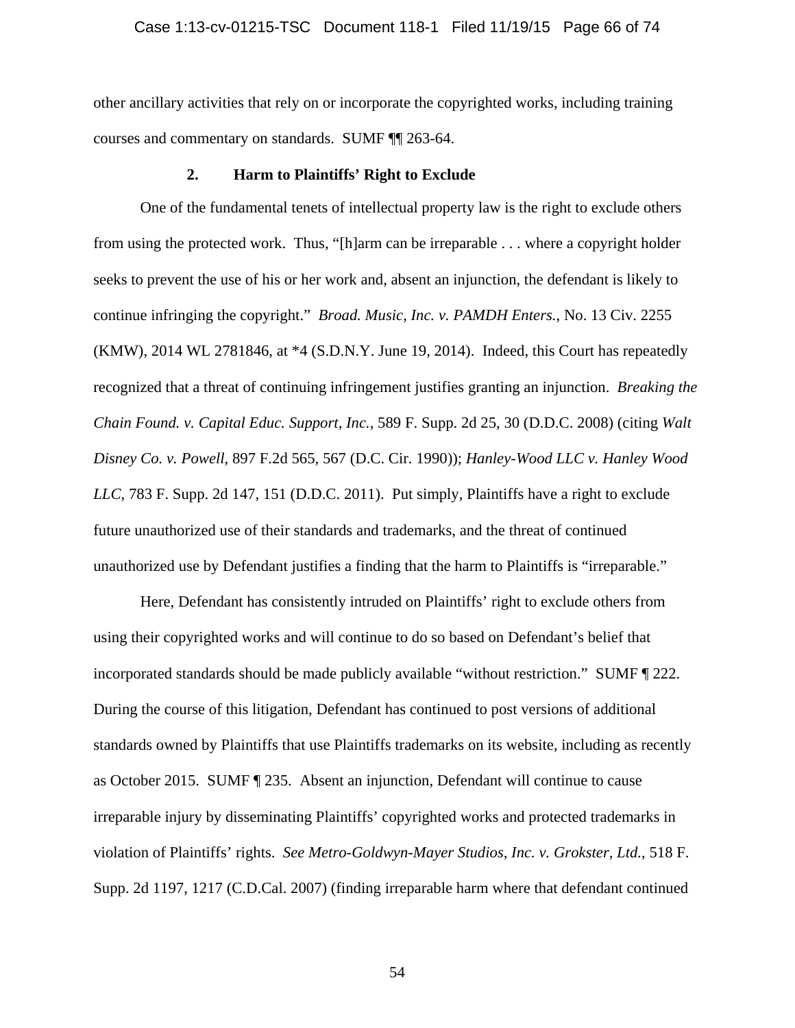other ancillary activities that rely on or incorporate the copyrighted works, including training courses and commentary on standards. SUMF ¶¶ 263-64.

## **2. Harm to Plaintiffs' Right to Exclude**

One of the fundamental tenets of intellectual property law is the right to exclude others from using the protected work. Thus, "[h]arm can be irreparable . . . where a copyright holder seeks to prevent the use of his or her work and, absent an injunction, the defendant is likely to continue infringing the copyright." *Broad. Music, Inc. v. PAMDH Enters.*, No. 13 Civ. 2255 (KMW), 2014 WL 2781846, at \*4 (S.D.N.Y. June 19, 2014). Indeed, this Court has repeatedly recognized that a threat of continuing infringement justifies granting an injunction. *Breaking the Chain Found. v. Capital Educ. Support, Inc.*, 589 F. Supp. 2d 25, 30 (D.D.C. 2008) (citing *Walt Disney Co. v. Powell*, 897 F.2d 565, 567 (D.C. Cir. 1990)); *Hanley-Wood LLC v. Hanley Wood LLC*, 783 F. Supp. 2d 147, 151 (D.D.C. 2011). Put simply, Plaintiffs have a right to exclude future unauthorized use of their standards and trademarks, and the threat of continued unauthorized use by Defendant justifies a finding that the harm to Plaintiffs is "irreparable."

Here, Defendant has consistently intruded on Plaintiffs' right to exclude others from using their copyrighted works and will continue to do so based on Defendant's belief that incorporated standards should be made publicly available "without restriction." SUMF ¶ 222. During the course of this litigation, Defendant has continued to post versions of additional standards owned by Plaintiffs that use Plaintiffs trademarks on its website, including as recently as October 2015. SUMF ¶ 235. Absent an injunction, Defendant will continue to cause irreparable injury by disseminating Plaintiffs' copyrighted works and protected trademarks in violation of Plaintiffs' rights. *See Metro-Goldwyn-Mayer Studios, Inc. v. Grokster, Ltd.*, 518 F. Supp. 2d 1197, 1217 (C.D.Cal. 2007) (finding irreparable harm where that defendant continued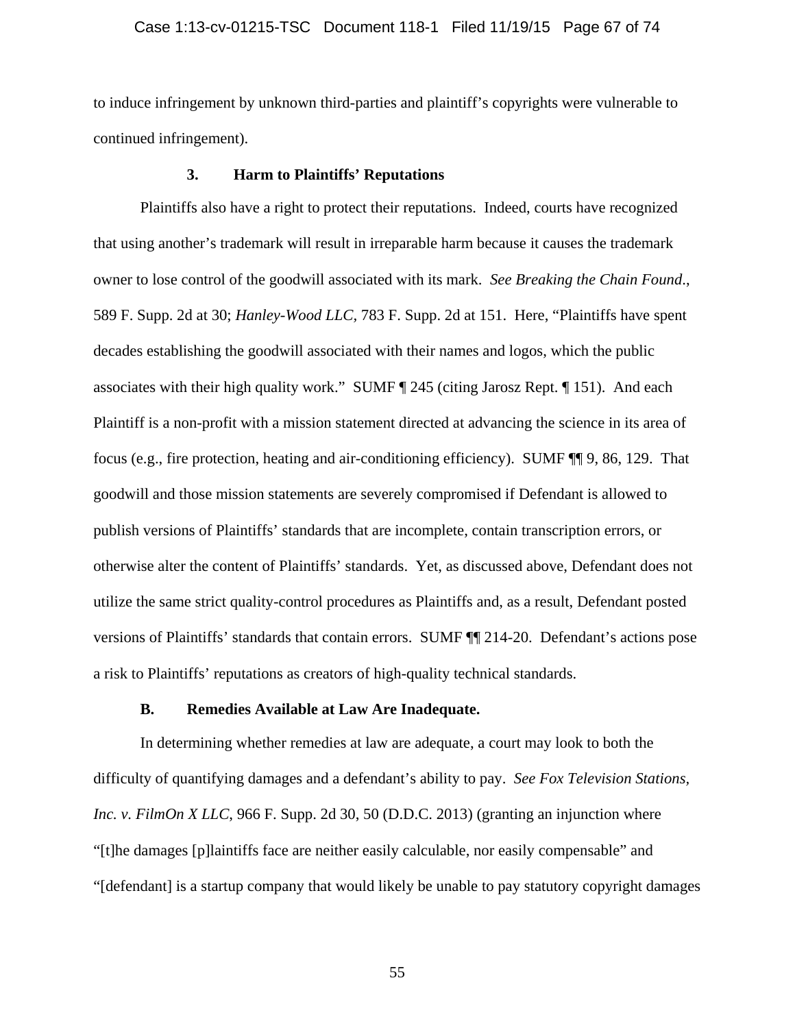### Case 1:13-cv-01215-TSC Document 118-1 Filed 11/19/15 Page 67 of 74

to induce infringement by unknown third-parties and plaintiff's copyrights were vulnerable to continued infringement).

## **3. Harm to Plaintiffs' Reputations**

Plaintiffs also have a right to protect their reputations. Indeed, courts have recognized that using another's trademark will result in irreparable harm because it causes the trademark owner to lose control of the goodwill associated with its mark. *See Breaking the Chain Found*., 589 F. Supp. 2d at 30; *Hanley-Wood LLC,* 783 F. Supp. 2d at 151. Here, "Plaintiffs have spent decades establishing the goodwill associated with their names and logos, which the public associates with their high quality work." SUMF ¶ 245 (citing Jarosz Rept. ¶ 151). And each Plaintiff is a non-profit with a mission statement directed at advancing the science in its area of focus (e.g., fire protection, heating and air-conditioning efficiency). SUMF ¶¶ 9, 86, 129. That goodwill and those mission statements are severely compromised if Defendant is allowed to publish versions of Plaintiffs' standards that are incomplete, contain transcription errors, or otherwise alter the content of Plaintiffs' standards. Yet, as discussed above, Defendant does not utilize the same strict quality-control procedures as Plaintiffs and, as a result, Defendant posted versions of Plaintiffs' standards that contain errors. SUMF ¶¶ 214-20. Defendant's actions pose a risk to Plaintiffs' reputations as creators of high-quality technical standards.

### **B. Remedies Available at Law Are Inadequate.**

In determining whether remedies at law are adequate, a court may look to both the difficulty of quantifying damages and a defendant's ability to pay. *See Fox Television Stations, Inc. v. FilmOn X LLC*, 966 F. Supp. 2d 30, 50 (D.D.C. 2013) (granting an injunction where "[t]he damages [p]laintiffs face are neither easily calculable, nor easily compensable" and "[defendant] is a startup company that would likely be unable to pay statutory copyright damages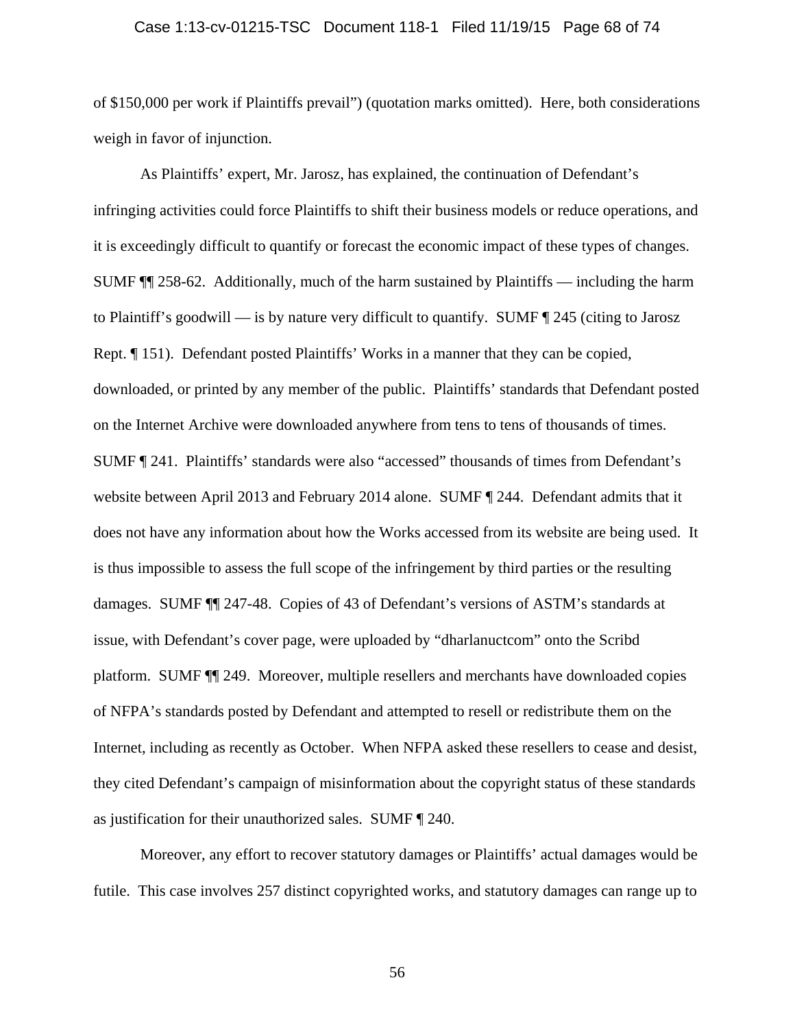### Case 1:13-cv-01215-TSC Document 118-1 Filed 11/19/15 Page 68 of 74

of \$150,000 per work if Plaintiffs prevail") (quotation marks omitted). Here, both considerations weigh in favor of injunction.

As Plaintiffs' expert, Mr. Jarosz, has explained, the continuation of Defendant's infringing activities could force Plaintiffs to shift their business models or reduce operations, and it is exceedingly difficult to quantify or forecast the economic impact of these types of changes. SUMF ¶¶ 258-62. Additionally, much of the harm sustained by Plaintiffs — including the harm to Plaintiff's goodwill — is by nature very difficult to quantify. SUMF ¶ 245 (citing to Jarosz Rept. ¶ 151). Defendant posted Plaintiffs' Works in a manner that they can be copied, downloaded, or printed by any member of the public. Plaintiffs' standards that Defendant posted on the Internet Archive were downloaded anywhere from tens to tens of thousands of times. SUMF ¶ 241. Plaintiffs' standards were also "accessed" thousands of times from Defendant's website between April 2013 and February 2014 alone. SUMF  $\P$  244. Defendant admits that it does not have any information about how the Works accessed from its website are being used. It is thus impossible to assess the full scope of the infringement by third parties or the resulting damages. SUMF ¶¶ 247-48. Copies of 43 of Defendant's versions of ASTM's standards at issue, with Defendant's cover page, were uploaded by "dharlanuctcom" onto the Scribd platform. SUMF ¶¶ 249. Moreover, multiple resellers and merchants have downloaded copies of NFPA's standards posted by Defendant and attempted to resell or redistribute them on the Internet, including as recently as October. When NFPA asked these resellers to cease and desist, they cited Defendant's campaign of misinformation about the copyright status of these standards as justification for their unauthorized sales. SUMF ¶ 240.

Moreover, any effort to recover statutory damages or Plaintiffs' actual damages would be futile. This case involves 257 distinct copyrighted works, and statutory damages can range up to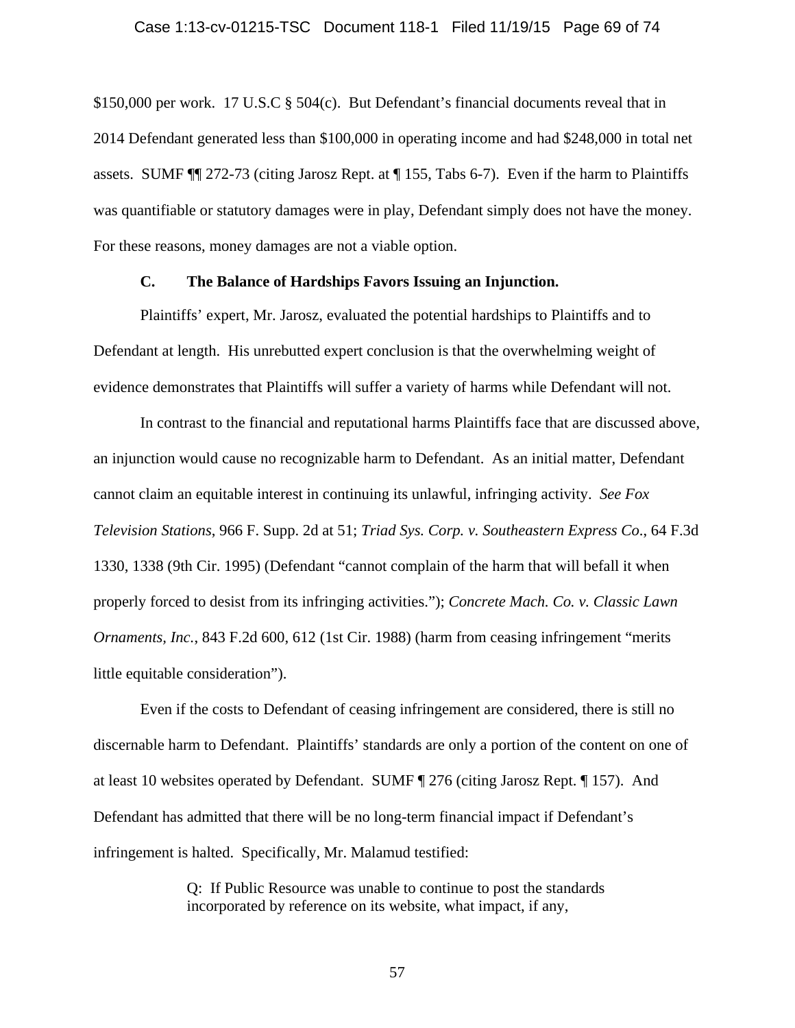\$150,000 per work. 17 U.S.C § 504(c). But Defendant's financial documents reveal that in 2014 Defendant generated less than \$100,000 in operating income and had \$248,000 in total net assets. SUMF ¶¶ 272-73 (citing Jarosz Rept. at ¶ 155, Tabs 6-7). Even if the harm to Plaintiffs was quantifiable or statutory damages were in play, Defendant simply does not have the money. For these reasons, money damages are not a viable option.

## **C. The Balance of Hardships Favors Issuing an Injunction.**

Plaintiffs' expert, Mr. Jarosz, evaluated the potential hardships to Plaintiffs and to Defendant at length. His unrebutted expert conclusion is that the overwhelming weight of evidence demonstrates that Plaintiffs will suffer a variety of harms while Defendant will not.

In contrast to the financial and reputational harms Plaintiffs face that are discussed above, an injunction would cause no recognizable harm to Defendant. As an initial matter, Defendant cannot claim an equitable interest in continuing its unlawful, infringing activity. *See Fox Television Stations*, 966 F. Supp. 2d at 51; *Triad Sys. Corp. v. Southeastern Express Co*., 64 F.3d 1330, 1338 (9th Cir. 1995) (Defendant "cannot complain of the harm that will befall it when properly forced to desist from its infringing activities."); *Concrete Mach. Co. v. Classic Lawn Ornaments, Inc.*, 843 F.2d 600, 612 (1st Cir. 1988) (harm from ceasing infringement "merits little equitable consideration").

Even if the costs to Defendant of ceasing infringement are considered, there is still no discernable harm to Defendant. Plaintiffs' standards are only a portion of the content on one of at least 10 websites operated by Defendant. SUMF ¶ 276 (citing Jarosz Rept. ¶ 157). And Defendant has admitted that there will be no long-term financial impact if Defendant's infringement is halted. Specifically, Mr. Malamud testified:

> Q: If Public Resource was unable to continue to post the standards incorporated by reference on its website, what impact, if any,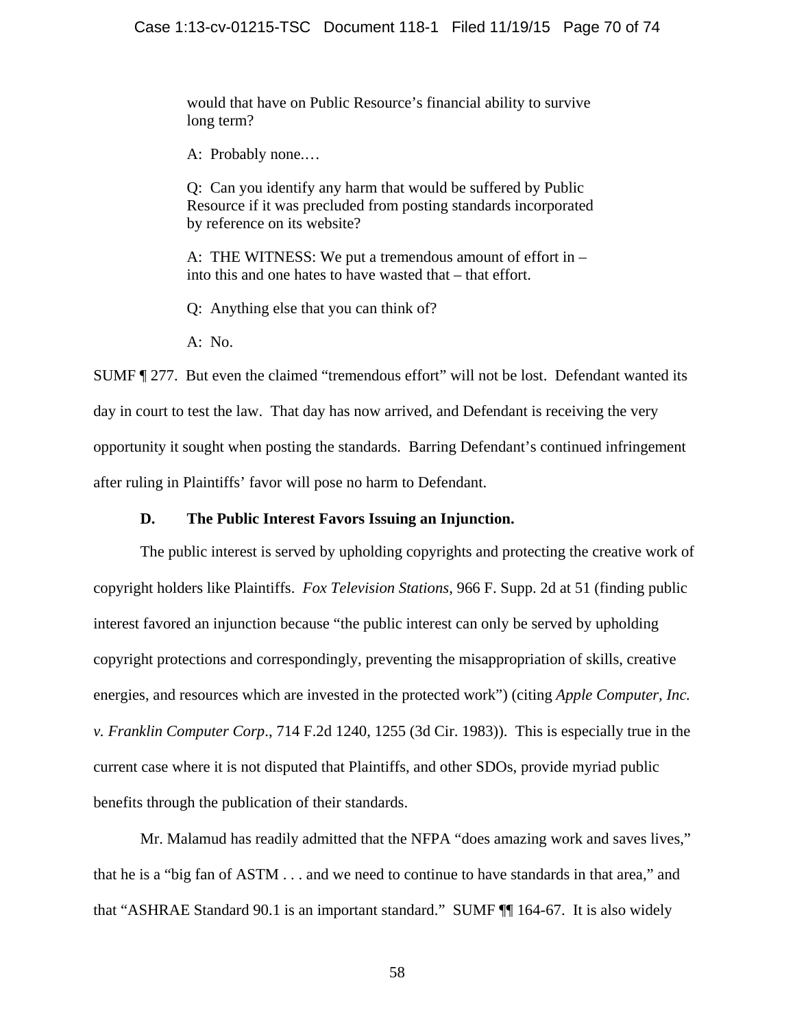would that have on Public Resource's financial ability to survive long term?

A: Probably none.…

Q: Can you identify any harm that would be suffered by Public Resource if it was precluded from posting standards incorporated by reference on its website?

A: THE WITNESS: We put a tremendous amount of effort in – into this and one hates to have wasted that – that effort.

Q: Anything else that you can think of?

A: No.

SUMF ¶ 277. But even the claimed "tremendous effort" will not be lost. Defendant wanted its day in court to test the law. That day has now arrived, and Defendant is receiving the very opportunity it sought when posting the standards. Barring Defendant's continued infringement after ruling in Plaintiffs' favor will pose no harm to Defendant.

# **D. The Public Interest Favors Issuing an Injunction.**

The public interest is served by upholding copyrights and protecting the creative work of copyright holders like Plaintiffs. *Fox Television Stations*, 966 F. Supp. 2d at 51 (finding public interest favored an injunction because "the public interest can only be served by upholding copyright protections and correspondingly, preventing the misappropriation of skills, creative energies, and resources which are invested in the protected work") (citing *Apple Computer, Inc. v. Franklin Computer Corp*., 714 F.2d 1240, 1255 (3d Cir. 1983)). This is especially true in the current case where it is not disputed that Plaintiffs, and other SDOs, provide myriad public benefits through the publication of their standards.

Mr. Malamud has readily admitted that the NFPA "does amazing work and saves lives," that he is a "big fan of ASTM . . . and we need to continue to have standards in that area," and that "ASHRAE Standard 90.1 is an important standard." SUMF ¶¶ 164-67. It is also widely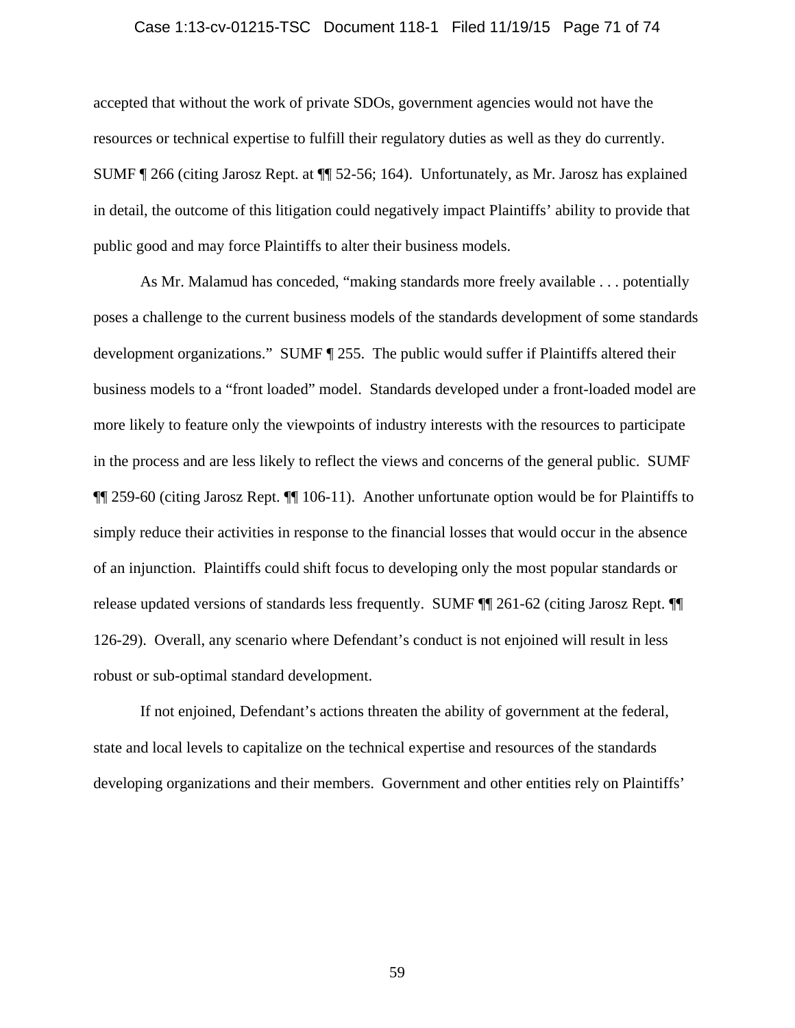#### Case 1:13-cv-01215-TSC Document 118-1 Filed 11/19/15 Page 71 of 74

accepted that without the work of private SDOs, government agencies would not have the resources or technical expertise to fulfill their regulatory duties as well as they do currently. SUMF ¶ 266 (citing Jarosz Rept. at ¶¶ 52-56; 164). Unfortunately, as Mr. Jarosz has explained in detail, the outcome of this litigation could negatively impact Plaintiffs' ability to provide that public good and may force Plaintiffs to alter their business models.

As Mr. Malamud has conceded, "making standards more freely available . . . potentially poses a challenge to the current business models of the standards development of some standards development organizations." SUMF ¶ 255. The public would suffer if Plaintiffs altered their business models to a "front loaded" model. Standards developed under a front-loaded model are more likely to feature only the viewpoints of industry interests with the resources to participate in the process and are less likely to reflect the views and concerns of the general public. SUMF ¶¶ 259-60 (citing Jarosz Rept. ¶¶ 106-11). Another unfortunate option would be for Plaintiffs to simply reduce their activities in response to the financial losses that would occur in the absence of an injunction. Plaintiffs could shift focus to developing only the most popular standards or release updated versions of standards less frequently. SUMF ¶¶ 261-62 (citing Jarosz Rept. ¶¶ 126-29). Overall, any scenario where Defendant's conduct is not enjoined will result in less robust or sub-optimal standard development.

If not enjoined, Defendant's actions threaten the ability of government at the federal, state and local levels to capitalize on the technical expertise and resources of the standards developing organizations and their members. Government and other entities rely on Plaintiffs'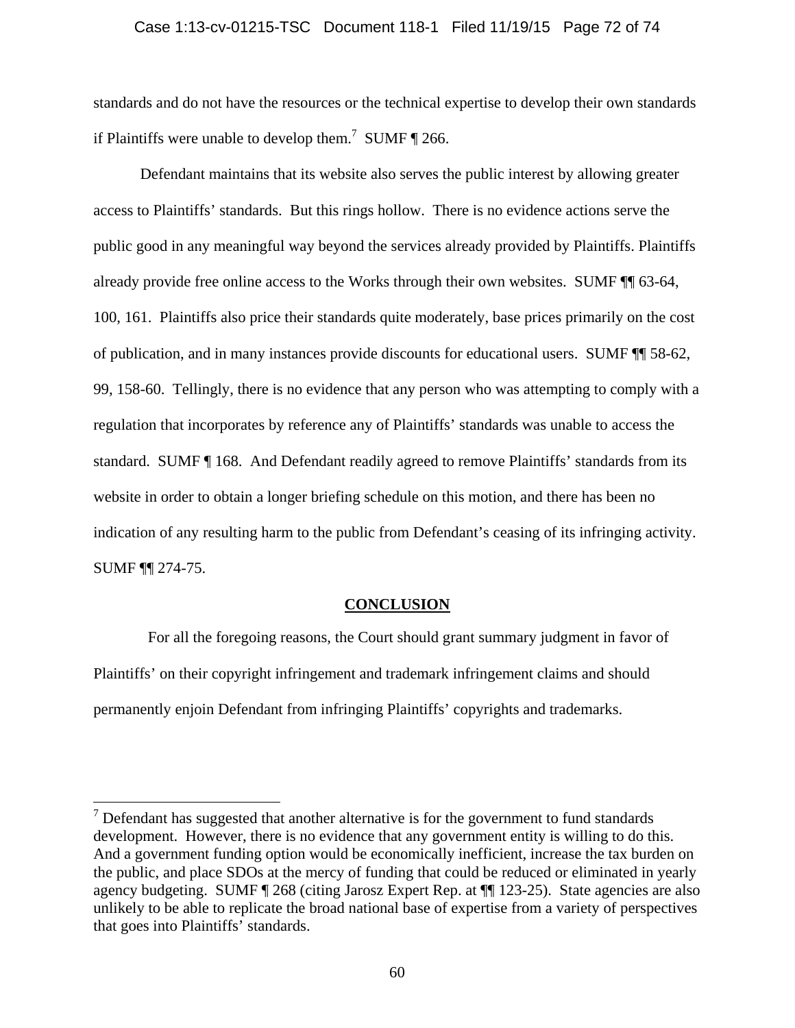### Case 1:13-cv-01215-TSC Document 118-1 Filed 11/19/15 Page 72 of 74

standards and do not have the resources or the technical expertise to develop their own standards if Plaintiffs were unable to develop them.<sup>7</sup> SUMF  $\P$  266.

Defendant maintains that its website also serves the public interest by allowing greater access to Plaintiffs' standards. But this rings hollow. There is no evidence actions serve the public good in any meaningful way beyond the services already provided by Plaintiffs. Plaintiffs already provide free online access to the Works through their own websites. SUMF ¶¶ 63-64, 100, 161. Plaintiffs also price their standards quite moderately, base prices primarily on the cost of publication, and in many instances provide discounts for educational users. SUMF ¶¶ 58-62, 99, 158-60. Tellingly, there is no evidence that any person who was attempting to comply with a regulation that incorporates by reference any of Plaintiffs' standards was unable to access the standard. SUMF ¶ 168. And Defendant readily agreed to remove Plaintiffs' standards from its website in order to obtain a longer briefing schedule on this motion, and there has been no indication of any resulting harm to the public from Defendant's ceasing of its infringing activity. SUMF ¶¶ 274-75.

### **CONCLUSION**

 For all the foregoing reasons, the Court should grant summary judgment in favor of Plaintiffs' on their copyright infringement and trademark infringement claims and should permanently enjoin Defendant from infringing Plaintiffs' copyrights and trademarks.

 $\overline{a}$ 

 $7$  Defendant has suggested that another alternative is for the government to fund standards development. However, there is no evidence that any government entity is willing to do this. And a government funding option would be economically inefficient, increase the tax burden on the public, and place SDOs at the mercy of funding that could be reduced or eliminated in yearly agency budgeting. SUMF ¶ 268 (citing Jarosz Expert Rep. at ¶¶ 123-25). State agencies are also unlikely to be able to replicate the broad national base of expertise from a variety of perspectives that goes into Plaintiffs' standards.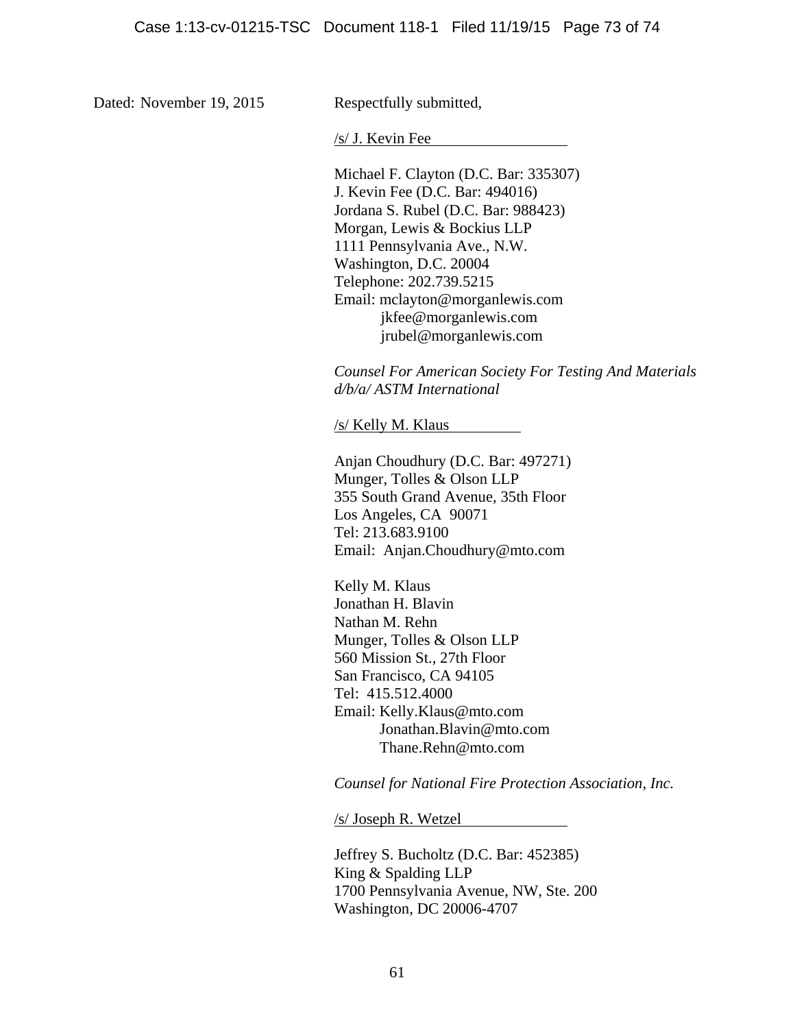Dated: November 19, 2015

Respectfully submitted,

/s/ J. Kevin Fee

Michael F. Clayton (D.C. Bar: 335307) J. Kevin Fee (D.C. Bar: 494016) Jordana S. Rubel (D.C. Bar: 988423) Morgan, Lewis & Bockius LLP 1111 Pennsylvania Ave., N.W. Washington, D.C. 20004 Telephone: 202.739.5215 Email: mclayton@morganlewis.com jkfee@morganlewis.com jrubel@morganlewis.com

*Counsel For American Society For Testing And Materials d/b/a/ ASTM International* 

/s/ Kelly M. Klaus

Anjan Choudhury (D.C. Bar: 497271) Munger, Tolles & Olson LLP 355 South Grand Avenue, 35th Floor Los Angeles, CA 90071 Tel: 213.683.9100 Email: Anjan.Choudhury@mto.com

Kelly M. Klaus Jonathan H. Blavin Nathan M. Rehn Munger, Tolles & Olson LLP 560 Mission St., 27th Floor San Francisco, CA 94105 Tel: 415.512.4000 Email: Kelly.Klaus@mto.com Jonathan.Blavin@mto.com Thane.Rehn@mto.com

*Counsel for National Fire Protection Association, Inc.* 

/s/ Joseph R. Wetzel

Jeffrey S. Bucholtz (D.C. Bar: 452385) King & Spalding LLP 1700 Pennsylvania Avenue, NW, Ste. 200 Washington, DC 20006-4707